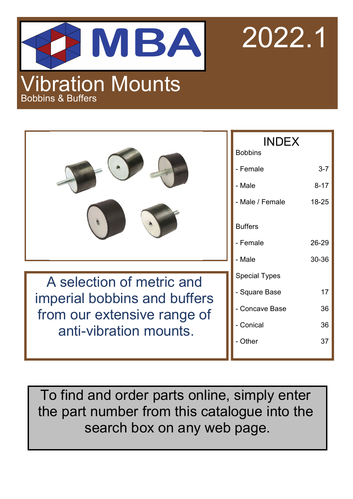

2022.1

|                              | <b>INDEX</b><br><b>Bobbins</b> |          |  |
|------------------------------|--------------------------------|----------|--|
|                              | - Female                       | $3 - 7$  |  |
|                              | - Male                         | $8 - 17$ |  |
|                              | - Male / Female                | 18-25    |  |
|                              | <b>Buffers</b>                 |          |  |
|                              | - Female                       | 26-29    |  |
|                              | - Male                         | 30-36    |  |
| A selection of metric and    | <b>Special Types</b>           |          |  |
| imperial bobbins and buffers | - Square Base                  | 17       |  |
| from our extensive range of  | - Concave Base                 | 36       |  |
| anti-vibration mounts.       | - Conical                      | 36       |  |
|                              | - Other                        | 37       |  |
|                              |                                |          |  |

To find and order parts online, simply enter the part number from this catalogue into the search box on any web page.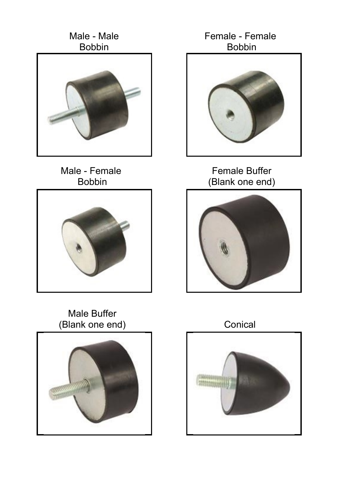

Male - Female Bobbin



Female - Female Bobbin



Female Buffer (Blank one end)



Male Buffer



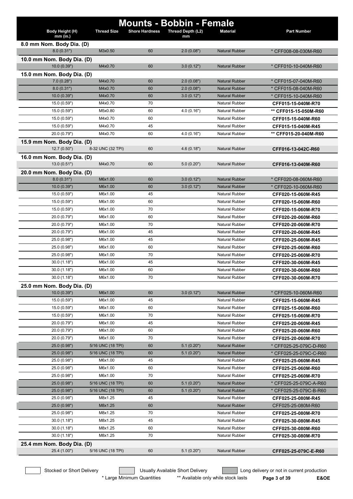| Body Height (H)                           | <b>Thread Size</b> | <b>Shore Hardness</b> | <b>Mounts - Bobbin - Female</b><br>Thread Depth (L2) | <b>Material</b>       | <b>Part Number</b>     |
|-------------------------------------------|--------------------|-----------------------|------------------------------------------------------|-----------------------|------------------------|
| $mm$ (in.)                                |                    |                       | mm                                                   |                       |                        |
| 8.0 mm Nom. Body Dia. (D)                 |                    |                       |                                                      |                       |                        |
| 8.0(0.31")                                | M3x0.50            | 60                    | 2.0(0.08")                                           | <b>Natural Rubber</b> | * CFF008-08-030M-R60   |
| 10.0 mm Nom. Body Dia. (D)<br>10.0(0.39") | M4x0.70            | 60                    | 3.0(0.12")                                           | <b>Natural Rubber</b> | * CFF010-10-040M-R60   |
|                                           |                    |                       |                                                      |                       |                        |
| 15.0 mm Nom. Body Dia. (D)<br>7.0(0.28")  | M4x0.70            | 60                    | 2.0(0.08")                                           | <b>Natural Rubber</b> | * CFF015-07-040M-R60   |
| 8.0(0.31")                                | M4x0.70            | 60                    | 2.0(0.08")                                           | <b>Natural Rubber</b> | * CFF015-08-040M-R60   |
| 10.0 (0.39")                              | M4x0.70            | 60                    | 3.0(0.12")                                           | <b>Natural Rubber</b> | * CFF015-10-040M-R60   |
| 15.0 (0.59")                              | M4x0.70            | 70                    |                                                      | <b>Natural Rubber</b> | CFF015-15-040M-R70     |
| 15.0 (0.59")                              | M5x0.80            | 60                    | 4.0(0.16")                                           | <b>Natural Rubber</b> | ** CFF015-15-050M-R60  |
| 15.0 (0.59")                              | M4x0.70            | 60                    |                                                      | <b>Natural Rubber</b> | CFF015-15-040M-R60     |
| 15.0 (0.59")                              | M4x0.70            | 45                    |                                                      | <b>Natural Rubber</b> | CFF015-15-040M-R45     |
| 20.0 (0.79")                              | M4x0.70            | 60                    | 4.0(0.16")                                           | <b>Natural Rubber</b> | ** CFF015-20-040M-R60  |
|                                           |                    |                       |                                                      |                       |                        |
| 15.9 mm Nom. Body Dia. (D)<br>12.7(0.50") | 8-32 UNC (32 TPI)  | 60                    | 4.6(0.18")                                           | <b>Natural Rubber</b> | CFF016-13-042C-R60     |
| 16.0 mm Nom. Body Dia. (D)                |                    |                       |                                                      |                       |                        |
| 13.0(0.51")                               | M4x0.70            | 60                    | 5.0(0.20")                                           | <b>Natural Rubber</b> | CFF016-13-040M-R60     |
|                                           |                    |                       |                                                      |                       |                        |
| 20.0 mm Nom. Body Dia. (D)<br>8.0(0.31")  | M6x1.00            | 60                    | 3.0(0.12")                                           | <b>Natural Rubber</b> | * CFF020-08-060M-R60   |
| 10.0(0.39")                               | M6x1.00            | 60                    | 3.0(0.12")                                           | <b>Natural Rubber</b> | * CFF020-10-060M-R60   |
| 15.0 (0.59")                              | M6x1.00            | 45                    |                                                      | <b>Natural Rubber</b> | CFF020-15-060M-R45     |
| 15.0 (0.59")                              | M6x1.00            | 60                    |                                                      | <b>Natural Rubber</b> | CFF020-15-060M-R60     |
| 15.0 (0.59")                              | M6x1.00            | 70                    |                                                      | <b>Natural Rubber</b> | CFF020-15-060M-R70     |
| 20.0 (0.79")                              | M6x1.00            | 60                    |                                                      | <b>Natural Rubber</b> | CFF020-20-060M-R60     |
| 20.0 (0.79")                              | M6x1.00            | 70                    |                                                      | <b>Natural Rubber</b> | CFF020-20-060M-R70     |
| 20.0 (0.79")                              | M6x1.00            | 45                    |                                                      | <b>Natural Rubber</b> | CFF020-20-060M-R45     |
| 25.0 (0.98")                              | M6x1.00            | 45                    |                                                      | <b>Natural Rubber</b> | CFF020-25-060M-R45     |
| 25.0 (0.98")                              | M6x1.00            | 60                    |                                                      | <b>Natural Rubber</b> | CFF020-25-060M-R60     |
| 25.0 (0.98")                              | M6x1.00            | 70                    |                                                      | <b>Natural Rubber</b> | CFF020-25-060M-R70     |
| 30.0(1.18")                               | M6x1.00            | 45                    |                                                      | <b>Natural Rubber</b> | CFF020-30-060M-R45     |
| 30.0(1.18")                               | M6x1.00            | 60                    |                                                      | <b>Natural Rubber</b> | CFF020-30-060M-R60     |
| 30.0(1.18")                               | M6x1.00            | 70                    |                                                      | <b>Natural Rubber</b> | CFF020-30-060M-R70     |
| 25.0 mm Nom. Body Dia. (D)                |                    |                       |                                                      |                       |                        |
| 10.0(0.39")                               | M6x1.00            | 60                    | 3.0(0.12")                                           | <b>Natural Rubber</b> | * CFF025-10-060M-R60   |
| 15.0 (0.59")                              | M6x1.00            | 45                    |                                                      | <b>Natural Rubber</b> | CFF025-15-060M-R45     |
| 15.0 (0.59")                              | M6x1.00            | 60                    |                                                      | <b>Natural Rubber</b> | CFF025-15-060M-R60     |
| 15.0 (0.59")                              | M6x1.00            | 70                    |                                                      | <b>Natural Rubber</b> | CFF025-15-060M-R70     |
| 20.0 (0.79")                              | M6x1.00            | 45                    |                                                      | Natural Rubber        | CFF025-20-060M-R45     |
| 20.0 (0.79")                              | M6x1.00            | 60                    |                                                      | <b>Natural Rubber</b> | CFF025-20-060M-R60     |
| 20.0 (0.79")                              | M6x1.00            | 70                    |                                                      | Natural Rubber        | CFF025-20-060M-R70     |
| 25.0(0.98")                               | 5/16 UNC (18 TPI)  | 60                    | 5.1(0.20")                                           | <b>Natural Rubber</b> | * CFF025-25-079C-D-R60 |
| 25.0(0.98")                               | 5/16 UNC (18 TPI)  | 60                    | 5.1(0.20")                                           | <b>Natural Rubber</b> | * CFF025-25-079C-C-R60 |
| 25.0 (0.98")                              | M6x1.00            | 45                    |                                                      | <b>Natural Rubber</b> | CFF025-25-060M-R45     |
| 25.0 (0.98")                              | M6x1.00            | 60                    |                                                      | <b>Natural Rubber</b> | CFF025-25-060M-R60     |
| 25.0 (0.98")                              | M6x1.00            | 70                    |                                                      | <b>Natural Rubber</b> | CFF025-25-060M-R70     |
| 25.0(0.98")                               | 5/16 UNC (18 TPI)  | 60                    | 5.1(0.20")                                           | <b>Natural Rubber</b> | * CFF025-25-079C-A-R60 |
| 25.0(0.98")                               | 5/16 UNC (18 TPI)  | 60                    | 5.1(0.20")                                           | <b>Natural Rubber</b> | * CFF025-25-079C-B-R60 |
| 25.0 (0.98")                              | M8x1.25            | 45                    |                                                      | <b>Natural Rubber</b> | CFF025-25-080M-R45     |
| 25.0 (0.98")                              | M8x1.25            | 60                    |                                                      | <b>Natural Rubber</b> | CFF025-25-080M-R60     |
| 25.0 (0.98")                              | M8x1.25            | 70                    |                                                      | <b>Natural Rubber</b> | CFF025-25-080M-R70     |
| 30.0(1.18")                               | M8x1.25            | 45                    |                                                      | <b>Natural Rubber</b> | CFF025-30-080M-R45     |
| 30.0(1.18")                               | M8x1.25            | 60                    |                                                      | <b>Natural Rubber</b> | CFF025-30-080M-R60     |
| 30.0(1.18")                               | M8x1.25            | 70                    |                                                      | <b>Natural Rubber</b> | CFF025-30-080M-R70     |
| 25.4 mm Nom. Body Dia. (D)                |                    |                       |                                                      |                       |                        |
| 25.4 (1.00")                              | 5/16 UNC (18 TPI)  | 60                    | 5.1(0.20")                                           | <b>Natural Rubber</b> | CFF025-25-079C-E-R60   |
|                                           |                    |                       |                                                      |                       |                        |

Stocked or Short Delivery **Contains the Usually Available Short Delivery Containery** Long delivery or not in current production

\* Large Minimum Quantities \*\* Available only while stock lasts **Page 3 of 39 E&OE**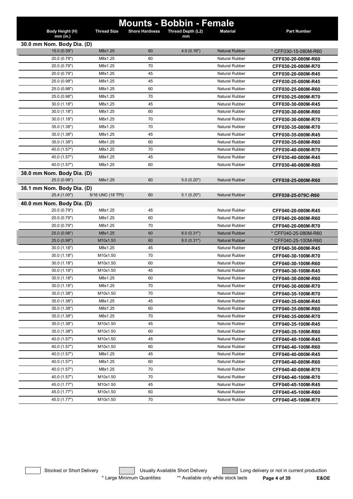|                             |                    |                       | <b>Mounts - Bobbin - Female</b> |                       |                      |
|-----------------------------|--------------------|-----------------------|---------------------------------|-----------------------|----------------------|
| Body Height (H)<br>mm (in.) | <b>Thread Size</b> | <b>Shore Hardness</b> | Thread Depth (L2)<br>mm         | <b>Material</b>       | <b>Part Number</b>   |
| 30.0 mm Nom. Body Dia. (D)  |                    |                       |                                 |                       |                      |
| 15.0 (0.59")                | M8x1.25            | 60                    | 4.0(0.16")                      | <b>Natural Rubber</b> | * CFF030-15-080M-R60 |
| 20.0 (0.79")                | M8x1.25            | 60                    |                                 | <b>Natural Rubber</b> | CFF030-20-080M-R60   |
| 20.0 (0.79")                | M8x1.25            | 70                    |                                 | <b>Natural Rubber</b> | CFF030-20-080M-R70   |
| 20.0 (0.79")                | M8x1.25            | 45                    |                                 | <b>Natural Rubber</b> | CFF030-20-080M-R45   |
| 25.0 (0.98")                | M8x1.25            | 45                    |                                 | <b>Natural Rubber</b> | CFF030-25-080M-R45   |
| 25.0 (0.98")                | M8x1.25            | 60                    |                                 | <b>Natural Rubber</b> | CFF030-25-080M-R60   |
| 25.0 (0.98")                | M8x1.25            | 70                    |                                 | <b>Natural Rubber</b> | CFF030-25-080M-R70   |
| 30.0(1.18")                 | M8x1.25            | 45                    |                                 | <b>Natural Rubber</b> | CFF030-30-080M-R45   |
| 30.0(1.18")                 | M8x1.25            | 60                    |                                 | <b>Natural Rubber</b> | CFF030-30-080M-R60   |
| 30.0(1.18")                 | M8x1.25            | 70                    |                                 | <b>Natural Rubber</b> | CFF030-30-080M-R70   |
| 35.0 (1.38")                | M8x1.25            | 70                    |                                 | <b>Natural Rubber</b> | CFF030-35-080M-R70   |
| 35.0 (1.38")                | M8x1.25            | 45                    |                                 | <b>Natural Rubber</b> | CFF030-35-080M-R45   |
| 35.0 (1.38")                | M8x1.25            | 60                    |                                 | <b>Natural Rubber</b> | CFF030-35-080M-R60   |
| 40.0 (1.57")                | M8x1.25            | 70                    |                                 | <b>Natural Rubber</b> | CFF030-40-080M-R70   |
| 40.0 (1.57")                | M8x1.25            | 45                    |                                 | <b>Natural Rubber</b> | CFF030-40-080M-R45   |
| 40.0 (1.57")                | M8x1.25            | 60                    |                                 | <b>Natural Rubber</b> | CFF030-40-080M-R60   |
| 38.0 mm Nom. Body Dia. (D)  |                    |                       |                                 |                       |                      |
| 25.0 (0.98")                | M8x1.25            | 60                    | 5.0(0.20")                      | <b>Natural Rubber</b> | CFF038-25-080M-R60   |
| 38.1 mm Nom. Body Dia. (D)  |                    |                       |                                 |                       |                      |
| 25.4 (1.00")                | 5/16 UNC (18 TPI)  | 60                    | 5.1(0.20")                      | <b>Natural Rubber</b> | CFF038-25-079C-R60   |
| 40.0 mm Nom. Body Dia. (D)  |                    |                       |                                 |                       |                      |
| 20.0 (0.79")                | M8x1.25            | 45                    |                                 | <b>Natural Rubber</b> | CFF040-20-080M-R45   |
| 20.0 (0.79")                | M8x1.25            | 60                    |                                 | <b>Natural Rubber</b> | CFF040-20-080M-R60   |
| 20.0 (0.79")                | M8x1.25            | 70                    |                                 | <b>Natural Rubber</b> | CFF040-20-080M-R70   |
| 25.0 (0.98")                | M8x1.25            | 60                    | 8.0(0.31")                      | <b>Natural Rubber</b> | * CFF040-25-080M-R60 |
| 25.0 (0.98")                | M10x1.50           | 60                    | 8.0(0.31")                      | <b>Natural Rubber</b> | * CFF040-25-100M-R60 |
| 30.0(1.18")                 | M8x1.25            | 45                    |                                 | <b>Natural Rubber</b> | CFF040-30-080M-R45   |
| 30.0(1.18")                 | M10x1.50           | 70                    |                                 | <b>Natural Rubber</b> | CFF040-30-100M-R70   |
| 30.0(1.18")                 | M10x1.50           | 60                    |                                 | <b>Natural Rubber</b> | CFF040-30-100M-R60   |
| 30.0(1.18")                 | M10x1.50           | 45                    |                                 | <b>Natural Rubber</b> | CFF040-30-100M-R45   |
| 30.0(1.18")                 | M8x1.25            | 60                    |                                 | <b>Natural Rubber</b> | CFF040-30-080M-R60   |
| 30.0(1.18")                 | M8x1.25            | 70                    |                                 | Natural Rubber        | CFF040-30-080M-R70   |
| 35.0 (1.38")                | M10x1.50           | 70                    |                                 | Natural Rubber        | CFF040-35-100M-R70   |
| 35.0 (1.38")                | M8x1.25            | 45                    |                                 | <b>Natural Rubber</b> | CFF040-35-080M-R45   |
| 35.0 (1.38")                | M8x1.25            | 60                    |                                 | Natural Rubber        | CFF040-35-080M-R60   |
| 35.0 (1.38")                | M8x1.25            | 70                    |                                 | <b>Natural Rubber</b> | CFF040-35-080M-R70   |
| 35.0 (1.38")                | M10x1.50           | 45                    |                                 | <b>Natural Rubber</b> | CFF040-35-100M-R45   |
| 35.0 (1.38")                | M10x1.50           | 60                    |                                 | <b>Natural Rubber</b> | CFF040-35-100M-R60   |
| 40.0 (1.57")                | M10x1.50           | 45                    |                                 | <b>Natural Rubber</b> | CFF040-40-100M-R45   |
| 40.0 (1.57")                | M10x1.50           | 60                    |                                 | Natural Rubber        | CFF040-40-100M-R60   |
| 40.0 (1.57")                | M8x1.25            | 45                    |                                 | <b>Natural Rubber</b> | CFF040-40-080M-R45   |
| 40.0 (1.57")                | M8x1.25            | 60                    |                                 | Natural Rubber        | CFF040-40-080M-R60   |
| 40.0 (1.57")                | M8x1.25            | 70                    |                                 | <b>Natural Rubber</b> | CFF040-40-080M-R70   |
| 40.0 (1.57")                | M10x1.50           | 70                    |                                 | Natural Rubber        | CFF040-40-100M-R70   |
| 45.0 (1.77")                | M10x1.50           | 45                    |                                 | <b>Natural Rubber</b> | CFF040-45-100M-R45   |
| 45.0 (1.77")                | M10x1.50           | 60                    |                                 | Natural Rubber        | CFF040-45-100M-R60   |
| 45.0 (1.77")                | M10x1.50           | 70                    |                                 | Natural Rubber        | CFF040-45-100M-R70   |
|                             |                    |                       |                                 |                       |                      |

Stocked or Short Delivery **Contains the Usually Available Short Delivery Containery** Long delivery or not in current production \* Large Minimum Quantities \*\* Available only while stock lasts **Page 4 of 39 E&OE**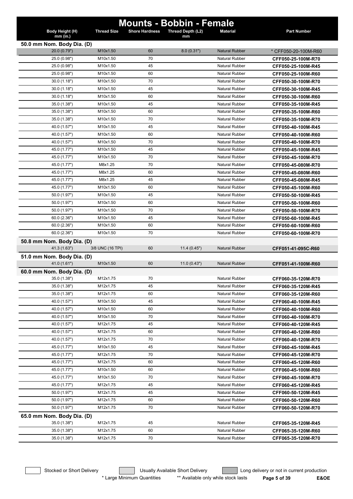| Body Height (H)<br>$mm$ (in.) | <b>Thread Size</b> | <b>Shore Hardness</b> | <b>Mounts - Bobbin - Female</b><br>Thread Depth (L2)<br>mm | <b>Material</b>       | <b>Part Number</b>   |
|-------------------------------|--------------------|-----------------------|------------------------------------------------------------|-----------------------|----------------------|
| 50.0 mm Nom. Body Dia. (D)    |                    |                       |                                                            |                       |                      |
| 20.0 (0.79")                  | M10x1.50           | 60                    | 8.0(0.31")                                                 | <b>Natural Rubber</b> | * CFF050-20-100M-R60 |
| 25.0 (0.98")                  | M10x1.50           | 70                    |                                                            | <b>Natural Rubber</b> | CFF050-25-100M-R70   |
| 25.0 (0.98")                  | M10x1.50           | 45                    |                                                            | <b>Natural Rubber</b> | CFF050-25-100M-R45   |
| 25.0 (0.98")                  | M10x1.50           | 60                    |                                                            | <b>Natural Rubber</b> | CFF050-25-100M-R60   |
| 30.0(1.18")                   | M10x1.50           | 70                    |                                                            | <b>Natural Rubber</b> | CFF050-30-100M-R70   |
| 30.0(1.18")                   | M10x1.50           | 45                    |                                                            | <b>Natural Rubber</b> | CFF050-30-100M-R45   |
| 30.0(1.18")                   | M10x1.50           | 60                    |                                                            | <b>Natural Rubber</b> | CFF050-30-100M-R60   |
| 35.0 (1.38")                  | M10x1.50           | 45                    |                                                            | <b>Natural Rubber</b> | CFF050-35-100M-R45   |
| 35.0 (1.38")                  | M10x1.50           | 60                    |                                                            | <b>Natural Rubber</b> | CFF050-35-100M-R60   |
| 35.0 (1.38")                  | M10x1.50           | 70                    |                                                            | <b>Natural Rubber</b> | CFF050-35-100M-R70   |
| 40.0 (1.57")                  | M10x1.50           | 45                    |                                                            | <b>Natural Rubber</b> | CFF050-40-100M-R45   |
| 40.0 (1.57")                  | M10x1.50           | 60                    |                                                            | <b>Natural Rubber</b> | CFF050-40-100M-R60   |
| 40.0 (1.57")                  | M10x1.50           | 70                    |                                                            | <b>Natural Rubber</b> | CFF050-40-100M-R70   |
| 45.0 (1.77")                  | M10x1.50           | 45                    |                                                            | Natural Rubber        | CFF050-45-100M-R45   |
| 45.0 (1.77")                  | M10x1.50           | 70                    |                                                            | <b>Natural Rubber</b> | CFF050-45-100M-R70   |
| 45.0 (1.77")                  | M8x1.25            | 70                    |                                                            | Natural Rubber        | CFF050-45-080M-R70   |
| 45.0 (1.77")                  | M8x1.25            | 60                    |                                                            | Natural Rubber        | CFF050-45-080M-R60   |
| 45.0 (1.77")                  | M8x1.25            | 45                    |                                                            | <b>Natural Rubber</b> | CFF050-45-080M-R45   |
| 45.0 (1.77")                  | M10x1.50           | 60                    |                                                            | <b>Natural Rubber</b> | CFF050-45-100M-R60   |
| 50.0 (1.97")                  | M10x1.50           | 45                    |                                                            | <b>Natural Rubber</b> | CFF050-50-100M-R45   |
| 50.0 (1.97")                  | M10x1.50           | 60                    |                                                            | <b>Natural Rubber</b> | CFF050-50-100M-R60   |
| 50.0 (1.97")                  | M10x1.50           | 70                    |                                                            | <b>Natural Rubber</b> | CFF050-50-100M-R70   |
| 60.0(2.36")                   | M10x1.50           | 45                    |                                                            | <b>Natural Rubber</b> | CFF050-60-100M-R45   |
| 60.0(2.36")                   | M10x1.50           | 60                    |                                                            | <b>Natural Rubber</b> | CFF050-60-100M-R60   |
| 60.0(2.36")                   | M10x1.50           | 70                    |                                                            | <b>Natural Rubber</b> | CFF050-60-100M-R70   |
| 50.8 mm Nom. Body Dia. (D)    |                    |                       |                                                            |                       |                      |
| 41.3 (1.63")                  | 3/8 UNC (16 TPI)   | 60                    | 11.4(0.45")                                                | Natural Rubber        | CFF051-41-095C-R60   |
| 51.0 mm Nom. Body Dia. (D)    |                    |                       |                                                            |                       |                      |
| 41.0 (1.61")                  | M10x1.50           | 60                    | 11.0(0.43")                                                | <b>Natural Rubber</b> | CFF051-41-100M-R60   |
| 60.0 mm Nom. Body Dia. (D)    |                    |                       |                                                            |                       |                      |
| 35.0 (1.38")                  | M12x1.75           | 70                    |                                                            | <b>Natural Rubber</b> | CFF060-35-120M-R70   |
| 35.0 (1.38")                  | M12x1.75           | 45                    |                                                            | <b>Natural Rubber</b> | CFF060-35-120M-R45   |
| 35.0 (1.38")                  | M12x1.75           | 60                    |                                                            | Natural Rubber        | CFF060-35-120M-R60   |
| 40.0 (1.57")                  | M10x1.50           | 45                    |                                                            | Natural Rubber        | CFF060-40-100M-R45   |
| 40.0 (1.57")                  | M10x1.50           | 60                    |                                                            | Natural Rubber        | CFF060-40-100M-R60   |
| 40.0 (1.57")                  | M10x1.50           | 70                    |                                                            | <b>Natural Rubber</b> | CFF060-40-100M-R70   |
| 40.0 (1.57")                  | M12x1.75           | 45                    |                                                            | <b>Natural Rubber</b> | CFF060-40-120M-R45   |
| 40.0 (1.57")                  | M12x1.75           | 60                    |                                                            | <b>Natural Rubber</b> | CFF060-40-120M-R60   |
| 40.0 (1.57")                  | M12x1.75           | 70                    |                                                            | <b>Natural Rubber</b> | CFF060-40-120M-R70   |
| 45.0 (1.77")                  | M10x1.50           | 45                    |                                                            | Natural Rubber        | CFF060-45-100M-R45   |
| 45.0 (1.77")                  | M12x1.75           | 70                    |                                                            | Natural Rubber        | CFF060-45-120M-R70   |
| 45.0 (1.77")                  | M12x1.75           | 60                    |                                                            | Natural Rubber        | CFF060-45-120M-R60   |
| 45.0 (1.77")                  | M10x1.50           | 60                    |                                                            | Natural Rubber        | CFF060-45-100M-R60   |
| 45.0 (1.77")                  | M10x1.50           | 70                    |                                                            | <b>Natural Rubber</b> | CFF060-45-100M-R70   |
| 45.0 (1.77")                  | M12x1.75           | 45                    |                                                            | <b>Natural Rubber</b> | CFF060-45-120M-R45   |
| 50.0 (1.97")                  | M12x1.75           | 45                    |                                                            | Natural Rubber        | CFF060-50-120M-R45   |
| 50.0 (1.97")                  | M12x1.75           | 60                    |                                                            | <b>Natural Rubber</b> | CFF060-50-120M-R60   |
| 50.0 (1.97")                  | M12x1.75           | 70                    |                                                            | Natural Rubber        | CFF060-50-120M-R70   |
| 65.0 mm Nom. Body Dia. (D)    |                    |                       |                                                            |                       |                      |
| 35.0 (1.38")                  | M12x1.75           | 45                    |                                                            | Natural Rubber        | CFF065-35-120M-R45   |
| 35.0 (1.38")                  | M12x1.75           | 60                    |                                                            | <b>Natural Rubber</b> | CFF065-35-120M-R60   |
| 35.0 (1.38")                  | M12x1.75           | 70                    |                                                            | <b>Natural Rubber</b> | CFF065-35-120M-R70   |
|                               |                    |                       |                                                            |                       |                      |

\* Large Minimum Quantities \*\* Available only while stock lasts **Page 5 of 39 E&OE** 

Stocked or Short Delivery **Contains the Usually Available Short Delivery Containery** Long delivery or not in current production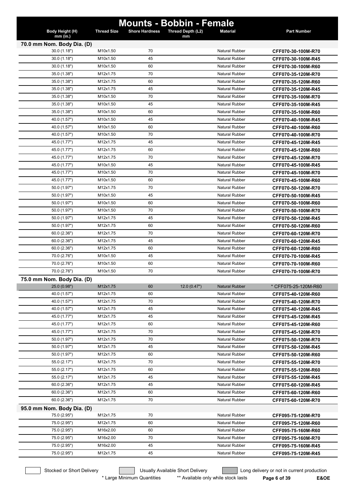| <b>Mounts - Bobbin - Female</b> |                    |                       |                         |                       |                      |  |
|---------------------------------|--------------------|-----------------------|-------------------------|-----------------------|----------------------|--|
| Body Height (H)<br>mm (in.)     | <b>Thread Size</b> | <b>Shore Hardness</b> | Thread Depth (L2)<br>mm | <b>Material</b>       | <b>Part Number</b>   |  |
| 70.0 mm Nom. Body Dia. (D)      |                    |                       |                         |                       |                      |  |
| 30.0 (1.18")                    | M10x1.50           | 70                    |                         | <b>Natural Rubber</b> | CFF070-30-100M-R70   |  |
| 30.0(1.18")                     | M10x1.50           | 45                    |                         | <b>Natural Rubber</b> | CFF070-30-100M-R45   |  |
| 30.0(1.18")                     | M10x1.50           | 60                    |                         | <b>Natural Rubber</b> | CFF070-30-100M-R60   |  |
| 35.0 (1.38")                    | M12x1.75           | 70                    |                         | Natural Rubber        | CFF070-35-120M-R70   |  |
| 35.0 (1.38")                    | M12x1.75           | 60                    |                         | <b>Natural Rubber</b> | CFF070-35-120M-R60   |  |
| 35.0 (1.38")                    | M12x1.75           | 45                    |                         | <b>Natural Rubber</b> | CFF070-35-120M-R45   |  |
| 35.0 (1.38")                    | M10x1.50           | 70                    |                         | <b>Natural Rubber</b> | CFF070-35-100M-R70   |  |
| 35.0 (1.38")                    | M10x1.50           | 45                    |                         | <b>Natural Rubber</b> | CFF070-35-100M-R45   |  |
| 35.0 (1.38")                    | M10x1.50           | 60                    |                         | <b>Natural Rubber</b> | CFF070-35-100M-R60   |  |
| 40.0 (1.57")                    | M10x1.50           | 45                    |                         | <b>Natural Rubber</b> | CFF070-40-100M-R45   |  |
| 40.0 (1.57")                    | M10x1.50           | 60                    |                         | <b>Natural Rubber</b> | CFF070-40-100M-R60   |  |
| 40.0 (1.57")                    | M10x1.50           | 70                    |                         | <b>Natural Rubber</b> | CFF070-40-100M-R70   |  |
| 45.0 (1.77")                    | M12x1.75           | 45                    |                         | <b>Natural Rubber</b> | CFF070-45-120M-R45   |  |
| 45.0 (1.77")                    | M12x1.75           | 60                    |                         | <b>Natural Rubber</b> | CFF070-45-120M-R60   |  |
| 45.0 (1.77")                    | M12x1.75           | 70                    |                         | <b>Natural Rubber</b> | CFF070-45-120M-R70   |  |
| 45.0 (1.77")                    | M10x1.50           | 45                    |                         | <b>Natural Rubber</b> | CFF070-45-100M-R45   |  |
| 45.0 (1.77")                    | M10x1.50           | 70                    |                         | <b>Natural Rubber</b> | CFF070-45-100M-R70   |  |
| 45.0 (1.77")                    | M10x1.50           | 60                    |                         | <b>Natural Rubber</b> | CFF070-45-100M-R60   |  |
| 50.0 (1.97")                    | M12x1.75           | 70                    |                         | <b>Natural Rubber</b> | CFF070-50-120M-R70   |  |
| 50.0 (1.97")                    | M10x1.50           | 45                    |                         | <b>Natural Rubber</b> | CFF070-50-100M-R45   |  |
| 50.0 (1.97")                    | M10x1.50           | 60                    |                         | <b>Natural Rubber</b> | CFF070-50-100M-R60   |  |
| 50.0 (1.97")                    | M10x1.50           | 70                    |                         | <b>Natural Rubber</b> | CFF070-50-100M-R70   |  |
| 50.0 (1.97")                    | M12x1.75           | 45                    |                         | <b>Natural Rubber</b> | CFF070-50-120M-R45   |  |
| 50.0 (1.97")                    | M12x1.75           | 60                    |                         | <b>Natural Rubber</b> | CFF070-50-120M-R60   |  |
| 60.0(2.36")                     | M12x1.75           | 70                    |                         | <b>Natural Rubber</b> | CFF070-60-120M-R70   |  |
| 60.0(2.36")                     | M12x1.75           | 45                    |                         | <b>Natural Rubber</b> | CFF070-60-120M-R45   |  |
| 60.0(2.36")                     | M12x1.75           | 60                    |                         | <b>Natural Rubber</b> | CFF070-60-120M-R60   |  |
| 70.0 (2.76")                    | M10x1.50           | 45                    |                         | <b>Natural Rubber</b> | CFF070-70-100M-R45   |  |
| 70.0 (2.76")                    | M10x1.50           | 60                    |                         | <b>Natural Rubber</b> | CFF070-70-100M-R60   |  |
| 70.0 (2.76")                    | M10x1.50           | 70                    |                         | <b>Natural Rubber</b> | CFF070-70-100M-R70   |  |
| 75.0 mm Nom. Body Dia. (D)      |                    |                       |                         |                       |                      |  |
| 25.0 (0.98")                    | M12x1.75           | 60                    | 12.0(0.47")             | <b>Natural Rubber</b> | * CFF075-25-120M-R60 |  |
| 40.0 (1.57")                    | M12x1.75           | 60                    |                         | Natural Rubber        | CFF075-40-120M-R60   |  |
| 40.0 (1.57")                    | M12x1.75           | 70                    |                         | Natural Rubber        | CFF075-40-120M-R70   |  |
| 40.0 (1.57")                    | M12x1.75           | 45                    |                         | Natural Rubber        | CFF075-40-120M-R45   |  |
| 45.0 (1.77")                    | M12x1.75           | 45                    |                         | Natural Rubber        | CFF075-45-120M-R45   |  |
| 45.0 (1.77")                    | M12x1.75           | 60                    |                         | <b>Natural Rubber</b> | CFF075-45-120M-R60   |  |
| 45.0 (1.77")                    | M12x1.75           | 70                    |                         | Natural Rubber        | CFF075-45-120M-R70   |  |
| 50.0 (1.97")                    | M12x1.75           | 70                    |                         | <b>Natural Rubber</b> | CFF075-50-120M-R70   |  |
| 50.0 (1.97")                    | M12x1.75           | 45                    |                         | Natural Rubber        | CFF075-50-120M-R45   |  |
| 50.0 (1.97")                    | M12x1.75           | 60                    |                         | Natural Rubber        | CFF075-50-120M-R60   |  |
| 55.0 (2.17")                    | M12x1.75           | 70                    |                         | Natural Rubber        | CFF075-55-120M-R70   |  |
| 55.0 (2.17")                    | M12x1.75           | 60                    |                         | Natural Rubber        | CFF075-55-120M-R60   |  |
| 55.0 (2.17")                    | M12x1.75           | 45                    |                         | Natural Rubber        | CFF075-55-120M-R45   |  |
| 60.0 (2.36")                    | M12x1.75           | 45                    |                         | Natural Rubber        | CFF075-60-120M-R45   |  |
| 60.0 (2.36")                    | M12x1.75           | 60                    |                         | Natural Rubber        | CFF075-60-120M-R60   |  |
| 60.0 (2.36")                    | M12x1.75           | 70                    |                         | Natural Rubber        | CFF075-60-120M-R70   |  |
| 95.0 mm Nom. Body Dia. (D)      |                    |                       |                         |                       |                      |  |
| 75.0 (2.95")                    | M12x1.75           | 70                    |                         | Natural Rubber        | CFF095-75-120M-R70   |  |
| 75.0 (2.95")                    | M12x1.75           | 60                    |                         | Natural Rubber        | CFF095-75-120M-R60   |  |
| 75.0 (2.95")                    | M16x2.00           | 60                    |                         | <b>Natural Rubber</b> | CFF095-75-160M-R60   |  |
| 75.0 (2.95")                    | M16x2.00           | 70                    |                         | <b>Natural Rubber</b> | CFF095-75-160M-R70   |  |
| 75.0 (2.95")                    | M16x2.00           | 45                    |                         | Natural Rubber        | CFF095-75-160M-R45   |  |
| 75.0 (2.95")                    | M12x1.75           | 45                    |                         | <b>Natural Rubber</b> | CFF095-75-120M-R45   |  |

Stocked or Short Delivery **Contains the Usually Available Short Delivery Containery** Long delivery or not in current production

\* Large Minimum Quantities \*\* Available only while stock lasts **Page 6 of 39 E&OE**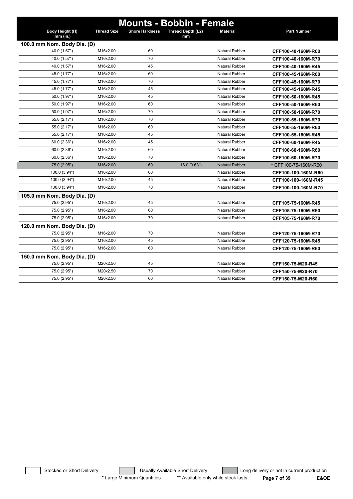| <b>Mounts - Bobbin - Female</b>             |                    |                       |                   |                       |                      |  |
|---------------------------------------------|--------------------|-----------------------|-------------------|-----------------------|----------------------|--|
| Body Height (H)                             | <b>Thread Size</b> | <b>Shore Hardness</b> | Thread Depth (L2) | <b>Material</b>       | <b>Part Number</b>   |  |
| $mm$ (in.)                                  |                    |                       | mm                |                       |                      |  |
| 100.0 mm Nom. Body Dia. (D)<br>40.0 (1.57") | M16x2.00           | 60                    |                   | <b>Natural Rubber</b> | CFF100-40-160M-R60   |  |
| 40.0 (1.57")                                | M16x2.00           | 70                    |                   | <b>Natural Rubber</b> | CFF100-40-160M-R70   |  |
| 40.0 (1.57")                                | M16x2.00           | 45                    |                   | <b>Natural Rubber</b> | CFF100-40-160M-R45   |  |
| 45.0 (1.77")                                | M16x2.00           | 60                    |                   | <b>Natural Rubber</b> | CFF100-45-160M-R60   |  |
| 45.0 (1.77")                                | M16x2.00           | 70                    |                   | <b>Natural Rubber</b> | CFF100-45-160M-R70   |  |
| 45.0 (1.77")                                | M16x2.00           | 45                    |                   | Natural Rubber        | CFF100-45-160M-R45   |  |
| 50.0 (1.97")                                | M16x2.00           | 45                    |                   | <b>Natural Rubber</b> | CFF100-50-160M-R45   |  |
| 50.0 (1.97")                                | M16x2.00           | 60                    |                   | <b>Natural Rubber</b> | CFF100-50-160M-R60   |  |
| 50.0 (1.97")                                | M16x2.00           | 70                    |                   | <b>Natural Rubber</b> | CFF100-50-160M-R70   |  |
| 55.0 (2.17")                                | M16x2.00           | 70                    |                   | Natural Rubber        | CFF100-55-160M-R70   |  |
| 55.0 (2.17")                                | M16x2.00           | 60                    |                   | <b>Natural Rubber</b> | CFF100-55-160M-R60   |  |
| 55.0 (2.17")                                | M16x2.00           | 45                    |                   | <b>Natural Rubber</b> | CFF100-55-160M-R45   |  |
| 60.0 (2.36")                                | M16x2.00           | 45                    |                   | <b>Natural Rubber</b> |                      |  |
|                                             | M16x2.00           | 60                    |                   | <b>Natural Rubber</b> | CFF100-60-160M-R45   |  |
| 60.0(2.36")<br>60.0(2.36")                  | M16x2.00           | 70                    |                   | <b>Natural Rubber</b> | CFF100-60-160M-R60   |  |
| 75.0 (2.95")                                | M16x2.00           | 60                    |                   | <b>Natural Rubber</b> | CFF100-60-160M-R70   |  |
| 100.0 (3.94")                               | M16x2.00           | 60                    | 16.0 (0.63")      | <b>Natural Rubber</b> | * CFF100-75-160M-R60 |  |
|                                             | M16x2.00           | 45                    |                   | <b>Natural Rubber</b> | CFF100-100-160M-R60  |  |
| 100.0 (3.94")                               | M16x2.00           | 70                    |                   | <b>Natural Rubber</b> | CFF100-100-160M-R45  |  |
| 100.0 (3.94")                               |                    |                       |                   |                       | CFF100-100-160M-R70  |  |
| 105.0 mm Nom. Body Dia. (D)                 |                    |                       |                   |                       |                      |  |
| 75.0 (2.95")                                | M16x2.00           | 45                    |                   | Natural Rubber        | CFF105-75-160M-R45   |  |
| 75.0 (2.95")                                | M16x2.00           | 60                    |                   | <b>Natural Rubber</b> | CFF105-75-160M-R60   |  |
| 75.0 (2.95")                                | M16x2.00           | 70                    |                   | <b>Natural Rubber</b> | CFF105-75-160M-R70   |  |
| 120.0 mm Nom. Body Dia. (D)                 |                    |                       |                   |                       |                      |  |
| 75.0 (2.95")                                | M16x2.00           | 70                    |                   | Natural Rubber        | CFF120-75-160M-R70   |  |
| 75.0 (2.95")                                | M16x2.00           | 45                    |                   | <b>Natural Rubber</b> | CFF120-75-160M-R45   |  |
| 75.0 (2.95")                                | M16x2.00           | 60                    |                   | <b>Natural Rubber</b> | CFF120-75-160M-R60   |  |
| 150.0 mm Nom. Body Dia. (D)                 |                    |                       |                   |                       |                      |  |
| 75.0 (2.95")                                | M20x2.50           | 45                    |                   | <b>Natural Rubber</b> | CFF150-75-M20-R45    |  |
| 75.0 (2.95")                                | M20x2.50           | 70                    |                   | <b>Natural Rubber</b> | CFF150-75-M20-R70    |  |
| 75.0 (2.95")                                | M20x2.50           | 60                    |                   | Natural Rubber        | CFF150-75-M20-R60    |  |

Stocked or Short Delivery **Contains the Usually Available Short Delivery Containery** Long delivery or not in current production \* Large Minimum Quantities \*\* Available only while stock lasts **Page 7 of 39 E&OE**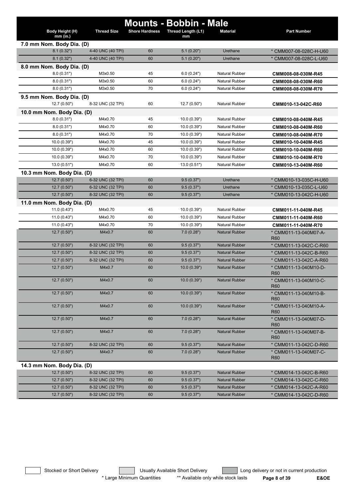|                               |                    |                       | <b>Mounts - Bobbin - Male</b> |                       |                                          |
|-------------------------------|--------------------|-----------------------|-------------------------------|-----------------------|------------------------------------------|
| Body Height (H)<br>$mm$ (in.) | <b>Thread Size</b> | <b>Shore Hardness</b> | Thread Length (L1)<br>mm      | <b>Material</b>       | <b>Part Number</b>                       |
| 7.0 mm Nom. Body Dia. (D)     |                    |                       |                               |                       |                                          |
| 8.1(0.32")                    | 4-40 UNC (40 TPI)  | 60                    | 5.1(0.20")                    | Urethane              | * CMM007-08-028C-H-U60                   |
| 8.1(0.32")                    | 4-40 UNC (40 TPI)  | 60                    | 5.1(0.20")                    | Urethane              | * CMM007-08-028C-L-U60                   |
| 8.0 mm Nom. Body Dia. (D)     |                    |                       |                               |                       |                                          |
| 8.0(0.31")                    | M3x0.50            | 45                    | 6.0(0.24")                    | Natural Rubber        | CMM008-08-030M-R45                       |
| 8.0(0.31")                    | M3x0.50            | 60                    | 6.0(0.24")                    | <b>Natural Rubber</b> | CMM008-08-030M-R60                       |
| 8.0(0.31")                    | M3x0.50            | 70                    | 6.0(0.24")                    | <b>Natural Rubber</b> | CMM008-08-030M-R70                       |
| 9.5 mm Nom. Body Dia. (D)     |                    |                       |                               |                       |                                          |
| 12.7 (0.50")                  | 8-32 UNC (32 TPI)  | 60                    | 12.7 (0.50")                  | <b>Natural Rubber</b> | CMM010-13-042C-R60                       |
| 10.0 mm Nom. Body Dia. (D)    |                    |                       |                               |                       |                                          |
| 8.0(0.31")                    | M4x0.70            | 45                    | 10.0(0.39")                   | <b>Natural Rubber</b> | CMM010-08-040M-R45                       |
| 8.0(0.31")                    | M4x0.70            | 60                    | 10.0(0.39")                   | <b>Natural Rubber</b> | CMM010-08-040M-R60                       |
| 8.0(0.31")                    | M4x0.70            | 70                    | 10.0 (0.39")                  | <b>Natural Rubber</b> | CMM010-08-040M-R70                       |
| 10.0(0.39")                   | M4x0.70            | 45                    | 10.0(0.39")                   | <b>Natural Rubber</b> | CMM010-10-040M-R45                       |
| 10.0 (0.39")                  | M4x0.70            | 60                    | 10.0(0.39")                   | <b>Natural Rubber</b> | CMM010-10-040M-R60                       |
| 10.0 (0.39")                  | M4x0.70            | 70                    | 10.0(0.39")                   | <b>Natural Rubber</b> | CMM010-10-040M-R70                       |
| 13.0(0.51")                   | M4x0.70            | 60                    | 13.0(0.51")                   | <b>Natural Rubber</b> | CMM010-13-040M-R60                       |
| 10.3 mm Nom. Body Dia. (D)    |                    |                       |                               |                       |                                          |
| 12.7 (0.50")                  | 6-32 UNC (32 TPI)  | 60                    | 9.5(0.37")                    | Urethane              | * CMM010-13-035C-H-U60                   |
| 12.7(0.50")                   | 6-32 UNC (32 TPI)  | 60                    | 9.5(0.37")                    | Urethane              | * CMM010-13-035C-L-U60                   |
| 12.7(0.50")                   | 8-32 UNC (32 TPI)  | 60                    | 9.5(0.37")                    | Urethane              | * CMM010-13-042C-H-U60                   |
| 11.0 mm Nom. Body Dia. (D)    |                    |                       |                               |                       |                                          |
| 11.0(0.43")                   | M4x0.70            | 45                    | 10.0(0.39")                   | <b>Natural Rubber</b> | CMM011-11-040M-R45                       |
| 11.0(0.43")                   | M4x0.70            | 60                    | 10.0(0.39")                   | <b>Natural Rubber</b> | CMM011-11-040M-R60                       |
| 11.0(0.43")                   | M4x0.70            | 70                    | 10.0 (0.39")                  | <b>Natural Rubber</b> | CMM011-11-040M-R70                       |
| 12.7 (0.50")                  | M4x0.7             | 60                    | 7.0(0.28")                    | <b>Natural Rubber</b> | * CMM011-13-040M07-A-<br>R <sub>60</sub> |
| 12.7(0.50")                   | 8-32 UNC (32 TPI)  | 60                    | 9.5(0.37")                    | <b>Natural Rubber</b> | * CMM011-13-042C-C-R60                   |
| 12.7 (0.50")                  | 8-32 UNC (32 TPI)  | 60                    | 9.5(0.37")                    | <b>Natural Rubber</b> | * CMM011-13-042C-B-R60                   |
| 12.7 (0.50")                  | 8-32 UNC (32 TPI)  | 60                    | 9.5(0.37")                    | <b>Natural Rubber</b> | * CMM011-13-042C-A-R60                   |
| 12.7(0.50")                   | M4x0.7             | 60                    | 10.0 (0.39")                  | <b>Natural Rubber</b> | * CMM011-13-040M10-D-<br>R <sub>60</sub> |
| 12.7(0.50")                   | M4x0.7             | 60                    | 10.0(0.39")                   | <b>Natural Rubber</b> | * CMM011-13-040M10-C-<br><b>R60</b>      |
| 12.7 (0.50")                  | M4x0.7             | 60                    | 10.0 (0.39")                  | <b>Natural Rubber</b> | * CMM011-13-040M10-B-<br>R <sub>60</sub> |
| 12.7(0.50")                   | M4x0.7             | 60                    | 10.0(0.39")                   | <b>Natural Rubber</b> | * CMM011-13-040M10-A-<br>R <sub>60</sub> |
| 12.7 (0.50")                  | M4x0.7             | 60                    | 7.0(0.28")                    | <b>Natural Rubber</b> | * CMM011-13-040M07-D-<br>R <sub>60</sub> |
| 12.7 (0.50")                  | M4x0.7             | 60                    | 7.0(0.28")                    | <b>Natural Rubber</b> | * CMM011-13-040M07-B-<br>R <sub>60</sub> |
| 12.7 (0.50")                  | 8-32 UNC (32 TPI)  | 60                    | 9.5(0.37")                    | <b>Natural Rubber</b> | * CMM011-13-042C-D-R60                   |
| 12.7(0.50")                   | M4x0.7             | 60                    | 7.0(0.28")                    | <b>Natural Rubber</b> | * CMM011-13-040M07-C-<br><b>R60</b>      |
| 14.3 mm Nom. Body Dia. (D)    |                    |                       |                               |                       |                                          |
| 12.7 (0.50")                  | 8-32 UNC (32 TPI)  | 60                    | 9.5(0.37")                    | <b>Natural Rubber</b> | * CMM014-13-042C-B-R60                   |
| 12.7 (0.50")                  | 8-32 UNC (32 TPI)  | 60                    | 9.5(0.37")                    | <b>Natural Rubber</b> | * CMM014-13-042C-C-R60                   |
| 12.7 (0.50")                  | 8-32 UNC (32 TPI)  | 60                    | 9.5(0.37")                    | <b>Natural Rubber</b> | * CMM014-13-042C-A-R60                   |
| 12.7 (0.50")                  | 8-32 UNC (32 TPI)  | 60                    | 9.5(0.37")                    | <b>Natural Rubber</b> | * CMM014-13-042C-D-R60                   |

Stocked or Short Delivery **Contract Contract Contract Usually Available Short Delivery Contract Long delivery or not in current production** \* Large Minimum Quantities \*\* Available only while stock lasts **Page 8 of 39 E&OE**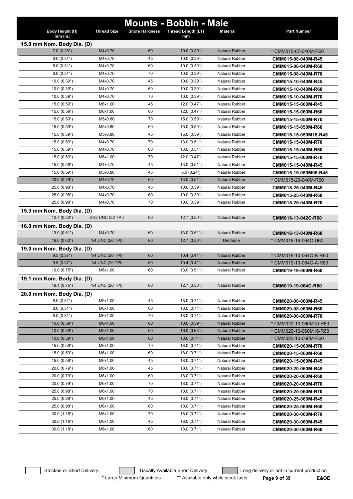|                                            |                    |                       | <b>Mounts - Bobbin - Male</b> |                       |                                              |
|--------------------------------------------|--------------------|-----------------------|-------------------------------|-----------------------|----------------------------------------------|
| Body Height (H)                            | <b>Thread Size</b> | <b>Shore Hardness</b> | Thread Length (L1)            | <b>Material</b>       | <b>Part Number</b>                           |
| $mm$ (in.)                                 |                    |                       | mm                            |                       |                                              |
| 15.0 mm Nom. Body Dia. (D)<br>7.0(0.28")   | M4x0.70            | 60                    | 10.0(0.39")                   | <b>Natural Rubber</b> | * CMM015-07-040M-R60                         |
| 8.0(0.31")                                 | M4x0.70            | 45                    | 10.0(0.39")                   | <b>Natural Rubber</b> | CMM015-08-040M-R45                           |
| 8.0(0.31")                                 | M4x0.70            | 60                    | 10.0 (0.39")                  | <b>Natural Rubber</b> | CMM015-08-040M-R60                           |
| 8.0(0.31")                                 | M4x0.70            | 70                    | 10.0(0.39")                   | <b>Natural Rubber</b> | CMM015-08-040M-R70                           |
| 10.0 (0.39")                               | M4x0.70            | 45                    | 10.0(0.39")                   | <b>Natural Rubber</b> | CMM015-10-040M-R45                           |
| 10.0 (0.39")                               | M4x0.70            | 60                    | 10.0(0.39")                   | <b>Natural Rubber</b> | CMM015-10-040M-R60                           |
| 10.0 (0.39")                               | M4x0.70            | 70                    | 10.0(0.39")                   | <b>Natural Rubber</b> | CMM015-10-040M-R70                           |
| 15.0 (0.59")                               | M6x1.00            | 45                    | 12.0(0.47")                   | <b>Natural Rubber</b> | CMM015-15-060M-R45                           |
| 15.0 (0.59")                               | M6x1.00            | 60                    | 12.0(0.47")                   | <b>Natural Rubber</b> | CMM015-15-060M-R60                           |
| 15.0 (0.59")                               | M5x0.80            | 70                    | 15.0 (0.59")                  | <b>Natural Rubber</b> | CMM015-15-050M-R70                           |
| 15.0 (0.59")                               | M5x0.80            | 60                    | 15.0 (0.59")                  | <b>Natural Rubber</b> | CMM015-15-050M-R60                           |
| 15.0 (0.59")                               | M5x0.80            | 45                    | 15.0 (0.59")                  | Natural Rubber        | CMM015-15-050M15-R45                         |
| 15.0 (0.59")                               | M4x0.70            | 70                    | 13.0(0.51")                   | <b>Natural Rubber</b> | CMM015-15-040M-R70                           |
| 15.0 (0.59")                               | M4x0.70            | 60                    | 13.0(0.51")                   | <b>Natural Rubber</b> | CMM015-15-040M-R60                           |
| 15.0 (0.59")                               | M6x1.00            | 70                    | 12.0(0.47")                   | <b>Natural Rubber</b> | CMM015-15-060M-R70                           |
| 15.0 (0.59")                               | M4x0.70            | 45                    | 13.0(0.51")                   | <b>Natural Rubber</b> | CMM015-15-040M-R45                           |
| 15.0 (0.59")                               | M5x0.80            | 45                    | 6.0(0.24")                    | Natural Rubber        |                                              |
| 20.0 (0.79")                               | M4x0.70            | 60                    | 13.0 (0.51")                  | <b>Natural Rubber</b> | CMM015-15-050M06-R45<br>* CMM015-20-040M-R60 |
| 25.0 (0.98")                               | M4x0.70            | 45                    | 10.0(0.39")                   | <b>Natural Rubber</b> | CMM015-25-040M-R45                           |
| 25.0 (0.98")                               | M4x0.70            | 60                    | 10.0 (0.39")                  | <b>Natural Rubber</b> | CMM015-25-040M-R60                           |
| 25.0 (0.98")                               | M4x0.70            | 70                    | 10.0(0.39")                   | <b>Natural Rubber</b> | CMM015-25-040M-R70                           |
|                                            |                    |                       |                               |                       |                                              |
| 15.9 mm Nom. Body Dia. (D)<br>12.7(0.50")  | 8-32 UNC (32 TPI)  | 60                    | 12.7(0.50")                   | <b>Natural Rubber</b> |                                              |
|                                            |                    |                       |                               |                       | CMM016-13-042C-R60                           |
| 16.0 mm Nom. Body Dia. (D)<br>13.0 (0.51") | M4x0.70            | 60                    | 13.0(0.51")                   | <b>Natural Rubber</b> |                                              |
| 16.0(0.63")                                | 1/4 UNC (20 TPI)   | 60                    | 12.7(0.50")                   | Urethane              | CMM016-13-040M-R60                           |
|                                            |                    |                       |                               |                       | * CMM016-16-064C-U60                         |
| 19.0 mm Nom. Body Dia. (D)<br>9.5(0.37")   | 1/4 UNC (20 TPI)   | 60                    | 10.4(0.41")                   | <b>Natural Rubber</b> | * CMM019-10-064C-B-R60                       |
| 9.5(0.37")                                 | 1/4 UNC (20 TPI)   | 60                    | 10.4(0.41")                   | <b>Natural Rubber</b> | * CMM019-10-064C-A-R60                       |
| 19.0 (0.75")                               | M6x1.00            | 60                    | 13.0(0.51")                   | <b>Natural Rubber</b> | CMM019-19-060M-R60                           |
|                                            |                    |                       |                               |                       |                                              |
| 19.1 mm Nom. Body Dia. (D)<br>19.1(0.75")  | 1/4 UNC (20 TPI)   | 60                    | 12.7(0.50")                   | <b>Natural Rubber</b> | CMM019-19-064C-R60                           |
|                                            |                    |                       |                               |                       |                                              |
| 20.0 mm Nom. Body Dia. (D)<br>8.0(0.31")   | M6x1.00            | 45                    | 18.0 (0.71")                  | Natural Rubber        |                                              |
| 8.0(0.31")                                 | M6x1.00            | 60                    | 18.0 (0.71")                  | <b>Natural Rubber</b> | CMM020-08-060M-R45<br>CMM020-08-060M-R60     |
| 8.0(0.31")                                 | M6x1.00            | 70                    | 18.0 (0.71")                  | Natural Rubber        | CMM020-08-060M-R70                           |
| 10.0(0.39")                                | M6x1.00            | 60                    | 10.0(0.39")                   | <b>Natural Rubber</b> | * CMM020-10-060M10-R60                       |
| 10.0(0.39")                                | M6x1.00            | 60                    | 16.0(0.63")                   | <b>Natural Rubber</b> | * CMM020-10-060M16-R60                       |
| 10.0(0.39")                                | M6x1.00            | 60                    | 18.0(0.71")                   | <b>Natural Rubber</b> | * CMM020-10-060M-R60                         |
| 15.0 (0.59")                               | M6x1.00            | 70                    | 18.0(0.71")                   | <b>Natural Rubber</b> | CMM020-15-060M-R70                           |
| 15.0 (0.59")                               | M6x1.00            | 60                    | 18.0(0.71")                   | Natural Rubber        | CMM020-15-060M-R60                           |
| 15.0 (0.59")                               | M6x1.00            | 45                    | 18.0(0.71")                   | <b>Natural Rubber</b> | CMM020-15-060M-R45                           |
| 20.0 (0.79")                               | M6x1.00            | 45                    | 18.0(0.71")                   | Natural Rubber        |                                              |
| 20.0 (0.79")                               | M6x1.00            | 60                    | 18.0(0.71")                   | Natural Rubber        | CMM020-20-060M-R45                           |
| 20.0 (0.79")                               | M6x1.00            | 70                    | 18.0(0.71")                   | Natural Rubber        | CMM020-20-060M-R60                           |
| 25.0 (0.98")                               | M6x1.00            | 70                    | 18.0(0.71")                   | Natural Rubber        | CMM020-20-060M-R70                           |
| 25.0 (0.98")                               | M6x1.00            | 45                    | 18.0(0.71")                   | <b>Natural Rubber</b> | CMM020-25-060M-R70                           |
| 25.0 (0.98")                               | M6x1.00            | 60                    | 18.0(0.71")                   | <b>Natural Rubber</b> | CMM020-25-060M-R45                           |
|                                            |                    | 70                    |                               |                       | CMM020-25-060M-R60                           |
| 30.0(1.18")                                | M6x1.00            | 45                    | 18.0(0.71")                   | Natural Rubber        | CMM020-30-060M-R70                           |
| 30.0(1.18")                                | M6x1.00            |                       | 18.0(0.71")                   | Natural Rubber        | CMM020-30-060M-R45                           |
| 30.0(1.18")                                | M6x1.00            | 60                    | 18.0 (0.71")                  | Natural Rubber        | CMM020-30-060M-R60                           |

Stocked or Short Delivery **Contains the Usually Available Short Delivery Containery** Long delivery or not in current production \* Large Minimum Quantities \*\* Available only while stock lasts **Page 9 of 39 E&OE**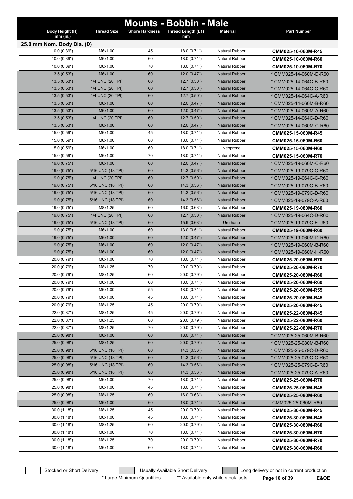|                               |                    |                       | <b>Mounts - Bobbin - Male</b> |                                         |                                          |
|-------------------------------|--------------------|-----------------------|-------------------------------|-----------------------------------------|------------------------------------------|
| Body Height (H)<br>$mm$ (in.) | <b>Thread Size</b> | <b>Shore Hardness</b> | Thread Length (L1)<br>mm      | <b>Material</b>                         | <b>Part Number</b>                       |
| 25.0 mm Nom. Body Dia. (D)    |                    |                       |                               |                                         |                                          |
| 10.0 (0.39")                  | M6x1.00            | 45                    | 18.0 (0.71")                  | <b>Natural Rubber</b>                   | CMM025-10-060M-R45                       |
| 10.0(0.39")                   | M6x1.00            | 60                    | 18.0 (0.71")                  | <b>Natural Rubber</b>                   | CMM025-10-060M-R60                       |
| 10.0(0.39")                   | M6x1.00            | 70                    | 18.0 (0.71")                  | <b>Natural Rubber</b>                   | CMM025-10-060M-R70                       |
| 13.5(0.53")                   | M6x1.00            | 60                    | 12.0(0.47")                   | <b>Natural Rubber</b>                   | * CMM025-14-060M-D-R60                   |
| 13.5 (0.53")                  | 1/4 UNC (20 TPI)   | 60                    | 12.7(0.50")                   | <b>Natural Rubber</b>                   | * CMM025-14-064C-B-R60                   |
| 13.5(0.53")                   | 1/4 UNC (20 TPI)   | 60                    | 12.7(0.50")                   | <b>Natural Rubber</b>                   | * CMM025-14-064C-C-R60                   |
| 13.5(0.53")                   | 1/4 UNC (20 TPI)   | 60                    | 12.7(0.50")                   | <b>Natural Rubber</b>                   | * CMM025-14-064C-A-R60                   |
| 13.5(0.53")                   | M6x1.00            | 60                    | 12.0(0.47")                   | <b>Natural Rubber</b>                   | * CMM025-14-060M-B-R60                   |
| 13.5(0.53")                   | M6x1.00            | 60                    | 12.0(0.47")                   | <b>Natural Rubber</b>                   | * CMM025-14-060M-A-R60                   |
| 13.5(0.53")                   | 1/4 UNC (20 TPI)   | 60                    | 12.7(0.50")                   | <b>Natural Rubber</b>                   | * CMM025-14-064C-D-R60                   |
| 13.5(0.53")                   | M6x1.00            | 60                    | 12.0(0.47")                   | <b>Natural Rubber</b>                   | * CMM025-14-060M-C-R60                   |
| 15.0 (0.59")                  | M6x1.00            | 45                    | 18.0 (0.71")                  | <b>Natural Rubber</b>                   | CMM025-15-060M-R45                       |
| 15.0 (0.59")                  | M6x1.00            | 60                    | 18.0 (0.71")                  | <b>Natural Rubber</b>                   | CMM025-15-060M-R60                       |
| 15.0 (0.59")                  | M6x1.00            | 60                    | 18.0 (0.71")                  | Neoprene                                | CMM025-15-060M-N60                       |
| 15.0 (0.59")                  | M6x1.00            | 70                    | 18.0 (0.71")                  | <b>Natural Rubber</b>                   | CMM025-15-060M-R70                       |
| 19.0 (0.75")                  | M6x1.00            | 60                    | 12.0(0.47")                   | <b>Natural Rubber</b>                   | * CMM025-19-060M-C-R60                   |
| 19.0 (0.75")                  | 5/16 UNC (18 TPI)  | 60                    | 14.3(0.56")                   | <b>Natural Rubber</b>                   | * CMM025-19-079C-C-R60                   |
| 19.0 (0.75")                  | 1/4 UNC (20 TPI)   | 60                    | 12.7(0.50")                   | <b>Natural Rubber</b>                   | * CMM025-19-064C-C-R60                   |
| 19.0(0.75")                   | 5/16 UNC (18 TPI)  | 60                    | 14.3(0.56")                   | <b>Natural Rubber</b>                   | * CMM025-19-079C-B-R60                   |
| 19.0 (0.75")                  | 5/16 UNC (18 TPI)  | 60                    | 14.3 (0.56")                  | <b>Natural Rubber</b>                   | * CMM025-19-079C-D-R60                   |
| 19.0(0.75")                   | 5/16 UNC (18 TPI)  | 60                    | 14.3 (0.56")                  | <b>Natural Rubber</b>                   | * CMM025-19-079C-A-R60                   |
| 19.0 (0.75")                  | M8x1.25            | 60                    | 16.0 (0.63")                  | <b>Natural Rubber</b>                   | CMM025-19-080M-R60                       |
| 19.0 (0.75")                  | 1/4 UNC (20 TPI)   | 60                    | 12.7(0.50")                   | <b>Natural Rubber</b>                   | * CMM025-19-064C-D-R60                   |
| 19.0 (0.75")                  | 5/16 UNC (18 TPI)  | 60                    | 15.9(0.63")                   | Urethane                                | * CMM025-19-079C-E-U60                   |
| 19.0(0.75")                   | M6x1.00            | 60                    | 13.0(0.51")                   | <b>Natural Rubber</b>                   | CMM025-19-060M-R60                       |
| 19.0(0.75")                   | M6x1.00            | 60                    | 12.0(0.47")                   | <b>Natural Rubber</b>                   | * CMM025-19-060M-D-R60                   |
| 19.0 (0.75")                  | M6x1.00            | 60                    | 12.0(0.47")                   | <b>Natural Rubber</b>                   | * CMM025-19-060M-B-R60                   |
| 19.0 (0.75")                  | M6x1.00            | 60                    | 12.0(0.47")                   | <b>Natural Rubber</b>                   | * CMM025-19-060M-H-R60                   |
| 20.0 (0.79")                  | M6x1.00            | 70                    | 18.0(0.71")                   | <b>Natural Rubber</b>                   | CMM025-20-060M-R70                       |
| 20.0 (0.79")                  | M8x1.25            | 70                    | 20.0 (0.79")                  | <b>Natural Rubber</b>                   | CMM025-20-080M-R70                       |
| 20.0 (0.79")<br>20.0 (0.79")  | M8x1.25<br>M6x1.00 | 60<br>60              | 20.0 (0.79")<br>18.0 (0.71")  | <b>Natural Rubber</b><br>Natural Rubber | CMM025-20-080M-R60                       |
|                               |                    |                       | 18.0 (0.71")                  |                                         | CMM025-20-060M-R60                       |
| 20.0 (0.79")<br>20.0 (0.79")  | M6x1.00<br>M6x1.00 | 55<br>45              | 18.0 (0.71")                  | <b>Natural Rubber</b><br>Natural Rubber | CMM025-20-060M-R55                       |
| 20.0 (0.79")                  | M8x1.25            | 45                    | 20.0 (0.79")                  | Natural Rubber                          | CMM025-20-060M-R45                       |
| 22.0 (0.87")                  | M8x1.25            | 45                    | 20.0 (0.79")                  | Natural Rubber                          | CMM025-20-080M-R45                       |
| 22.0 (0.87")                  | M8x1.25            | 60                    | 20.0 (0.79")                  | <b>Natural Rubber</b>                   | CMM025-22-080M-R45<br>CMM025-22-080M-R60 |
| 22.0 (0.87")                  | M8x1.25            | 70                    | 20.0 (0.79")                  | <b>Natural Rubber</b>                   | CMM025-22-080M-R70                       |
| 25.0 (0.98")                  | M6x1.00            | 60                    | 18.0(0.71")                   | <b>Natural Rubber</b>                   | * CMM025-25-060M-B-R60                   |
| 25.0 (0.98")                  | M8x1.25            | 60                    | 20.0 (0.79")                  | <b>Natural Rubber</b>                   | * CMM025-25-080M-B-R60                   |
| 25.0 (0.98")                  | 5/16 UNC (18 TPI)  | 60                    | 14.3(0.56")                   | <b>Natural Rubber</b>                   | * CMM025-25-079C-D-R60                   |
| 25.0 (0.98")                  | 5/16 UNC (18 TPI)  | 60                    | 14.3(0.56")                   | <b>Natural Rubber</b>                   | * CMM025-25-079C-C-R60                   |
| 25.0 (0.98")                  | 5/16 UNC (18 TPI)  | 60                    | 14.3 (0.56")                  | <b>Natural Rubber</b>                   | * CMM025-25-079C-B-R60                   |
| 25.0 (0.98")                  | 5/16 UNC (18 TPI)  | 60                    | 14.3 (0.56")                  | <b>Natural Rubber</b>                   | * CMM025-25-079C-A-R60                   |
| 25.0 (0.98")                  | M6x1.00            | 70                    | 18.0 (0.71")                  | Natural Rubber                          | CMM025-25-060M-R70                       |
| 25.0 (0.98")                  | M6x1.00            | 45                    | 18.0 (0.71")                  | Natural Rubber                          | CMM025-25-060M-R45                       |
| 25.0 (0.98")                  | M8x1.25            | 60                    | 16.0(0.63")                   | <b>Natural Rubber</b>                   | CMM025-25-080M-R60                       |
| 25.0 (0.98")                  | M6x1.00            | 60                    | 18.0(0.71")                   | <b>Natural Rubber</b>                   | CMM025-25-060M-R60                       |
| 30.0 (1.18")                  | M8x1.25            | 45                    | 20.0 (0.79")                  | <b>Natural Rubber</b>                   | CMM025-30-080M-R45                       |
| 30.0 (1.18")                  | M6x1.00            | 45                    | 18.0 (0.71")                  | Natural Rubber                          | CMM025-30-060M-R45                       |
| 30.0 (1.18")                  | M8x1.25            | 60                    | 20.0 (0.79")                  | Natural Rubber                          | CMM025-30-080M-R60                       |
| 30.0 (1.18")                  | M6x1.00            | 70                    | 18.0 (0.71")                  | Natural Rubber                          | CMM025-30-060M-R70                       |
| 30.0 (1.18")                  | M8x1.25            | 70                    | 20.0 (0.79")                  | Natural Rubber                          | CMM025-30-080M-R70                       |
| 30.0 (1.18")                  | M6x1.00            | 60                    | 18.0 (0.71")                  | Natural Rubber                          | CMM025-30-060M-R60                       |
|                               |                    |                       |                               |                                         |                                          |

Stocked or Short Delivery **Contains the Usually Available Short Delivery Containery** Long delivery or not in current production

\* Large Minimum Quantities \*\* Available only while stock lasts **Page 10 of 39 E&OE**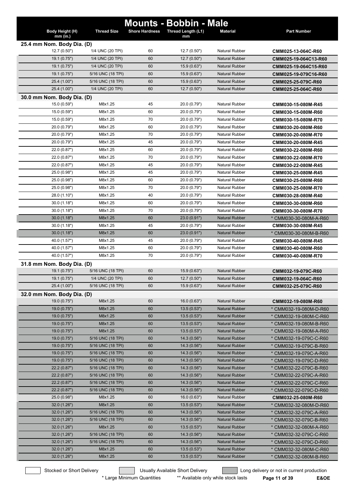|                               |                    |                       | <b>Mounts - Bobbin - Male</b> |                       |                        |
|-------------------------------|--------------------|-----------------------|-------------------------------|-----------------------|------------------------|
| Body Height (H)<br>$mm$ (in.) | <b>Thread Size</b> | <b>Shore Hardness</b> | Thread Length (L1)<br>mm      | <b>Material</b>       | <b>Part Number</b>     |
| 25.4 mm Nom. Body Dia. (D)    |                    |                       |                               |                       |                        |
| 12.7 (0.50")                  | 1/4 UNC (20 TPI)   | 60                    | 12.7(0.50")                   | <b>Natural Rubber</b> | CMM025-13-064C-R60     |
| 19.1 (0.75")                  | 1/4 UNC (20 TPI)   | 60                    | 12.7(0.50")                   | <b>Natural Rubber</b> | CMM025-19-064C13-R60   |
| 19.1 (0.75")                  | 1/4 UNC (20 TPI)   | 60                    | 15.9(0.63")                   | <b>Natural Rubber</b> | CMM025-19-064C15-R60   |
| 19.1 (0.75")                  | 5/16 UNC (18 TPI)  | 60                    | 15.9(0.63")                   | <b>Natural Rubber</b> | CMM025-19-079C16-R60   |
| 25.4 (1.00")                  | 5/16 UNC (18 TPI)  | 60                    | 15.9(0.63")                   | <b>Natural Rubber</b> | CMM025-25-079C-R60     |
| 25.4 (1.00")                  | 1/4 UNC (20 TPI)   | 60                    | 12.7(0.50")                   | <b>Natural Rubber</b> | CMM025-25-064C-R60     |
| 30.0 mm Nom. Body Dia. (D)    |                    |                       |                               |                       |                        |
| 15.0 (0.59")                  | M8x1.25            | 45                    | 20.0 (0.79")                  | <b>Natural Rubber</b> | CMM030-15-080M-R45     |
| 15.0 (0.59")                  | M8x1.25            | 60                    | 20.0 (0.79")                  | <b>Natural Rubber</b> | CMM030-15-080M-R60     |
| 15.0 (0.59")                  | M8x1.25            | 70                    | 20.0 (0.79")                  | <b>Natural Rubber</b> | CMM030-15-080M-R70     |
| 20.0 (0.79")                  | M8x1.25            | 60                    | 20.0 (0.79")                  | <b>Natural Rubber</b> | CMM030-20-080M-R60     |
| 20.0 (0.79")                  | M8x1.25            | 70                    | 20.0 (0.79")                  | <b>Natural Rubber</b> | CMM030-20-080M-R70     |
| 20.0 (0.79")                  | M8x1.25            | 45                    | 20.0 (0.79")                  | <b>Natural Rubber</b> | CMM030-20-080M-R45     |
| 22.0 (0.87")                  | M8x1.25            | 60                    | 20.0 (0.79")                  | <b>Natural Rubber</b> | CMM030-22-080M-R60     |
| 22.0 (0.87")                  | M8x1.25            | 70                    | 20.0 (0.79")                  | <b>Natural Rubber</b> |                        |
| 22.0 (0.87")                  | M8x1.25            | 45                    | 20.0 (0.79")                  | <b>Natural Rubber</b> | CMM030-22-080M-R70     |
| 25.0 (0.98")                  | M8x1.25            | 45                    | 20.0 (0.79")                  | <b>Natural Rubber</b> | CMM030-22-080M-R45     |
| 25.0 (0.98")                  | M8x1.25            | 60                    | 20.0 (0.79")                  | <b>Natural Rubber</b> | CMM030-25-080M-R45     |
|                               |                    |                       |                               |                       | CMM030-25-080M-R60     |
| 25.0 (0.98")                  | M8x1.25            | 70<br>40              | 20.0 (0.79")                  | <b>Natural Rubber</b> | CMM030-25-080M-R70     |
| 28.0 (1.10")                  | M8x1.25            |                       | 20.0 (0.79")                  | <b>Natural Rubber</b> | CMM030-28-080M-R40     |
| 30.0(1.18")                   | M8x1.25            | 60                    | 20.0 (0.79")                  | <b>Natural Rubber</b> | CMM030-30-080M-R60     |
| 30.0(1.18")                   | M8x1.25            | 70                    | 20.0 (0.79")                  | <b>Natural Rubber</b> | CMM030-30-080M-R70     |
| 30.0(1.18")                   | M8x1.25            | 60                    | 23.0(0.91")                   | <b>Natural Rubber</b> | * CMM030-30-080M-A-R60 |
| 30.0(1.18")                   | M8x1.25            | 45                    | 20.0 (0.79")                  | <b>Natural Rubber</b> | CMM030-30-080M-R45     |
| 30.0(1.18")                   | M8x1.25            | 60                    | 23.0(0.91")                   | <b>Natural Rubber</b> | * CMM030-30-080M-B-R60 |
| 40.0 (1.57")                  | M8x1.25            | 45                    | 20.0 (0.79")                  | <b>Natural Rubber</b> | CMM030-40-080M-R45     |
| 40.0 (1.57")                  | M8x1.25            | 60                    | 20.0 (0.79")                  | <b>Natural Rubber</b> | CMM030-40-080M-R60     |
| 40.0 (1.57")                  | M8x1.25            | 70                    | 20.0 (0.79")                  | <b>Natural Rubber</b> | CMM030-40-080M-R70     |
| 31.8 mm Nom. Body Dia. (D)    |                    |                       |                               |                       |                        |
| 19.1 (0.75")                  | 5/16 UNC (18 TPI)  | 60                    | 15.9(0.63")                   | <b>Natural Rubber</b> | CMM032-19-079C-R60     |
| 19.1(0.75")                   | 1/4 UNC (20 TPI)   | 60                    | 12.7(0.50")                   | <b>Natural Rubber</b> | CMM032-19-064C-R60     |
| 25.4 (1.00")                  | 5/16 UNC (18 TPI)  | 60                    | 15.9(0.63")                   | <b>Natural Rubber</b> | CMM032-25-079C-R60     |
| 32.0 mm Nom. Body Dia. (D)    |                    |                       |                               |                       |                        |
| 19.0 (0.75")                  | M8x1.25            | 60                    | 16.0(0.63")                   | <b>Natural Rubber</b> | CMM032-19-080M-R60     |
| 19.0(0.75")                   | M8x1.25            | 60                    | 13.5(0.53")                   | <b>Natural Rubber</b> | * CMM032-19-080M-D-R60 |
| 19.0 (0.75")                  | M8x1.25            | 60                    | 13.5(0.53")                   | <b>Natural Rubber</b> | * CMM032-19-080M-C-R60 |
| 19.0 (0.75")                  | M8x1.25            | 60                    | 13.5(0.53")                   | <b>Natural Rubber</b> | * CMM032-19-080M-B-R60 |
| 19.0(0.75")                   | M8x1.25            | 60                    | 13.5(0.53")                   | <b>Natural Rubber</b> | * CMM032-19-080M-A-R60 |
| 19.0(0.75")                   | 5/16 UNC (18 TPI)  | 60                    | 14.3(0.56")                   | <b>Natural Rubber</b> | * CMM032-19-079C-C-R60 |
| 19.0(0.75")                   | 5/16 UNC (18 TPI)  | 60                    | 14.3(0.56")                   | <b>Natural Rubber</b> | * CMM032-19-079C-B-R60 |
| 19.0(0.75")                   | 5/16 UNC (18 TPI)  | 60                    | 14.3(0.56")                   | <b>Natural Rubber</b> | * CMM032-19-079C-A-R60 |
| 19.0(0.75")                   | 5/16 UNC (18 TPI)  | 60                    | 14.3(0.56")                   | <b>Natural Rubber</b> | * CMM032-19-079C-D-R60 |
| 22.2(0.87")                   | 5/16 UNC (18 TPI)  | 60                    | 14.3(0.56")                   | <b>Natural Rubber</b> | * CMM032-22-079C-B-R60 |
| 22.2(0.87")                   | 5/16 UNC (18 TPI)  | 60                    | 14.3(0.56")                   | <b>Natural Rubber</b> | * CMM032-22-079C-A-R60 |
| 22.2(0.87")                   | 5/16 UNC (18 TPI)  | 60                    | 14.3(0.56")                   | <b>Natural Rubber</b> | * CMM032-22-079C-C-R60 |
| 22.2 (0.87")                  | 5/16 UNC (18 TPI)  | 60                    | 14.3(0.56")                   | <b>Natural Rubber</b> | * CMM032-22-079C-D-R60 |
| 25.0 (0.98")                  | M8x1.25            | 60                    | 16.0(0.63")                   | Natural Rubber        | CMM032-25-080M-R60     |
| 32.0(1.26")                   | M8x1.25            | 60                    | 13.5(0.53")                   | <b>Natural Rubber</b> | * CMM032-32-080M-D-R60 |
| 32.0 (1.26")                  | 5/16 UNC (18 TPI)  | 60                    | 14.3(0.56")                   | <b>Natural Rubber</b> | * CMM032-32-079C-A-R60 |
| 32.0 (1.26")                  | 5/16 UNC (18 TPI)  | 60                    | 14.3(0.56")                   | <b>Natural Rubber</b> | * CMM032-32-079C-B-R60 |
| 32.0 (1.26")                  | M8x1.25            | 60                    | 13.5(0.53")                   | <b>Natural Rubber</b> | * CMM032-32-080M-A-R60 |
| 32.0(1.26")                   | 5/16 UNC (18 TPI)  | 60                    | 14.3(0.56")                   | <b>Natural Rubber</b> | * CMM032-32-079C-C-R60 |
| 32.0(1.26")                   | 5/16 UNC (18 TPI)  | 60                    | 14.3(0.56")                   | <b>Natural Rubber</b> | * CMM032-32-079C-D-R60 |
| 32.0(1.26")                   | M8x1.25            | 60                    | 13.5(0.53")                   | <b>Natural Rubber</b> | * CMM032-32-080M-C-R60 |
| 32.0(1.26")                   | M8x1.25            | 60                    | 13.5(0.53")                   | <b>Natural Rubber</b> | * CMM032-32-080M-B-R60 |

Stocked or Short Delivery **Contains the Usually Available Short Delivery Contains Long delivery or not in current production** 

\* Large Minimum Quantities \*\* Available only while stock lasts **Page 11 of 39 E&OE**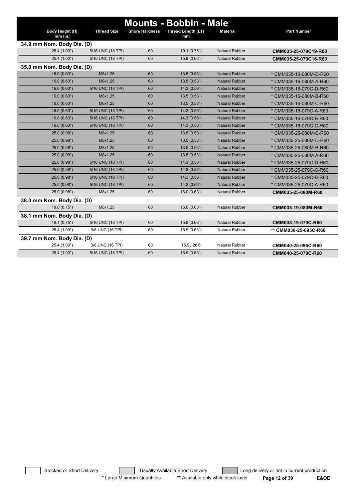|                               |                    |                       | <b>Mounts - Bobbin - Male</b> |                       |                        |
|-------------------------------|--------------------|-----------------------|-------------------------------|-----------------------|------------------------|
| Body Height (H)<br>$mm$ (in.) | <b>Thread Size</b> | <b>Shore Hardness</b> | Thread Length (L1)<br>mm      | <b>Material</b>       | <b>Part Number</b>     |
| 34.9 mm Nom. Body Dia. (D)    |                    |                       |                               |                       |                        |
| 25.4 (1.00")                  | 5/16 UNC (18 TPI)  | 60                    | 19.1 (0.75")                  | <b>Natural Rubber</b> | CMM035-25-079C19-R60   |
| 25.4 (1.00")                  | 5/16 UNC (18 TPI)  | 60                    | 15.9 (0.63")                  | <b>Natural Rubber</b> | CMM035-25-079C16-R60   |
| 35.0 mm Nom. Body Dia. (D)    |                    |                       |                               |                       |                        |
| 16.0(0.63")                   | M8x1.25            | 60                    | 13.5(0.53")                   | <b>Natural Rubber</b> | * CMM035-16-080M-D-R60 |
| 16.0(0.63")                   | M8x1.25            | 60                    | 13.5(0.53")                   | <b>Natural Rubber</b> | * CMM035-16-080M-A-R60 |
| 16.0(0.63")                   | 5/16 UNC (18 TPI)  | 60                    | 14.3(0.56")                   | <b>Natural Rubber</b> | * CMM035-16-079C-D-R60 |
| 16.0(0.63")                   | M8x1.25            | 60                    | 13.5(0.53")                   | <b>Natural Rubber</b> | * CMM035-16-080M-B-R60 |
| 16.0(0.63")                   | M8x1.25            | 60                    | 13.5(0.53")                   | <b>Natural Rubber</b> | * CMM035-16-080M-C-R60 |
| 16.0(0.63")                   | 5/16 UNC (18 TPI)  | 60                    | 14.3 (0.56")                  | <b>Natural Rubber</b> | * CMM035-16-079C-A-R60 |
| 16.0(0.63")                   | 5/16 UNC (18 TPI)  | 60                    | 14.3(0.56")                   | <b>Natural Rubber</b> | * CMM035-16-079C-B-R60 |
| 16.0(0.63")                   | 5/16 UNC (18 TPI)  | 60                    | 14.3(0.56")                   | <b>Natural Rubber</b> | * CMM035-16-079C-C-R60 |
| 25.0 (0.98")                  | M8x1.25            | 60                    | 13.5(0.53")                   | <b>Natural Rubber</b> | * CMM035-25-080M-C-R60 |
| 25.0 (0.98")                  | M8x1.25            | 60                    | 13.5(0.53")                   | <b>Natural Rubber</b> | * CMM035-25-080M-D-R60 |
| 25.0 (0.98")                  | M8x1.25            | 60                    | 13.5(0.53")                   | <b>Natural Rubber</b> | CMM035-25-080M-B-R60   |
| 25.0 (0.98")                  | M8x1.25            | 60                    | 13.5(0.53")                   | <b>Natural Rubber</b> | * CMM035-25-080M-A-R60 |
| 25.0 (0.98")                  | 5/16 UNC (18 TPI)  | 60                    | 14.3(0.56")                   | <b>Natural Rubber</b> | * CMM035-25-079C-D-R60 |
| 25.0 (0.98")                  | 5/16 UNC (18 TPI)  | 60                    | 14.3(0.56")                   | <b>Natural Rubber</b> | * CMM035-25-079C-C-R60 |
| 25.0 (0.98")                  | 5/16 UNC (18 TPI)  | 60                    | 14.3(0.56")                   | <b>Natural Rubber</b> | * CMM035-25-079C-B-R60 |
| 25.0 (0.98")                  | 5/16 UNC (18 TPI)  | 60                    | 14.3 (0.56")                  | <b>Natural Rubber</b> | * CMM035-25-079C-A-R60 |
| 25.0 (0.98")                  | M8x1.25            | 60                    | 16.0(0.63")                   | <b>Natural Rubber</b> | CMM035-25-080M-R60     |
| 38.0 mm Nom. Body Dia. (D)    |                    |                       |                               |                       |                        |
| 19.0 (0.75")                  | M8x1.25            | 60                    | 16.0(0.63")                   | <b>Natural Rubber</b> | CMM038-19-080M-R60     |
| 38.1 mm Nom. Body Dia. (D)    |                    |                       |                               |                       |                        |
| 19.1 (0.75")                  | 5/16 UNC (18 TPI)  | 60                    | 15.9 (0.63")                  | <b>Natural Rubber</b> | CMM038-19-079C-R60     |
| 25.4 (1.00")                  | 3/8 UNC (16 TPI)   | 60                    | 15.9(0.63")                   | <b>Natural Rubber</b> | ** CMM038-25-095C-R60  |
| 39.7 mm Nom. Body Dia. (D)    |                    |                       |                               |                       |                        |
| 25.4 (1.00")                  | 3/8 UNC (16 TPI)   | 60                    | 15.9 / 28.6                   | <b>Natural Rubber</b> | CMM040-25-095C-R60     |
| 25.4 (1.00")                  | 5/16 UNC (18 TPI)  | 60                    | 15.9(0.63")                   | <b>Natural Rubber</b> | CMM040-25-079C-R60     |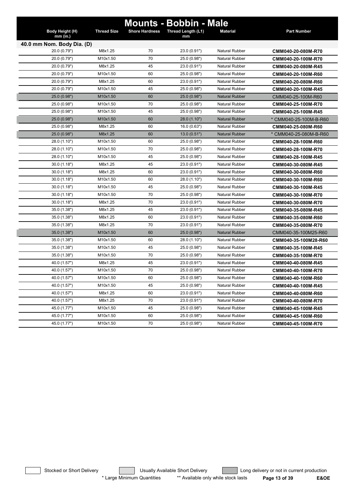|                             |                    |                       | <b>Mounts - Bobbin - Male</b> |                       |                        |
|-----------------------------|--------------------|-----------------------|-------------------------------|-----------------------|------------------------|
| Body Height (H)<br>mm (in.) | <b>Thread Size</b> | <b>Shore Hardness</b> | Thread Length (L1)<br>mm      | <b>Material</b>       | <b>Part Number</b>     |
| 40.0 mm Nom. Body Dia. (D)  |                    |                       |                               |                       |                        |
| 20.0 (0.79")                | M8x1.25            | 70                    | 23.0 (0.91")                  | <b>Natural Rubber</b> | CMM040-20-080M-R70     |
| 20.0 (0.79")                | M10x1.50           | 70                    | 25.0 (0.98")                  | <b>Natural Rubber</b> | CMM040-20-100M-R70     |
| 20.0 (0.79")                | M8x1.25            | 45                    | 23.0 (0.91")                  | <b>Natural Rubber</b> | CMM040-20-080M-R45     |
| 20.0 (0.79")                | M10x1.50           | 60                    | 25.0 (0.98")                  | <b>Natural Rubber</b> | CMM040-20-100M-R60     |
| 20.0 (0.79")                | M8x1.25            | 60                    | 23.0 (0.91")                  | <b>Natural Rubber</b> | CMM040-20-080M-R60     |
| 20.0 (0.79")                | M10x1.50           | 45                    | 25.0 (0.98")                  | <b>Natural Rubber</b> | CMM040-20-100M-R45     |
| 25.0 (0.98")                | M10x1.50           | 60                    | 25.0 (0.98")                  | <b>Natural Rubber</b> | CMM040-25-100M-R60     |
| 25.0 (0.98")                | M10x1.50           | 70                    | 25.0 (0.98")                  | <b>Natural Rubber</b> | CMM040-25-100M-R70     |
| 25.0 (0.98")                | M10x1.50           | 45                    | 25.0 (0.98")                  | <b>Natural Rubber</b> | CMM040-25-100M-R45     |
| 25.0 (0.98")                | M10x1.50           | 60                    | 28.0 (1.10")                  | <b>Natural Rubber</b> | * CMM040-25-100M-B-R60 |
| 25.0 (0.98")                | M8x1.25            | 60                    | 16.0 (0.63")                  | <b>Natural Rubber</b> | CMM040-25-080M-R60     |
| 25.0 (0.98")                | M8x1.25            | 60                    | 13.0(0.51")                   | <b>Natural Rubber</b> | * CMM040-25-080M-B-R60 |
| 28.0 (1.10")                | M10x1.50           | 60                    | 25.0 (0.98")                  | <b>Natural Rubber</b> | CMM040-28-100M-R60     |
| 28.0 (1.10")                | M10x1.50           | 70                    | 25.0 (0.98")                  | <b>Natural Rubber</b> | CMM040-28-100M-R70     |
| 28.0 (1.10")                | M10x1.50           | 45                    | 25.0 (0.98")                  | <b>Natural Rubber</b> | CMM040-28-100M-R45     |
| 30.0(1.18")                 | M8x1.25            | 45                    | 23.0 (0.91")                  | <b>Natural Rubber</b> | CMM040-30-080M-R45     |
| 30.0(1.18")                 | M8x1.25            | 60                    | 23.0 (0.91")                  | <b>Natural Rubber</b> | CMM040-30-080M-R60     |
| 30.0(1.18")                 | M10x1.50           | 60                    | 28.0 (1.10")                  | <b>Natural Rubber</b> | CMM040-30-100M-R60     |
| 30.0(1.18")                 | M10x1.50           | 45                    | 25.0 (0.98")                  | <b>Natural Rubber</b> | CMM040-30-100M-R45     |
| 30.0(1.18")                 | M10x1.50           | 70                    | 25.0 (0.98")                  | <b>Natural Rubber</b> | CMM040-30-100M-R70     |
| 30.0(1.18")                 | M8x1.25            | 70                    | 23.0 (0.91")                  | <b>Natural Rubber</b> | CMM040-30-080M-R70     |
| 35.0 (1.38")                | M8x1.25            | 45                    | 23.0 (0.91")                  | <b>Natural Rubber</b> | CMM040-35-080M-R45     |
| 35.0 (1.38")                | M8x1.25            | 60                    | 23.0 (0.91")                  | <b>Natural Rubber</b> | CMM040-35-080M-R60     |
| 35.0 (1.38")                | M8x1.25            | 70                    | 23.0 (0.91")                  | <b>Natural Rubber</b> | CMM040-35-080M-R70     |
| 35.0(1.38")                 | M10x1.50           | 60                    | 25.0 (0.98")                  | <b>Natural Rubber</b> | CMM040-35-100M25-R60   |
| 35.0 (1.38")                | M10x1.50           | 60                    | 28.0 (1.10")                  | <b>Natural Rubber</b> | CMM040-35-100M28-R60   |
| 35.0 (1.38")                | M10x1.50           | 45                    | 25.0 (0.98")                  | Natural Rubber        | CMM040-35-100M-R45     |
| 35.0 (1.38")                | M10x1.50           | 70                    | 25.0 (0.98")                  | Natural Rubber        | CMM040-35-100M-R70     |
| 40.0 (1.57")                | M8x1.25            | 45                    | 23.0 (0.91")                  | <b>Natural Rubber</b> | CMM040-40-080M-R45     |
| 40.0 (1.57")                | M10x1.50           | 70                    | 25.0 (0.98")                  | <b>Natural Rubber</b> | CMM040-40-100M-R70     |
| 40.0 (1.57")                | M10x1.50           | 60                    | 25.0 (0.98")                  | <b>Natural Rubber</b> | CMM040-40-100M-R60     |
| 40.0 (1.57")                | M10x1.50           | 45                    | 25.0 (0.98")                  | <b>Natural Rubber</b> | CMM040-40-100M-R45     |
| 40.0 (1.57")                | M8x1.25            | 60                    | 23.0 (0.91")                  | Natural Rubber        | CMM040-40-080M-R60     |
| 40.0 (1.57")                | M8x1.25            | 70                    | 23.0 (0.91")                  | Natural Rubber        | CMM040-40-080M-R70     |
| 45.0 (1.77")                | M10x1.50           | 45                    | 25.0 (0.98")                  | Natural Rubber        | CMM040-45-100M-R45     |
| 45.0 (1.77")                | M10x1.50           | 60                    | 25.0 (0.98")                  | Natural Rubber        | CMM040-45-100M-R60     |
| 45.0 (1.77")                | M10x1.50           | 70                    | 25.0 (0.98")                  | Natural Rubber        | CMM040-45-100M-R70     |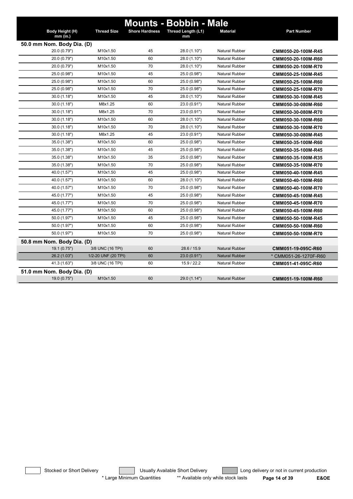|                                            |                            |                       | <b>Mounts - Bobbin - Male</b> |                       |                       |  |  |  |  |
|--------------------------------------------|----------------------------|-----------------------|-------------------------------|-----------------------|-----------------------|--|--|--|--|
| Body Height (H)                            | <b>Thread Size</b>         | <b>Shore Hardness</b> | Thread Length (L1)            | <b>Material</b>       | <b>Part Number</b>    |  |  |  |  |
| $mm$ (in.)                                 |                            |                       | mm                            |                       |                       |  |  |  |  |
| 50.0 mm Nom. Body Dia. (D)<br>20.0 (0.79") | M10x1.50                   | 45                    | 28.0 (1.10")                  | <b>Natural Rubber</b> | CMM050-20-100M-R45    |  |  |  |  |
| 20.0 (0.79")                               | M10x1.50                   | 60                    | 28.0 (1.10")                  | <b>Natural Rubber</b> |                       |  |  |  |  |
| 20.0 (0.79")                               | M10x1.50                   | 70                    | 28.0 (1.10")                  | <b>Natural Rubber</b> | CMM050-20-100M-R60    |  |  |  |  |
| 25.0 (0.98")                               | M10x1.50                   | 45                    | 25.0 (0.98")                  | <b>Natural Rubber</b> | CMM050-20-100M-R70    |  |  |  |  |
| 25.0 (0.98")                               | M10x1.50                   | 60                    | 25.0 (0.98")                  | <b>Natural Rubber</b> | CMM050-25-100M-R45    |  |  |  |  |
|                                            | M10x1.50                   | 70                    |                               | Natural Rubber        | CMM050-25-100M-R60    |  |  |  |  |
| 25.0 (0.98")<br>30.0(1.18")                | M10x1.50                   | 45                    | 25.0 (0.98")<br>28.0 (1.10")  | <b>Natural Rubber</b> | CMM050-25-100M-R70    |  |  |  |  |
|                                            |                            |                       |                               |                       | CMM050-30-100M-R45    |  |  |  |  |
| 30.0(1.18")                                | M8x1.25                    | 60                    | 23.0 (0.91")                  | <b>Natural Rubber</b> | CMM050-30-080M-R60    |  |  |  |  |
| 30.0(1.18")                                | M8x1.25                    | 70                    | 23.0 (0.91")                  | <b>Natural Rubber</b> | CMM050-30-080M-R70    |  |  |  |  |
| 30.0(1.18")                                | M10x1.50                   | 60                    | 28.0 (1.10")                  | <b>Natural Rubber</b> | CMM050-30-100M-R60    |  |  |  |  |
| 30.0(1.18")                                | M10x1.50                   | 70                    | 28.0 (1.10")                  | <b>Natural Rubber</b> | CMM050-30-100M-R70    |  |  |  |  |
| 30.0(1.18")                                | M8x1.25                    | 45                    | 23.0 (0.91")                  | <b>Natural Rubber</b> | CMM050-30-080M-R45    |  |  |  |  |
| 35.0 (1.38")                               | M10x1.50                   | 60                    | 25.0 (0.98")                  | <b>Natural Rubber</b> | CMM050-35-100M-R60    |  |  |  |  |
| 35.0 (1.38")                               | M10x1.50                   | 45                    | 25.0 (0.98")                  | <b>Natural Rubber</b> | CMM050-35-100M-R45    |  |  |  |  |
| 35.0 (1.38")                               | M10x1.50                   | 35                    | 25.0 (0.98")                  | <b>Natural Rubber</b> | CMM050-35-100M-R35    |  |  |  |  |
| 35.0 (1.38")                               | M10x1.50                   | 70                    | 25.0 (0.98")                  | <b>Natural Rubber</b> | CMM050-35-100M-R70    |  |  |  |  |
| 40.0 (1.57")                               | M10x1.50                   | 45                    | 25.0 (0.98")                  | <b>Natural Rubber</b> | CMM050-40-100M-R45    |  |  |  |  |
| 40.0 (1.57")                               | M10x1.50                   | 60                    | 28.0 (1.10")                  | <b>Natural Rubber</b> | CMM050-40-100M-R60    |  |  |  |  |
| 40.0 (1.57")                               | M10x1.50                   | 70                    | 25.0 (0.98")                  | <b>Natural Rubber</b> | CMM050-40-100M-R70    |  |  |  |  |
| 45.0 (1.77")                               | M10x1.50                   | 45                    | 25.0 (0.98")                  | <b>Natural Rubber</b> | CMM050-45-100M-R45    |  |  |  |  |
| 45.0 (1.77")                               | M10x1.50                   | 70                    | 25.0 (0.98")                  | Natural Rubber        | CMM050-45-100M-R70    |  |  |  |  |
| 45.0 (1.77")                               | M10x1.50                   | 60                    | 25.0 (0.98")                  | <b>Natural Rubber</b> | CMM050-45-100M-R60    |  |  |  |  |
| 50.0 (1.97")                               | M10x1.50                   | 45                    | 25.0 (0.98")                  | <b>Natural Rubber</b> | CMM050-50-100M-R45    |  |  |  |  |
| 50.0 (1.97")                               | M10x1.50                   | 60                    | 25.0 (0.98")                  | <b>Natural Rubber</b> | CMM050-50-100M-R60    |  |  |  |  |
| 50.0 (1.97")                               | M10x1.50                   | 70                    | 25.0 (0.98")                  | <b>Natural Rubber</b> | CMM050-50-100M-R70    |  |  |  |  |
| 50.8 mm Nom. Body Dia. (D)                 |                            |                       |                               |                       |                       |  |  |  |  |
| 19.1 (0.75")                               | 3/8 UNC (16 TPI)           | 60                    | 28.6 / 15.9                   | <b>Natural Rubber</b> | CMM051-19-095C-R60    |  |  |  |  |
| 26.2 (1.03")                               | 1/2-20 UNF (20 TPI)        | 60                    | 23.0 (0.91")                  | <b>Natural Rubber</b> | * CMM051-26-1270F-R60 |  |  |  |  |
| 41.3 (1.63")                               | 3/8 UNC (16 TPI)           | 60                    | 15.9 / 22.2                   | Natural Rubber        | CMM051-41-095C-R60    |  |  |  |  |
|                                            | 51.0 mm Nom. Body Dia. (D) |                       |                               |                       |                       |  |  |  |  |
| 19.0 (0.75")                               | M10x1.50                   | 60                    | 29.0 (1.14")                  | <b>Natural Rubber</b> | CMM051-19-100M-R60    |  |  |  |  |

Stocked or Short Delivery **Contract Contract Contract Usually Available Short Delivery Contract Long delivery or not in current production** \* Large Minimum Quantities \*\* Available only while stock lasts **Page 14 of 39 E&OE**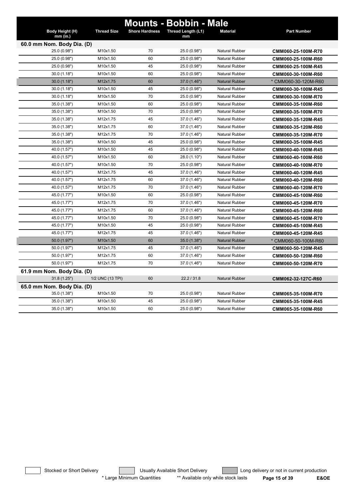|                               |                    |                       | <b>Mounts - Bobbin - Male</b> |                       |                      |
|-------------------------------|--------------------|-----------------------|-------------------------------|-----------------------|----------------------|
| Body Height (H)<br>$mm$ (in.) | <b>Thread Size</b> | <b>Shore Hardness</b> | Thread Length (L1)<br>mm      | <b>Material</b>       | <b>Part Number</b>   |
| 60.0 mm Nom. Body Dia. (D)    |                    |                       |                               |                       |                      |
| 25.0 (0.98")                  | M10x1.50           | 70                    | 25.0 (0.98")                  | Natural Rubber        | CMM060-25-100M-R70   |
| 25.0 (0.98")                  | M10x1.50           | 60                    | 25.0 (0.98")                  | <b>Natural Rubber</b> | CMM060-25-100M-R60   |
| 25.0 (0.98")                  | M10x1.50           | 45                    | 25.0 (0.98")                  | <b>Natural Rubber</b> | CMM060-25-100M-R45   |
| 30.0(1.18")                   | M10x1.50           | 60                    | 25.0 (0.98")                  | <b>Natural Rubber</b> | CMM060-30-100M-R60   |
| 30.0(1.18")                   | M12x1.75           | 60                    | 37.0 (1.46")                  | <b>Natural Rubber</b> | * CMM060-30-120M-R60 |
| 30.0(1.18")                   | M10x1.50           | 45                    | 25.0 (0.98")                  | <b>Natural Rubber</b> | CMM060-30-100M-R45   |
| 30.0(1.18")                   | M10x1.50           | 70                    | 25.0 (0.98")                  | <b>Natural Rubber</b> | CMM060-30-100M-R70   |
| 35.0 (1.38")                  | M10x1.50           | 60                    | 25.0 (0.98")                  | <b>Natural Rubber</b> | CMM060-35-100M-R60   |
| 35.0 (1.38")                  | M10x1.50           | 70                    | 25.0 (0.98")                  | <b>Natural Rubber</b> | CMM060-35-100M-R70   |
| 35.0 (1.38")                  | M12x1.75           | 45                    | 37.0 (1.46")                  | <b>Natural Rubber</b> | CMM060-35-120M-R45   |
| 35.0 (1.38")                  | M12x1.75           | 60                    | 37.0 (1.46")                  | <b>Natural Rubber</b> | CMM060-35-120M-R60   |
| 35.0 (1.38")                  | M12x1.75           | 70                    | 37.0 (1.46")                  | <b>Natural Rubber</b> | CMM060-35-120M-R70   |
| 35.0 (1.38")                  | M10x1.50           | 45                    | 25.0 (0.98")                  | <b>Natural Rubber</b> | CMM060-35-100M-R45   |
| 40.0 (1.57")                  | M10x1.50           | 45                    | 25.0 (0.98")                  | <b>Natural Rubber</b> | CMM060-40-100M-R45   |
| 40.0 (1.57")                  | M10x1.50           | 60                    | 28.0 (1.10")                  | <b>Natural Rubber</b> | CMM060-40-100M-R60   |
| 40.0 (1.57")                  | M10x1.50           | 70                    | 25.0 (0.98")                  | <b>Natural Rubber</b> | CMM060-40-100M-R70   |
| 40.0 (1.57")                  | M12x1.75           | 45                    | 37.0 (1.46")                  | <b>Natural Rubber</b> | CMM060-40-120M-R45   |
| 40.0 (1.57")                  | M12x1.75           | 60                    | 37.0 (1.46")                  | <b>Natural Rubber</b> | CMM060-40-120M-R60   |
| 40.0 (1.57")                  | M12x1.75           | 70                    | 37.0 (1.46")                  | <b>Natural Rubber</b> | CMM060-40-120M-R70   |
| 45.0 (1.77")                  | M10x1.50           | 60                    | 25.0 (0.98")                  | <b>Natural Rubber</b> | CMM060-45-100M-R60   |
| 45.0 (1.77")                  | M12x1.75           | 70                    | 37.0 (1.46")                  | <b>Natural Rubber</b> | CMM060-45-120M-R70   |
| 45.0 (1.77")                  | M12x1.75           | 60                    | 37.0 (1.46")                  | <b>Natural Rubber</b> | CMM060-45-120M-R60   |
| 45.0 (1.77")                  | M10x1.50           | 70                    | 25.0 (0.98")                  | <b>Natural Rubber</b> | CMM060-45-100M-R70   |
| 45.0 (1.77")                  | M10x1.50           | 45                    | 25.0 (0.98")                  | <b>Natural Rubber</b> | CMM060-45-100M-R45   |
| 45.0 (1.77")                  | M12x1.75           | 45                    | 37.0 (1.46")                  | <b>Natural Rubber</b> | CMM060-45-120M-R45   |
| 50.0 (1.97")                  | M10x1.50           | 60                    | 35.0 (1.38")                  | <b>Natural Rubber</b> | * CMM060-50-100M-R60 |
| 50.0 (1.97")                  | M12x1.75           | 45                    | 37.0 (1.46")                  | <b>Natural Rubber</b> | CMM060-50-120M-R45   |
| 50.0 (1.97")                  | M12x1.75           | 60                    | 37.0 (1.46")                  | <b>Natural Rubber</b> | CMM060-50-120M-R60   |
| 50.0 (1.97")                  | M12x1.75           | 70                    | 37.0 (1.46")                  | <b>Natural Rubber</b> | CMM060-50-120M-R70   |
| 61.9 mm Nom. Body Dia. (D)    |                    |                       |                               |                       |                      |
| 31.8(1.25")                   | 1/2 UNC (13 TPI)   | 60                    | 22.2 / 31.8                   | <b>Natural Rubber</b> | CMM062-32-127C-R60   |
| 65.0 mm Nom. Body Dia. (D)    |                    |                       |                               |                       |                      |
| 35.0 (1.38")                  | M10x1.50           | 70                    | 25.0 (0.98")                  | <b>Natural Rubber</b> | CMM065-35-100M-R70   |
| 35.0 (1.38")                  | M10x1.50           | 45                    | 25.0 (0.98")                  | <b>Natural Rubber</b> | CMM065-35-100M-R45   |
| 35.0 (1.38")                  | M10x1.50           | 60                    | 25.0 (0.98")                  | <b>Natural Rubber</b> | CMM065-35-100M-R60   |

Stocked or Short Delivery **Contains the Usually Available Short Delivery Containery** Long delivery or not in current production \* Large Minimum Quantities \*\* Available only while stock lasts **Page 15 of 39 E&OE**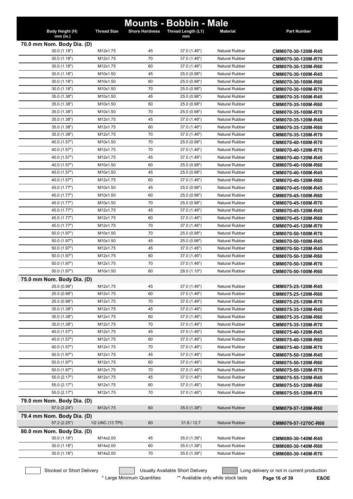|                                            |                    |                       | <b>Mounts - Bobbin - Male</b> |                       |                     |
|--------------------------------------------|--------------------|-----------------------|-------------------------------|-----------------------|---------------------|
| Body Height (H)<br>$mm$ (in.)              | <b>Thread Size</b> | <b>Shore Hardness</b> | Thread Length (L1)<br>mm      | <b>Material</b>       | <b>Part Number</b>  |
|                                            |                    |                       |                               |                       |                     |
| 70.0 mm Nom. Body Dia. (D)<br>30.0 (1.18") | M12x1.75           | 45                    | 37.0 (1.46")                  | <b>Natural Rubber</b> | CMM070-30-120M-R45  |
| 30.0(1.18")                                | M12x1.75           | 70                    | 37.0 (1.46")                  | <b>Natural Rubber</b> | CMM070-30-120M-R70  |
| 30.0(1.18")                                | M12x1.75           | 60                    | 37.0 (1.46")                  | <b>Natural Rubber</b> | CMM070-30-120M-R60  |
| 30.0(1.18")                                | M10x1.50           | 45                    | 25.0 (0.98")                  | <b>Natural Rubber</b> | CMM070-30-100M-R45  |
| 30.0(1.18")                                | M10x1.50           | 60                    | 25.0 (0.98")                  | <b>Natural Rubber</b> | CMM070-30-100M-R60  |
| 30.0(1.18")                                | M10x1.50           | 70                    | 25.0 (0.98")                  | <b>Natural Rubber</b> | CMM070-30-100M-R70  |
| 35.0 (1.38")                               | M10x1.50           | 45                    | 25.0 (0.98")                  | <b>Natural Rubber</b> | CMM070-35-100M-R45  |
| 35.0 (1.38")                               | M10x1.50           | 60                    | 25.0 (0.98")                  | <b>Natural Rubber</b> | CMM070-35-100M-R60  |
| 35.0 (1.38")                               | M10x1.50           | 70                    | 25.0 (0.98")                  | <b>Natural Rubber</b> | CMM070-35-100M-R70  |
| 35.0 (1.38")                               | M12x1.75           | 45                    | 37.0 (1.46")                  | <b>Natural Rubber</b> | CMM070-35-120M-R45  |
| 35.0 (1.38")                               | M12x1.75           | 60                    | 37.0 (1.46")                  | <b>Natural Rubber</b> | CMM070-35-120M-R60  |
| 35.0 (1.38")                               | M12x1.75           | 70                    | 37.0 (1.46")                  | <b>Natural Rubber</b> | CMM070-35-120M-R70  |
| 40.0 (1.57")                               | M10x1.50           | 70                    | 25.0 (0.98")                  | <b>Natural Rubber</b> | CMM070-40-100M-R70  |
| 40.0 (1.57")                               | M12x1.75           | 70                    | 37.0 (1.46")                  | Natural Rubber        | CMM070-40-120M-R70  |
| 40.0 (1.57")                               | M12x1.75           | 45                    | 37.0 (1.46")                  | <b>Natural Rubber</b> | CMM070-40-120M-R45  |
| 40.0 (1.57")                               | M10x1.50           | 60                    | 25.0 (0.98")                  | <b>Natural Rubber</b> | CMM070-40-100M-R60  |
| 40.0 (1.57")                               | M10x1.50           | 45                    | 25.0 (0.98")                  | <b>Natural Rubber</b> | CMM070-40-100M-R45  |
| 40.0 (1.57")                               | M12x1.75           | 60                    | 37.0 (1.46")                  | <b>Natural Rubber</b> | CMM070-40-120M-R60  |
| 45.0 (1.77")                               | M10x1.50           | 45                    | 25.0 (0.98")                  | <b>Natural Rubber</b> | CMM070-45-100M-R45  |
| 45.0 (1.77")                               | M10x1.50           | 60                    | 25.0 (0.98")                  | <b>Natural Rubber</b> | CMM070-45-100M-R60  |
| 45.0 (1.77")                               | M10x1.50           | 70                    | 25.0 (0.98")                  | <b>Natural Rubber</b> | CMM070-45-100M-R70  |
| 45.0 (1.77")                               | M12x1.75           | 45                    | 37.0 (1.46")                  | <b>Natural Rubber</b> | CMM070-45-120M-R45  |
| 45.0 (1.77")                               | M12x1.75           | 60                    | 37.0 (1.46")                  | <b>Natural Rubber</b> | CMM070-45-120M-R60  |
| 45.0 (1.77")                               | M12x1.75           | 70                    | 37.0 (1.46")                  | <b>Natural Rubber</b> | CMM070-45-120M-R70  |
| 50.0 (1.97")                               | M10x1.50           | 70                    | 25.0 (0.98")                  | <b>Natural Rubber</b> | CMM070-50-100M-R70  |
| 50.0 (1.97")                               | M10x1.50           | 45                    | 25.0 (0.98")                  | <b>Natural Rubber</b> | CMM070-50-100M-R45  |
| 50.0 (1.97")                               | M12x1.75           | 45                    | 37.0 (1.46")                  | <b>Natural Rubber</b> | CMM070-50-120M-R45  |
| 50.0 (1.97")                               | M12x1.75           | 60                    | 37.0 (1.46")                  | <b>Natural Rubber</b> | CMM070-50-120M-R60  |
| 50.0 (1.97")                               | M12x1.75           | 70                    | 37.0 (1.46")                  | Natural Rubber        | CMM070-50-120M-R70  |
| 50.0 (1.97")                               | M10x1.50           | 60                    | 28.0 (1.10")                  | <b>Natural Rubber</b> | CMM070-50-100M-R60  |
| 75.0 mm Nom. Body Dia. (D)                 |                    |                       |                               |                       |                     |
| 25.0 (0.98")                               | M12x1.75           | 45                    | 37.0 (1.46")                  | Natural Rubber        | CMM075-25-120M-R45  |
| 25.0 (0.98")                               | M12x1.75           | 60                    | 37.0 (1.46")                  | <b>Natural Rubber</b> | CMM075-25-120M-R60  |
| 25.0 (0.98")                               | M12x1.75           | 70                    | 37.0 (1.46")                  | Natural Rubber        | CMM075-25-120M-R70  |
| 35.0 (1.38")                               | M12x1.75           | 45                    | 37.0 (1.46")                  | Natural Rubber        | CMM075-35-120M-R45  |
| 35.0 (1.38")                               | M12x1.75           | 60                    | 37.0 (1.46")                  | Natural Rubber        | CMM075-35-120M-R60  |
| 35.0 (1.38")                               | M12x1.75           | 70                    | 37.0 (1.46")                  | Natural Rubber        | CMM075-35-120M-R70  |
| 40.0 (1.57")                               | M12x1.75           | 45                    | 37.0 (1.46")                  | <b>Natural Rubber</b> | CMM075-40-120M-R45  |
| 40.0 (1.57")                               | M12x1.75           | 60                    | 37.0 (1.46")                  | <b>Natural Rubber</b> | CMM075-40-120M-R60  |
| 40.0 (1.57")                               | M12x1.75           | 70                    | 37.0 (1.46")                  | <b>Natural Rubber</b> | CMM075-40-120M-R70  |
| 50.0 (1.97")                               | M12x1.75           | 45                    | 37.0 (1.46")                  | Natural Rubber        | CMM075-50-120M-R45  |
| 50.0 (1.97")                               | M12x1.75           | 60                    | 37.0 (1.46")                  | Natural Rubber        | CMM075-50-120M-R60  |
| 50.0 (1.97")                               | M12x1.75           | 70                    | 37.0 (1.46")                  | Natural Rubber        | CMM075-50-120M-R70  |
| 55.0 (2.17")                               | M12x1.75           | 45                    | 37.0 (1.46")                  | <b>Natural Rubber</b> | CMM075-55-120M-R45  |
| 55.0 (2.17")                               | M12x1.75           | 60                    | 37.0 (1.46")                  | <b>Natural Rubber</b> | CMM075-55-120M-R60  |
| 55.0 (2.17")                               | M12x1.75           | 70                    | 37.0 (1.46")                  | <b>Natural Rubber</b> | CMM075-55-120M-R70  |
| 79.0 mm Nom. Body Dia. (D)<br>57.0 (2.24") | M12x1.75           | 60                    | 35.0 (1.38")                  | <b>Natural Rubber</b> | CMM079-57-120M-R60  |
| 79.4 mm Nom. Body Dia. (D)                 |                    |                       |                               |                       |                     |
| 57.2 (2.25")                               | 1/2 UNC (13 TPI)   | 60                    | 31.8 / 12.7                   | Natural Rubber        | CMM079-57-1270C-R60 |
| 80.0 mm Nom. Body Dia. (D)                 |                    |                       |                               |                       |                     |
| 30.0 (1.18")                               | M14x2.00           | 45                    | 35.0 (1.38")                  | <b>Natural Rubber</b> | CMM080-30-140M-R45  |
| 30.0(1.18")                                | M14x2.00           | 60                    | 35.0 (1.38")                  | <b>Natural Rubber</b> | CMM080-30-140M-R60  |
| 30.0 (1.18")                               | M14x2.00           | 70                    | 35.0 (1.38")                  | Natural Rubber        | CMM080-30-140M-R70  |
|                                            |                    |                       |                               |                       |                     |

Stocked or Short Delivery **Contains the Usually Available Short Delivery Containery** Long delivery or not in current production

\* Large Minimum Quantities \*\* Available only while stock lasts **Page 16 of 39 E&OE**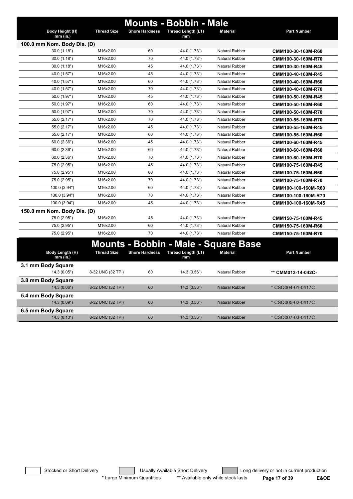|                               |                    |                       | <b>Mounts - Bobbin - Male</b> |                                             |                     |
|-------------------------------|--------------------|-----------------------|-------------------------------|---------------------------------------------|---------------------|
| Body Height (H)<br>$mm$ (in.) | <b>Thread Size</b> | <b>Shore Hardness</b> | Thread Length (L1)<br>mm      | <b>Material</b>                             | <b>Part Number</b>  |
| 100.0 mm Nom. Body Dia. (D)   |                    |                       |                               |                                             |                     |
| 30.0 (1.18")                  | M16x2.00           | 60                    | 44.0 (1.73")                  | <b>Natural Rubber</b>                       | CMM100-30-160M-R60  |
| 30.0(1.18")                   | M16x2.00           | 70                    | 44.0 (1.73")                  | <b>Natural Rubber</b>                       | CMM100-30-160M-R70  |
| 30.0 (1.18")                  | M16x2.00           | 45                    | 44.0 (1.73")                  | Natural Rubber                              | CMM100-30-160M-R45  |
| 40.0 (1.57")                  | M16x2.00           | 45                    | 44.0 (1.73")                  | <b>Natural Rubber</b>                       | CMM100-40-160M-R45  |
| 40.0 (1.57")                  | M16x2.00           | 60                    | 44.0 (1.73")                  | <b>Natural Rubber</b>                       | CMM100-40-160M-R60  |
| 40.0 (1.57")                  | M16x2.00           | 70                    | 44.0 (1.73")                  | <b>Natural Rubber</b>                       | CMM100-40-160M-R70  |
| 50.0 (1.97")                  | M16x2.00           | 45                    | 44.0 (1.73")                  | <b>Natural Rubber</b>                       | CMM100-50-160M-R45  |
| 50.0 (1.97")                  | M16x2.00           | 60                    | 44.0 (1.73")                  | <b>Natural Rubber</b>                       | CMM100-50-160M-R60  |
| 50.0 (1.97")                  | M16x2.00           | 70                    | 44.0 (1.73")                  | <b>Natural Rubber</b>                       | CMM100-50-160M-R70  |
| 55.0 (2.17")                  | M16x2.00           | 70                    | 44.0 (1.73")                  | <b>Natural Rubber</b>                       | CMM100-55-160M-R70  |
| 55.0 (2.17")                  | M16x2.00           | 45                    | 44.0 (1.73")                  | <b>Natural Rubber</b>                       | CMM100-55-160M-R45  |
| 55.0 (2.17")                  | M16x2.00           | 60                    | 44.0 (1.73")                  | <b>Natural Rubber</b>                       | CMM100-55-160M-R60  |
| 60.0 (2.36")                  | M16x2.00           | 45                    | 44.0 (1.73")                  | <b>Natural Rubber</b>                       | CMM100-60-160M-R45  |
| 60.0 (2.36")                  | M16x2.00           | 60                    | 44.0 (1.73")                  | <b>Natural Rubber</b>                       | CMM100-60-160M-R60  |
| 60.0 (2.36")                  | M16x2.00           | 70                    | 44.0 (1.73")                  | <b>Natural Rubber</b>                       | CMM100-60-160M-R70  |
| 75.0 (2.95")                  | M16x2.00           | 45                    | 44.0 (1.73")                  | <b>Natural Rubber</b>                       | CMM100-75-160M-R45  |
| 75.0 (2.95")                  | M16x2.00           | 60                    | 44.0 (1.73")                  | <b>Natural Rubber</b>                       | CMM100-75-160M-R60  |
| 75.0 (2.95")                  | M16x2.00           | 70                    | 44.0 (1.73")                  | <b>Natural Rubber</b>                       | CMM100-75-160M-R70  |
| 100.0 (3.94")                 | M16x2.00           | 60                    | 44.0 (1.73")                  | <b>Natural Rubber</b>                       | CMM100-100-160M-R60 |
| 100.0 (3.94")                 | M16x2.00           | 70                    | 44.0 (1.73")                  | <b>Natural Rubber</b>                       | CMM100-100-160M-R70 |
| 100.0 (3.94")                 | M16x2.00           | 45                    | 44.0 (1.73")                  | <b>Natural Rubber</b>                       | CMM100-100-160M-R45 |
| 150.0 mm Nom. Body Dia. (D)   |                    |                       |                               |                                             |                     |
| 75.0 (2.95")                  | M16x2.00           | 45                    | 44.0 (1.73")                  | <b>Natural Rubber</b>                       | CMM150-75-160M-R45  |
| 75.0 (2.95")                  | M16x2.00           | 60                    | 44.0 (1.73")                  | <b>Natural Rubber</b>                       | CMM150-75-160M-R60  |
| 75.0 (2.95")                  | M16x2.00           | 70                    | 44.0 (1.73")                  | <b>Natural Rubber</b>                       | CMM150-75-160M-R70  |
|                               |                    |                       |                               | <b>Mounts - Bobbin - Male - Square Base</b> |                     |
|                               | <b>Thread Size</b> |                       |                               |                                             |                     |
| Body Length (H)<br>$mm$ (in.) |                    | <b>Shore Hardness</b> | Thread Length (L1)<br>mm      | <b>Material</b>                             | <b>Part Number</b>  |
| 3.1 mm Body Square            |                    |                       |                               |                                             |                     |
| 14.3(0.05")                   | 8-32 UNC (32 TPI)  | 60                    | 14.3(0.56")                   | <b>Natural Rubber</b>                       | ** CMM013-14-042C-  |
| 3.8 mm Body Square            |                    |                       |                               |                                             |                     |
| 14.3(0.06")                   | 8-32 UNC (32 TPI)  | 60                    | 14.3 (0.56")                  | <b>Natural Rubber</b>                       | * CSQ004-01-0417C   |
| 5.4 mm Body Square            |                    |                       |                               |                                             |                     |
| 14.3(0.09")                   | 8-32 UNC (32 TPI)  | 60                    | 14.3 (0.56")                  | <b>Natural Rubber</b>                       | * CSQ005-02-0417C   |
| 6.5 mm Body Square            |                    |                       |                               |                                             |                     |
| 14.3(0.13")                   | 8-32 UNC (32 TPI)  | 60                    | 14.3 (0.56")                  | <b>Natural Rubber</b>                       | * CSQ007-03-0417C   |

Stocked or Short Delivery **Contains the Usually Available Short Delivery Containery** Long delivery or not in current production \* Large Minimum Quantities \*\* Available only while stock lasts **Page 17 of 39 E&OE**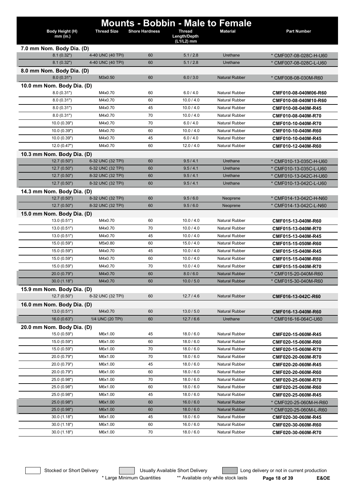|                                           |                    |                       |                            | <b>Mounts - Bobbin - Male to Female</b>        |                        |
|-------------------------------------------|--------------------|-----------------------|----------------------------|------------------------------------------------|------------------------|
| Body Height (H)                           | <b>Thread Size</b> | <b>Shore Hardness</b> | <b>Thread</b>              | <b>Material</b>                                | <b>Part Number</b>     |
| $mm$ (in.)                                |                    |                       | Length/Depth<br>(L1/L2) mm |                                                |                        |
| 7.0 mm Nom. Body Dia. (D)                 |                    |                       |                            |                                                |                        |
| 8.1(0.32")                                | 4-40 UNC (40 TPI)  | 60                    | 5.1 / 2.8                  | Urethane                                       | * CMF007-08-028C-H-U60 |
| 8.1(0.32")                                | 4-40 UNC (40 TPI)  | 60                    | 5.1 / 2.8                  | Urethane                                       | * CMF007-08-028C-L-U60 |
| 8.0 mm Nom. Body Dia. (D)                 |                    |                       |                            |                                                |                        |
| 8.0(0.31")                                | M3x0.50            | 60                    | 6.0 / 3.0                  | <b>Natural Rubber</b>                          | * CMF008-08-030M-R60   |
| 10.0 mm Nom. Body Dia. (D)                |                    |                       |                            |                                                |                        |
| 8.0(0.31")                                | M4x0.70            | 60                    | 6.0 / 4.0                  | <b>Natural Rubber</b><br>Natural Rubber        | CMF010-08-040M06-R60   |
| 8.0(0.31")<br>8.0(0.31")                  | M4x0.70<br>M4x0.70 | 60<br>45              | 10.0 / 4.0<br>10.0 / 4.0   | <b>Natural Rubber</b>                          | CMF010-08-040M10-R60   |
| 8.0(0.31")                                | M4x0.70            | 70                    | 10.0 / 4.0                 | <b>Natural Rubber</b>                          | CMF010-08-040M-R45     |
|                                           |                    |                       |                            |                                                | CMF010-08-040M-R70     |
| 10.0 (0.39")<br>10.0(0.39")               | M4x0.70<br>M4x0.70 | 70<br>60              | 6.0 / 4.0<br>10.0 / 4.0    | <b>Natural Rubber</b><br><b>Natural Rubber</b> | CMF010-10-040M-R70     |
| 10.0(0.39")                               | M4x0.70            | 45                    | 6.0 / 4.0                  | Natural Rubber                                 | CMF010-10-040M-R60     |
| 12.0(0.47")                               | M4x0.70            | 60                    | 12.0 / 4.0                 | <b>Natural Rubber</b>                          | CMF010-10-040M-R45     |
|                                           |                    |                       |                            |                                                | CMF010-12-040M-R60     |
| 10.3 mm Nom. Body Dia. (D)<br>12.7(0.50") | 6-32 UNC (32 TPI)  | 60                    | 9.5/4.1                    | Urethane                                       | * CMF010-13-035C-H-U60 |
| 12.7(0.50")                               | 6-32 UNC (32 TPI)  | 60                    | 9.5/4.1                    | Urethane                                       | * CMF010-13-035C-L-U60 |
| 12.7(0.50")                               | 8-32 UNC (32 TPI)  | 60                    | 9.5/4.1                    | Urethane                                       | * CMF010-13-042C-H-U60 |
| 12.7(0.50")                               | 8-32 UNC (32 TPI)  | 60                    | 9.5/4.1                    | Urethane                                       | * CMF010-13-042C-L-U60 |
| 14.3 mm Nom. Body Dia. (D)                |                    |                       |                            |                                                |                        |
| 12.7(0.50")                               | 8-32 UNC (32 TPI)  | 60                    | 9.5/6.0                    | Neoprene                                       | * CMF014-13-042C-H-N60 |
| 12.7(0.50")                               | 8-32 UNC (32 TPI)  | 60                    | 9.5/6.0                    | Neoprene                                       | * CMF014-13-042C-L-N60 |
| 15.0 mm Nom. Body Dia. (D)                |                    |                       |                            |                                                |                        |
| 13.0(0.51")                               | M4x0.70            | 60                    | 10.0 / 4.0                 | <b>Natural Rubber</b>                          | CMF015-13-040M-R60     |
| 13.0(0.51")                               | M4x0.70            | 70                    | 10.0 / 4.0                 | <b>Natural Rubber</b>                          | CMF015-13-040M-R70     |
| 13.0(0.51")                               | M4x0.70            | 45                    | 10.0 / 4.0                 | <b>Natural Rubber</b>                          | CMF015-13-040M-R45     |
| 15.0 (0.59")                              | M5x0.80            | 60                    | 15.0 / 4.0                 | <b>Natural Rubber</b>                          | CMF015-15-050M-R60     |
| 15.0 (0.59")                              | M4x0.70            | 45                    | 10.0 / 4.0                 | <b>Natural Rubber</b>                          | CMF015-15-040M-R45     |
| 15.0 (0.59")                              | M4x0.70            | 60                    | 10.0 / 4.0                 | <b>Natural Rubber</b>                          | CMF015-15-040M-R60     |
| 15.0 (0.59")                              | M4x0.70            | 70                    | 10.0 / 4.0                 | <b>Natural Rubber</b>                          | CMF015-15-040M-R70     |
| 20.0 (0.79")                              | M4x0.70            | 60                    | 8.0 / 6.0                  | <b>Natural Rubber</b>                          | * CMF015-20-040M-R60   |
| 30.0(1.18")                               | M4x0.70            | 60                    | 10.0 / 5.0                 | <b>Natural Rubber</b>                          | * CMF015-30-040M-R60   |
| 15.9 mm Nom. Body Dia. (D)                |                    |                       |                            |                                                |                        |
| 12.7(0.50")                               | 8-32 UNC (32 TPI)  | 60                    | 12.7 / 4.6                 | <b>Natural Rubber</b>                          | CMF016-13-042C-R60     |
| 16.0 mm Nom. Body Dia. (D)                |                    |                       |                            |                                                |                        |
| 13.0(0.51")                               | M4x0.70            | 60                    | 13.0 / 5.0                 | <b>Natural Rubber</b>                          | CMF016-13-040M-R60     |
| 16.0(0.63")                               | 1/4 UNC (20 TPI)   | 60                    | 12.7/6.6                   | Urethane                                       | * CMF016-16-064C-U60   |
| 20.0 mm Nom. Body Dia. (D)                |                    |                       |                            |                                                |                        |
| 15.0 (0.59")                              | M6x1.00            | 45                    | 18.0 / 6.0                 | <b>Natural Rubber</b>                          | CMF020-15-060M-R45     |
| 15.0 (0.59")                              | M6x1.00            | 60                    | 18.0 / 6.0                 | <b>Natural Rubber</b>                          | CMF020-15-060M-R60     |
| 15.0 (0.59")                              | M6x1.00            | 70                    | 18.0 / 6.0                 | <b>Natural Rubber</b>                          | CMF020-15-060M-R70     |
| 20.0 (0.79")                              | M6x1.00            | 70                    | 18.0 / 6.0                 | <b>Natural Rubber</b>                          | CMF020-20-060M-R70     |
| 20.0 (0.79")                              | M6x1.00            | 45                    | 18.0 / 6.0                 | Natural Rubber                                 | CMF020-20-060M-R45     |
| 20.0 (0.79")                              | M6x1.00            | 60                    | 18.0 / 6.0                 | Natural Rubber                                 | CMF020-20-060M-R60     |
| 25.0 (0.98")                              | M6x1.00            | 70                    | 18.0 / 6.0                 | Natural Rubber                                 | CMF020-25-060M-R70     |
| 25.0 (0.98")                              | M6x1.00            | 60                    | 18.0 / 6.0                 | Natural Rubber                                 | CMF020-25-060M-R60     |
| 25.0 (0.98")                              | M6x1.00            | 45                    | 18.0 / 6.0                 | Natural Rubber                                 | CMF020-25-060M-R45     |
| 25.0 (0.98")                              | M6x1.00            | 60                    | 16.0 / 6.0                 | <b>Natural Rubber</b>                          | * CMF020-25-060M-H-R60 |
| 25.0 (0.98")                              | M6x1.00            | 60<br>45              | 18.0 / 6.0                 | <b>Natural Rubber</b>                          | * CMF020-25-060M-L-R60 |
| 30.0(1.18")                               | M6x1.00            |                       | 18.0 / 6.0                 | <b>Natural Rubber</b>                          | CMF020-30-060M-R45     |
| 30.0(1.18")                               | M6x1.00            | 60                    | 16.0 / 6.0                 | <b>Natural Rubber</b>                          | CMF020-30-060M-R60     |
| 30.0(1.18")                               | M6x1.00            | 70                    | 18.0 / 6.0                 | Natural Rubber                                 | CMF020-30-060M-R70     |

Stocked or Short Delivery **Contains the Usually Available Short Delivery Containery** Long delivery or not in current production

\* Large Minimum Quantities \*\* Available only while stock lasts **Page 18 of 39 E&OE**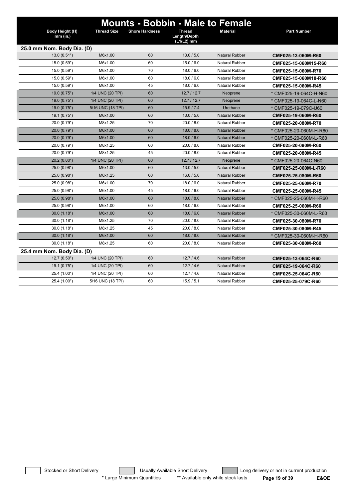| <b>Mounts - Bobbin - Male to Female</b><br>Body Height (H)<br><b>Thread Size</b><br><b>Shore Hardness</b><br><b>Thread</b><br><b>Material</b><br><b>Part Number</b><br>Length/Depth<br>mm (in.)<br>(L1/L2) mm<br>25.0 mm Nom. Body Dia. (D)<br>13.0(0.51")<br>M6x1.00<br>60<br>13.0 / 5.0<br><b>Natural Rubber</b><br>CMF025-13-060M-R60<br>60<br>15.0 / 6.0<br><b>Natural Rubber</b><br>15.0 (0.59")<br>M6x1.00<br>CMF025-15-060M15-R60<br>70<br>15.0 (0.59")<br>M6x1.00<br>18.0 / 6.0<br>Natural Rubber<br>CMF025-15-060M-R70<br>15.0 (0.59")<br>M6x1.00<br>60<br>18.0 / 6.0<br>Natural Rubber<br>CMF025-15-060M18-R60<br>15.0 (0.59")<br>M6x1.00<br>45<br>18.0 / 6.0<br><b>Natural Rubber</b><br>CMF025-15-060M-R45<br>60<br>19.0(0.75")<br>1/4 UNC (20 TPI)<br>12.7/12.7<br>* CMF025-19-064C-H-N60<br>Neoprene<br>60<br>1/4 UNC (20 TPI)<br>19.0(0.75")<br>12.7/12.7<br>Neoprene<br>* CMF025-19-064C-L-N60<br>60<br>19.0 (0.75")<br>5/16 UNC (18 TPI)<br>15.9 / 7.4<br>Urethane<br>* CMF025-19-079C-U60<br>60<br>13.0 / 5.0<br><b>Natural Rubber</b><br>19.1(0.75")<br>M6x1.00<br>CMF025-19-060M-R60<br>20.0 (0.79")<br>70<br>20.0 / 8.0<br>M8x1.25<br><b>Natural Rubber</b><br>CMF025-20-080M-R70<br>20.0 (0.79")<br>60<br>18.0 / 8.0<br><b>Natural Rubber</b><br>M6x1.00<br>* CMF025-20-060M-H-R60<br>60<br>18.0 / 6.0<br>20.0 (0.79")<br>M6x1.00<br><b>Natural Rubber</b><br>* CMF025-20-060M-L-R60<br>20.0 (0.79")<br>M8x1.25<br>60<br>20.0 / 8.0<br><b>Natural Rubber</b><br>CMF025-20-080M-R60<br>20.0 / 8.0<br>20.0 (0.79")<br>M8x1.25<br>45<br>Natural Rubber<br>CMF025-20-080M-R45<br>1/4 UNC (20 TPI)<br>60<br>12.7/12.7<br>20.2 (0.80")<br>Neoprene<br>* CMF025-20-064C-N60<br>60<br>13.0 / 5.0<br><b>Natural Rubber</b><br>25.0 (0.98")<br>M6x1.00<br>CMF025-25-060M-L-R60<br>25.0 (0.98")<br>M8x1.25<br>60<br>16.0 / 5.0<br><b>Natural Rubber</b><br>CMF025-25-080M-R60<br>70<br>18.0 / 6.0<br>Natural Rubber<br>25.0 (0.98")<br>M6x1.00<br>CMF025-25-060M-R70<br>25.0 (0.98")<br>M6x1.00<br>45<br>18.0 / 6.0<br><b>Natural Rubber</b><br>CMF025-25-060M-R45<br>60<br>25.0 (0.98")<br>M6x1.00<br>18.0 / 8.0<br><b>Natural Rubber</b><br>* CMF025-25-060M-H-R60<br>25.0 (0.98")<br>60<br>18.0 / 6.0<br><b>Natural Rubber</b><br>M6x1.00<br>CMF025-25-060M-R60<br>60<br>30.0(1.18")<br>M6x1.00<br>18.0 / 6.0<br><b>Natural Rubber</b><br>* CMF025-30-060M-L-R60<br>70<br>20.0 / 8.0<br>30.0(1.18")<br>M8x1.25<br><b>Natural Rubber</b><br>CMF025-30-080M-R70<br>45<br>20.0 / 8.0<br>30.0(1.18")<br>M8x1.25<br><b>Natural Rubber</b><br>CMF025-30-080M-R45<br>30.0(1.18")<br>60<br>18.0 / 8.0<br><b>Natural Rubber</b><br>M6x1.00<br>* CMF025-30-060M-H-R60<br>60<br>20.0 / 8.0<br>30.0(1.18")<br>M8x1.25<br><b>Natural Rubber</b><br>CMF025-30-080M-R60<br>25.4 mm Nom. Body Dia. (D)<br>60<br>12.7/4.6<br><b>Natural Rubber</b><br>12.7(0.50")<br>1/4 UNC (20 TPI)<br>CMF025-13-064C-R60<br>60<br>12.7/4.6<br><b>Natural Rubber</b><br>19.1(0.75")<br>1/4 UNC (20 TPI)<br>CMF025-19-064C-R60<br>12.7/4.6<br>25.4 (1.00")<br>1/4 UNC (20 TPI)<br>60<br><b>Natural Rubber</b><br>CMF025-25-064C-R60<br>5/16 UNC (18 TPI)<br>60<br>15.9 / 5.1<br>25.4 (1.00")<br><b>Natural Rubber</b><br>CMF025-25-079C-R60 |  |  |  |
|---------------------------------------------------------------------------------------------------------------------------------------------------------------------------------------------------------------------------------------------------------------------------------------------------------------------------------------------------------------------------------------------------------------------------------------------------------------------------------------------------------------------------------------------------------------------------------------------------------------------------------------------------------------------------------------------------------------------------------------------------------------------------------------------------------------------------------------------------------------------------------------------------------------------------------------------------------------------------------------------------------------------------------------------------------------------------------------------------------------------------------------------------------------------------------------------------------------------------------------------------------------------------------------------------------------------------------------------------------------------------------------------------------------------------------------------------------------------------------------------------------------------------------------------------------------------------------------------------------------------------------------------------------------------------------------------------------------------------------------------------------------------------------------------------------------------------------------------------------------------------------------------------------------------------------------------------------------------------------------------------------------------------------------------------------------------------------------------------------------------------------------------------------------------------------------------------------------------------------------------------------------------------------------------------------------------------------------------------------------------------------------------------------------------------------------------------------------------------------------------------------------------------------------------------------------------------------------------------------------------------------------------------------------------------------------------------------------------------------------------------------------------------------------------------------------------------------------------------------------------------------------------------------------------------------------------------------------------------------------------------------------------------------------------------------------------------------------------------------------------------------------------------------------------------------------------------------------------------|--|--|--|
|                                                                                                                                                                                                                                                                                                                                                                                                                                                                                                                                                                                                                                                                                                                                                                                                                                                                                                                                                                                                                                                                                                                                                                                                                                                                                                                                                                                                                                                                                                                                                                                                                                                                                                                                                                                                                                                                                                                                                                                                                                                                                                                                                                                                                                                                                                                                                                                                                                                                                                                                                                                                                                                                                                                                                                                                                                                                                                                                                                                                                                                                                                                                                                                                                           |  |  |  |
|                                                                                                                                                                                                                                                                                                                                                                                                                                                                                                                                                                                                                                                                                                                                                                                                                                                                                                                                                                                                                                                                                                                                                                                                                                                                                                                                                                                                                                                                                                                                                                                                                                                                                                                                                                                                                                                                                                                                                                                                                                                                                                                                                                                                                                                                                                                                                                                                                                                                                                                                                                                                                                                                                                                                                                                                                                                                                                                                                                                                                                                                                                                                                                                                                           |  |  |  |
|                                                                                                                                                                                                                                                                                                                                                                                                                                                                                                                                                                                                                                                                                                                                                                                                                                                                                                                                                                                                                                                                                                                                                                                                                                                                                                                                                                                                                                                                                                                                                                                                                                                                                                                                                                                                                                                                                                                                                                                                                                                                                                                                                                                                                                                                                                                                                                                                                                                                                                                                                                                                                                                                                                                                                                                                                                                                                                                                                                                                                                                                                                                                                                                                                           |  |  |  |
|                                                                                                                                                                                                                                                                                                                                                                                                                                                                                                                                                                                                                                                                                                                                                                                                                                                                                                                                                                                                                                                                                                                                                                                                                                                                                                                                                                                                                                                                                                                                                                                                                                                                                                                                                                                                                                                                                                                                                                                                                                                                                                                                                                                                                                                                                                                                                                                                                                                                                                                                                                                                                                                                                                                                                                                                                                                                                                                                                                                                                                                                                                                                                                                                                           |  |  |  |
|                                                                                                                                                                                                                                                                                                                                                                                                                                                                                                                                                                                                                                                                                                                                                                                                                                                                                                                                                                                                                                                                                                                                                                                                                                                                                                                                                                                                                                                                                                                                                                                                                                                                                                                                                                                                                                                                                                                                                                                                                                                                                                                                                                                                                                                                                                                                                                                                                                                                                                                                                                                                                                                                                                                                                                                                                                                                                                                                                                                                                                                                                                                                                                                                                           |  |  |  |
|                                                                                                                                                                                                                                                                                                                                                                                                                                                                                                                                                                                                                                                                                                                                                                                                                                                                                                                                                                                                                                                                                                                                                                                                                                                                                                                                                                                                                                                                                                                                                                                                                                                                                                                                                                                                                                                                                                                                                                                                                                                                                                                                                                                                                                                                                                                                                                                                                                                                                                                                                                                                                                                                                                                                                                                                                                                                                                                                                                                                                                                                                                                                                                                                                           |  |  |  |
|                                                                                                                                                                                                                                                                                                                                                                                                                                                                                                                                                                                                                                                                                                                                                                                                                                                                                                                                                                                                                                                                                                                                                                                                                                                                                                                                                                                                                                                                                                                                                                                                                                                                                                                                                                                                                                                                                                                                                                                                                                                                                                                                                                                                                                                                                                                                                                                                                                                                                                                                                                                                                                                                                                                                                                                                                                                                                                                                                                                                                                                                                                                                                                                                                           |  |  |  |
|                                                                                                                                                                                                                                                                                                                                                                                                                                                                                                                                                                                                                                                                                                                                                                                                                                                                                                                                                                                                                                                                                                                                                                                                                                                                                                                                                                                                                                                                                                                                                                                                                                                                                                                                                                                                                                                                                                                                                                                                                                                                                                                                                                                                                                                                                                                                                                                                                                                                                                                                                                                                                                                                                                                                                                                                                                                                                                                                                                                                                                                                                                                                                                                                                           |  |  |  |
|                                                                                                                                                                                                                                                                                                                                                                                                                                                                                                                                                                                                                                                                                                                                                                                                                                                                                                                                                                                                                                                                                                                                                                                                                                                                                                                                                                                                                                                                                                                                                                                                                                                                                                                                                                                                                                                                                                                                                                                                                                                                                                                                                                                                                                                                                                                                                                                                                                                                                                                                                                                                                                                                                                                                                                                                                                                                                                                                                                                                                                                                                                                                                                                                                           |  |  |  |
|                                                                                                                                                                                                                                                                                                                                                                                                                                                                                                                                                                                                                                                                                                                                                                                                                                                                                                                                                                                                                                                                                                                                                                                                                                                                                                                                                                                                                                                                                                                                                                                                                                                                                                                                                                                                                                                                                                                                                                                                                                                                                                                                                                                                                                                                                                                                                                                                                                                                                                                                                                                                                                                                                                                                                                                                                                                                                                                                                                                                                                                                                                                                                                                                                           |  |  |  |
|                                                                                                                                                                                                                                                                                                                                                                                                                                                                                                                                                                                                                                                                                                                                                                                                                                                                                                                                                                                                                                                                                                                                                                                                                                                                                                                                                                                                                                                                                                                                                                                                                                                                                                                                                                                                                                                                                                                                                                                                                                                                                                                                                                                                                                                                                                                                                                                                                                                                                                                                                                                                                                                                                                                                                                                                                                                                                                                                                                                                                                                                                                                                                                                                                           |  |  |  |
|                                                                                                                                                                                                                                                                                                                                                                                                                                                                                                                                                                                                                                                                                                                                                                                                                                                                                                                                                                                                                                                                                                                                                                                                                                                                                                                                                                                                                                                                                                                                                                                                                                                                                                                                                                                                                                                                                                                                                                                                                                                                                                                                                                                                                                                                                                                                                                                                                                                                                                                                                                                                                                                                                                                                                                                                                                                                                                                                                                                                                                                                                                                                                                                                                           |  |  |  |
|                                                                                                                                                                                                                                                                                                                                                                                                                                                                                                                                                                                                                                                                                                                                                                                                                                                                                                                                                                                                                                                                                                                                                                                                                                                                                                                                                                                                                                                                                                                                                                                                                                                                                                                                                                                                                                                                                                                                                                                                                                                                                                                                                                                                                                                                                                                                                                                                                                                                                                                                                                                                                                                                                                                                                                                                                                                                                                                                                                                                                                                                                                                                                                                                                           |  |  |  |
|                                                                                                                                                                                                                                                                                                                                                                                                                                                                                                                                                                                                                                                                                                                                                                                                                                                                                                                                                                                                                                                                                                                                                                                                                                                                                                                                                                                                                                                                                                                                                                                                                                                                                                                                                                                                                                                                                                                                                                                                                                                                                                                                                                                                                                                                                                                                                                                                                                                                                                                                                                                                                                                                                                                                                                                                                                                                                                                                                                                                                                                                                                                                                                                                                           |  |  |  |
|                                                                                                                                                                                                                                                                                                                                                                                                                                                                                                                                                                                                                                                                                                                                                                                                                                                                                                                                                                                                                                                                                                                                                                                                                                                                                                                                                                                                                                                                                                                                                                                                                                                                                                                                                                                                                                                                                                                                                                                                                                                                                                                                                                                                                                                                                                                                                                                                                                                                                                                                                                                                                                                                                                                                                                                                                                                                                                                                                                                                                                                                                                                                                                                                                           |  |  |  |
|                                                                                                                                                                                                                                                                                                                                                                                                                                                                                                                                                                                                                                                                                                                                                                                                                                                                                                                                                                                                                                                                                                                                                                                                                                                                                                                                                                                                                                                                                                                                                                                                                                                                                                                                                                                                                                                                                                                                                                                                                                                                                                                                                                                                                                                                                                                                                                                                                                                                                                                                                                                                                                                                                                                                                                                                                                                                                                                                                                                                                                                                                                                                                                                                                           |  |  |  |
|                                                                                                                                                                                                                                                                                                                                                                                                                                                                                                                                                                                                                                                                                                                                                                                                                                                                                                                                                                                                                                                                                                                                                                                                                                                                                                                                                                                                                                                                                                                                                                                                                                                                                                                                                                                                                                                                                                                                                                                                                                                                                                                                                                                                                                                                                                                                                                                                                                                                                                                                                                                                                                                                                                                                                                                                                                                                                                                                                                                                                                                                                                                                                                                                                           |  |  |  |
|                                                                                                                                                                                                                                                                                                                                                                                                                                                                                                                                                                                                                                                                                                                                                                                                                                                                                                                                                                                                                                                                                                                                                                                                                                                                                                                                                                                                                                                                                                                                                                                                                                                                                                                                                                                                                                                                                                                                                                                                                                                                                                                                                                                                                                                                                                                                                                                                                                                                                                                                                                                                                                                                                                                                                                                                                                                                                                                                                                                                                                                                                                                                                                                                                           |  |  |  |
|                                                                                                                                                                                                                                                                                                                                                                                                                                                                                                                                                                                                                                                                                                                                                                                                                                                                                                                                                                                                                                                                                                                                                                                                                                                                                                                                                                                                                                                                                                                                                                                                                                                                                                                                                                                                                                                                                                                                                                                                                                                                                                                                                                                                                                                                                                                                                                                                                                                                                                                                                                                                                                                                                                                                                                                                                                                                                                                                                                                                                                                                                                                                                                                                                           |  |  |  |
|                                                                                                                                                                                                                                                                                                                                                                                                                                                                                                                                                                                                                                                                                                                                                                                                                                                                                                                                                                                                                                                                                                                                                                                                                                                                                                                                                                                                                                                                                                                                                                                                                                                                                                                                                                                                                                                                                                                                                                                                                                                                                                                                                                                                                                                                                                                                                                                                                                                                                                                                                                                                                                                                                                                                                                                                                                                                                                                                                                                                                                                                                                                                                                                                                           |  |  |  |
|                                                                                                                                                                                                                                                                                                                                                                                                                                                                                                                                                                                                                                                                                                                                                                                                                                                                                                                                                                                                                                                                                                                                                                                                                                                                                                                                                                                                                                                                                                                                                                                                                                                                                                                                                                                                                                                                                                                                                                                                                                                                                                                                                                                                                                                                                                                                                                                                                                                                                                                                                                                                                                                                                                                                                                                                                                                                                                                                                                                                                                                                                                                                                                                                                           |  |  |  |
|                                                                                                                                                                                                                                                                                                                                                                                                                                                                                                                                                                                                                                                                                                                                                                                                                                                                                                                                                                                                                                                                                                                                                                                                                                                                                                                                                                                                                                                                                                                                                                                                                                                                                                                                                                                                                                                                                                                                                                                                                                                                                                                                                                                                                                                                                                                                                                                                                                                                                                                                                                                                                                                                                                                                                                                                                                                                                                                                                                                                                                                                                                                                                                                                                           |  |  |  |
|                                                                                                                                                                                                                                                                                                                                                                                                                                                                                                                                                                                                                                                                                                                                                                                                                                                                                                                                                                                                                                                                                                                                                                                                                                                                                                                                                                                                                                                                                                                                                                                                                                                                                                                                                                                                                                                                                                                                                                                                                                                                                                                                                                                                                                                                                                                                                                                                                                                                                                                                                                                                                                                                                                                                                                                                                                                                                                                                                                                                                                                                                                                                                                                                                           |  |  |  |
|                                                                                                                                                                                                                                                                                                                                                                                                                                                                                                                                                                                                                                                                                                                                                                                                                                                                                                                                                                                                                                                                                                                                                                                                                                                                                                                                                                                                                                                                                                                                                                                                                                                                                                                                                                                                                                                                                                                                                                                                                                                                                                                                                                                                                                                                                                                                                                                                                                                                                                                                                                                                                                                                                                                                                                                                                                                                                                                                                                                                                                                                                                                                                                                                                           |  |  |  |
|                                                                                                                                                                                                                                                                                                                                                                                                                                                                                                                                                                                                                                                                                                                                                                                                                                                                                                                                                                                                                                                                                                                                                                                                                                                                                                                                                                                                                                                                                                                                                                                                                                                                                                                                                                                                                                                                                                                                                                                                                                                                                                                                                                                                                                                                                                                                                                                                                                                                                                                                                                                                                                                                                                                                                                                                                                                                                                                                                                                                                                                                                                                                                                                                                           |  |  |  |
|                                                                                                                                                                                                                                                                                                                                                                                                                                                                                                                                                                                                                                                                                                                                                                                                                                                                                                                                                                                                                                                                                                                                                                                                                                                                                                                                                                                                                                                                                                                                                                                                                                                                                                                                                                                                                                                                                                                                                                                                                                                                                                                                                                                                                                                                                                                                                                                                                                                                                                                                                                                                                                                                                                                                                                                                                                                                                                                                                                                                                                                                                                                                                                                                                           |  |  |  |
|                                                                                                                                                                                                                                                                                                                                                                                                                                                                                                                                                                                                                                                                                                                                                                                                                                                                                                                                                                                                                                                                                                                                                                                                                                                                                                                                                                                                                                                                                                                                                                                                                                                                                                                                                                                                                                                                                                                                                                                                                                                                                                                                                                                                                                                                                                                                                                                                                                                                                                                                                                                                                                                                                                                                                                                                                                                                                                                                                                                                                                                                                                                                                                                                                           |  |  |  |
|                                                                                                                                                                                                                                                                                                                                                                                                                                                                                                                                                                                                                                                                                                                                                                                                                                                                                                                                                                                                                                                                                                                                                                                                                                                                                                                                                                                                                                                                                                                                                                                                                                                                                                                                                                                                                                                                                                                                                                                                                                                                                                                                                                                                                                                                                                                                                                                                                                                                                                                                                                                                                                                                                                                                                                                                                                                                                                                                                                                                                                                                                                                                                                                                                           |  |  |  |
|                                                                                                                                                                                                                                                                                                                                                                                                                                                                                                                                                                                                                                                                                                                                                                                                                                                                                                                                                                                                                                                                                                                                                                                                                                                                                                                                                                                                                                                                                                                                                                                                                                                                                                                                                                                                                                                                                                                                                                                                                                                                                                                                                                                                                                                                                                                                                                                                                                                                                                                                                                                                                                                                                                                                                                                                                                                                                                                                                                                                                                                                                                                                                                                                                           |  |  |  |
|                                                                                                                                                                                                                                                                                                                                                                                                                                                                                                                                                                                                                                                                                                                                                                                                                                                                                                                                                                                                                                                                                                                                                                                                                                                                                                                                                                                                                                                                                                                                                                                                                                                                                                                                                                                                                                                                                                                                                                                                                                                                                                                                                                                                                                                                                                                                                                                                                                                                                                                                                                                                                                                                                                                                                                                                                                                                                                                                                                                                                                                                                                                                                                                                                           |  |  |  |
|                                                                                                                                                                                                                                                                                                                                                                                                                                                                                                                                                                                                                                                                                                                                                                                                                                                                                                                                                                                                                                                                                                                                                                                                                                                                                                                                                                                                                                                                                                                                                                                                                                                                                                                                                                                                                                                                                                                                                                                                                                                                                                                                                                                                                                                                                                                                                                                                                                                                                                                                                                                                                                                                                                                                                                                                                                                                                                                                                                                                                                                                                                                                                                                                                           |  |  |  |
|                                                                                                                                                                                                                                                                                                                                                                                                                                                                                                                                                                                                                                                                                                                                                                                                                                                                                                                                                                                                                                                                                                                                                                                                                                                                                                                                                                                                                                                                                                                                                                                                                                                                                                                                                                                                                                                                                                                                                                                                                                                                                                                                                                                                                                                                                                                                                                                                                                                                                                                                                                                                                                                                                                                                                                                                                                                                                                                                                                                                                                                                                                                                                                                                                           |  |  |  |
|                                                                                                                                                                                                                                                                                                                                                                                                                                                                                                                                                                                                                                                                                                                                                                                                                                                                                                                                                                                                                                                                                                                                                                                                                                                                                                                                                                                                                                                                                                                                                                                                                                                                                                                                                                                                                                                                                                                                                                                                                                                                                                                                                                                                                                                                                                                                                                                                                                                                                                                                                                                                                                                                                                                                                                                                                                                                                                                                                                                                                                                                                                                                                                                                                           |  |  |  |
|                                                                                                                                                                                                                                                                                                                                                                                                                                                                                                                                                                                                                                                                                                                                                                                                                                                                                                                                                                                                                                                                                                                                                                                                                                                                                                                                                                                                                                                                                                                                                                                                                                                                                                                                                                                                                                                                                                                                                                                                                                                                                                                                                                                                                                                                                                                                                                                                                                                                                                                                                                                                                                                                                                                                                                                                                                                                                                                                                                                                                                                                                                                                                                                                                           |  |  |  |

Stocked or Short Delivery **Contains the Usually Available Short Delivery Containery** Long delivery or not in current production \* Large Minimum Quantities \*\* Available only while stock lasts **Page 19 of 39 E&OE**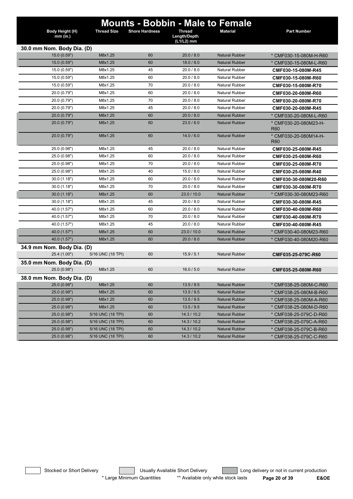|                            |                    |                       |                            | <b>Mounts - Bobbin - Male to Female</b> |                                          |
|----------------------------|--------------------|-----------------------|----------------------------|-----------------------------------------|------------------------------------------|
| Body Height (H)            | <b>Thread Size</b> | <b>Shore Hardness</b> | <b>Thread</b>              | <b>Material</b>                         | <b>Part Number</b>                       |
| $mm$ (in.)                 |                    |                       | Length/Depth<br>(L1/L2) mm |                                         |                                          |
| 30.0 mm Nom. Body Dia. (D) |                    |                       |                            |                                         |                                          |
| 15.0 (0.59")               | M8x1.25            | 60                    | 20.0 / 8.0                 | <b>Natural Rubber</b>                   | * CMF030-15-080M-H-R60                   |
| 15.0(0.59")                | M8x1.25            | 60                    | 18.0 / 8.0                 | <b>Natural Rubber</b>                   | * CMF030-15-080M-L-R60                   |
| 15.0 (0.59")               | M8x1.25            | 45                    | 20.0 / 8.0                 | <b>Natural Rubber</b>                   | CMF030-15-080M-R45                       |
| 15.0 (0.59")               | M8x1.25            | 60                    | 20.0 / 8.0                 | <b>Natural Rubber</b>                   | CMF030-15-080M-R60                       |
| 15.0 (0.59")               | M8x1.25            | 70                    | 20.0 / 8.0                 | <b>Natural Rubber</b>                   | CMF030-15-080M-R70                       |
| 20.0 (0.79")               | M8x1.25            | 60                    | 20.0 / 8.0                 | <b>Natural Rubber</b>                   | CMF030-20-080M-R60                       |
| 20.0 (0.79")               | M8x1.25            | 70                    | 20.0 / 8.0                 | <b>Natural Rubber</b>                   | CMF030-20-080M-R70                       |
| 20.0 (0.79")               | M8x1.25            | 45                    | 20.0 / 8.0                 | Natural Rubber                          | CMF030-20-080M-R45                       |
| 20.0 (0.79")               | M8x1.25            | 60                    | 20.0 / 8.0                 | <b>Natural Rubber</b>                   | * CMF030-20-080M-L-R60                   |
| 20.0 (0.79")               | M8x1.25            | 60                    | 23.0 / 6.0                 | <b>Natural Rubber</b>                   | * CMF030-20-080M23-H-<br>R <sub>60</sub> |
| 20.0 (0.79")               | M8x1.25            | 60                    | 14.0 / 6.0                 | <b>Natural Rubber</b>                   | * CMF030-20-080M14-H-<br>R60             |
| 25.0 (0.98")               | M8x1.25            | 45                    | 20.0 / 8.0                 | <b>Natural Rubber</b>                   | CMF030-25-080M-R45                       |
| 25.0 (0.98")               | M8x1.25            | 60                    | 20.0 / 8.0                 | <b>Natural Rubber</b>                   | CMF030-25-080M-R60                       |
| 25.0 (0.98")               | M8x1.25            | 70                    | 20.0 / 8.0                 | <b>Natural Rubber</b>                   | CMF030-25-080M-R70                       |
| 25.0 (0.98")               | M8x1.25            | 40                    | 15.0 / 8.0                 | <b>Natural Rubber</b>                   | CMF030-25-080M-R40                       |
| 30.0(1.18")                | M8x1.25            | 60                    | 20.0 / 8.0                 | Natural Rubber                          | CMF030-30-080M20-R60                     |
| 30.0(1.18")                | M8x1.25            | 70                    | 20.0 / 8.0                 | <b>Natural Rubber</b>                   | CMF030-30-080M-R70                       |
| 30.0(1.18")                | M8x1.25            | 60                    | 23.0 / 10.0                | <b>Natural Rubber</b>                   | * CMF030-30-080M23-R60                   |
| 30.0(1.18")                | M8x1.25            | 45                    | 20.0 / 8.0                 | <b>Natural Rubber</b>                   | CMF030-30-080M-R45                       |
| 40.0 (1.57")               | M8x1.25            | 60                    | 20.0 / 8.0                 | <b>Natural Rubber</b>                   | CMF030-40-080M-R60                       |
| 40.0 (1.57")               | M8x1.25            | 70                    | 20.0 / 8.0                 | <b>Natural Rubber</b>                   | CMF030-40-080M-R70                       |
| 40.0 (1.57")               | M8x1.25            | 45                    | 20.0 / 8.0                 | <b>Natural Rubber</b>                   | CMF030-40-080M-R45                       |
| 40.0 (1.57")               | M8x1.25            | 60                    | 23.0 / 10.0                | <b>Natural Rubber</b>                   | * CMF030-40-080M23-R60                   |
| 40.0 (1.57")               | M8x1.25            | 60                    | 20.0 / 8.0                 | <b>Natural Rubber</b>                   | * CMF030-40-080M20-R60                   |
| 34.9 mm Nom. Body Dia. (D) |                    |                       |                            |                                         |                                          |
| 25.4 (1.00")               | 5/16 UNC (18 TPI)  | 60                    | 15.9 / 5.1                 | <b>Natural Rubber</b>                   | CMF035-25-079C-R60                       |
| 35.0 mm Nom. Body Dia. (D) |                    |                       |                            |                                         |                                          |
| 25.0 (0.98")               | M8x1.25            | 60                    | 16.0 / 5.0                 | <b>Natural Rubber</b>                   | CMF035-25-080M-R60                       |
| 38.0 mm Nom. Body Dia. (D) |                    |                       |                            |                                         |                                          |
| 25.0(0.98")                | M8x1.25            | 60                    | 13.5 / 9.5                 | <b>Natural Rubber</b>                   | * CMF038-25-080M-C-R60                   |
| 25.0 (0.98")               | M8x1.25            | 60                    | 13.5/9.5                   | Natural Rubber                          | * CMF038-25-080M-B-R60                   |
| 25.0 (0.98")               | M8x1.25            | 60                    | 13.5 / 9.5                 | <b>Natural Rubber</b>                   | * CMF038-25-080M-A-R60                   |
| 25.0 (0.98")               | M8x1.25            | 60                    | 13.5 / 9.5                 | <b>Natural Rubber</b>                   | * CMF038-25-080M-D-R60                   |
| 25.0 (0.98")               | 5/16 UNC (18 TPI)  | 60                    | 14.3 / 10.2                | <b>Natural Rubber</b>                   | * CMF038-25-079C-D-R60                   |
| 25.0 (0.98")               | 5/16 UNC (18 TPI)  | 60                    | 14.3 / 10.2                | <b>Natural Rubber</b>                   | * CMF038-25-079C-A-R60                   |
| 25.0 (0.98")               | 5/16 UNC (18 TPI)  | 60                    | 14.3 / 10.2                | <b>Natural Rubber</b>                   | * CMF038-25-079C-B-R60                   |
| 25.0 (0.98")               | 5/16 UNC (18 TPI)  | 60                    | 14.3 / 10.2                | <b>Natural Rubber</b>                   | * CMF038-25-079C-C-R60                   |

Stocked or Short Delivery **The Contract Contract Contract Contract** Long delivery or not in current production \* Large Minimum Quantities \*\* Available only while stock lasts **Page 20 of 39 E&OE**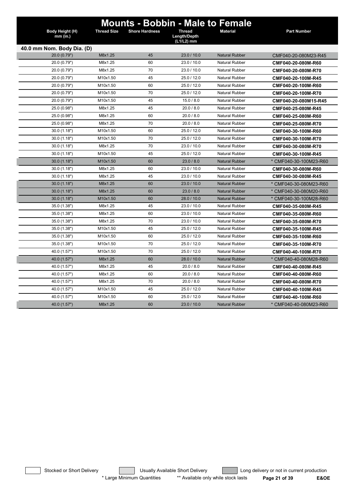| Body Height (H)<br>$mm$ (in.) | <b>Thread Size</b> | <b>Shore Hardness</b> | <b>Mounts - Bobbin - Male to Female</b><br><b>Thread</b><br>Length/Depth<br>(L1/L2) mm | <b>Material</b>       | <b>Part Number</b>     |
|-------------------------------|--------------------|-----------------------|----------------------------------------------------------------------------------------|-----------------------|------------------------|
| 40.0 mm Nom. Body Dia. (D)    |                    |                       |                                                                                        |                       |                        |
| 20.0 (0.79")                  | M8x1.25            | 45                    | 23.0 / 10.0                                                                            | <b>Natural Rubber</b> | CMF040-20-080M23-R45   |
| 20.0 (0.79")                  | M8x1.25            | 60                    | 23.0 / 10.0                                                                            | Natural Rubber        | CMF040-20-080M-R60     |
| 20.0 (0.79")                  | M8x1.25            | 70                    | 23.0 / 10.0                                                                            | <b>Natural Rubber</b> | CMF040-20-080M-R70     |
| 20.0 (0.79")                  | M10x1.50           | 45                    | 25.0 / 12.0                                                                            | <b>Natural Rubber</b> | CMF040-20-100M-R45     |
| 20.0 (0.79")                  | M10x1.50           | 60                    | 25.0 / 12.0                                                                            | <b>Natural Rubber</b> | CMF040-20-100M-R60     |
| 20.0 (0.79")                  | M10x1.50           | 70                    | 25.0 / 12.0                                                                            | <b>Natural Rubber</b> | CMF040-20-100M-R70     |
| 20.0 (0.79")                  | M10x1.50           | 45                    | 15.0 / 8.0                                                                             | <b>Natural Rubber</b> | CMF040-20-080M15-R45   |
| 25.0 (0.98")                  | M8x1.25            | 45                    | 20.0 / 8.0                                                                             | <b>Natural Rubber</b> | CMF040-25-080M-R45     |
| 25.0 (0.98")                  | M8x1.25            | 60                    | 20.0 / 8.0                                                                             | <b>Natural Rubber</b> | CMF040-25-080M-R60     |
| 25.0 (0.98")                  | M8x1.25            | 70                    | 20.0 / 8.0                                                                             | <b>Natural Rubber</b> | CMF040-25-080M-R70     |
| 30.0 (1.18")                  | M10x1.50           | 60                    | 25.0 / 12.0                                                                            | <b>Natural Rubber</b> | CMF040-30-100M-R60     |
| 30.0(1.18")                   | M10x1.50           | 70                    | 25.0 / 12.0                                                                            | <b>Natural Rubber</b> | CMF040-30-100M-R70     |
| 30.0(1.18")                   | M8x1.25            | 70                    | 23.0 / 10.0                                                                            | <b>Natural Rubber</b> | CMF040-30-080M-R70     |
| 30.0(1.18")                   | M10x1.50           | 45                    | 25.0 / 12.0                                                                            | <b>Natural Rubber</b> | CMF040-30-100M-R45     |
| 30.0(1.18")                   | M10x1.50           | 60                    | 23.0 / 8.0                                                                             | <b>Natural Rubber</b> | * CMF040-30-100M23-R60 |
| 30.0(1.18")                   | M8x1.25            | 60                    | 23.0 / 10.0                                                                            | <b>Natural Rubber</b> | CMF040-30-080M-R60     |
| 30.0(1.18")                   | M8x1.25            | 45                    | 23.0 / 10.0                                                                            | <b>Natural Rubber</b> | CMF040-30-080M-R45     |
| 30.0(1.18")                   | M8x1.25            | 60                    | 23.0 / 10.0                                                                            | <b>Natural Rubber</b> | * CMF040-30-080M23-R60 |
| 30.0(1.18")                   | M8x1.25            | 60                    | 23.0 / 8.0                                                                             | <b>Natural Rubber</b> | * CMF040-30-080M20-R60 |
| 30.0(1.18")                   | M10x1.50           | 60                    | 28.0 / 10.0                                                                            | <b>Natural Rubber</b> | * CMF040-30-100M28-R60 |
| 35.0 (1.38")                  | M8x1.25            | 45                    | 23.0 / 10.0                                                                            | <b>Natural Rubber</b> | CMF040-35-080M-R45     |
| 35.0 (1.38")                  | M8x1.25            | 60                    | 23.0 / 10.0                                                                            | <b>Natural Rubber</b> | CMF040-35-080M-R60     |
| 35.0 (1.38")                  | M8x1.25            | 70                    | 23.0 / 10.0                                                                            | <b>Natural Rubber</b> | CMF040-35-080M-R70     |
| 35.0 (1.38")                  | M10x1.50           | 45                    | 25.0 / 12.0                                                                            | <b>Natural Rubber</b> | CMF040-35-100M-R45     |
| 35.0 (1.38")                  | M10x1.50           | 60                    | 25.0 / 12.0                                                                            | <b>Natural Rubber</b> | CMF040-35-100M-R60     |
| 35.0 (1.38")                  | M10x1.50           | 70                    | 25.0 / 12.0                                                                            | <b>Natural Rubber</b> | CMF040-35-100M-R70     |
| 40.0 (1.57")                  | M10x1.50           | 70                    | 25.0 / 12.0                                                                            | <b>Natural Rubber</b> | CMF040-40-100M-R70     |
| 40.0 (1.57")                  | M8x1.25            | 60                    | 28.0 / 10.0                                                                            | <b>Natural Rubber</b> | * CMF040-40-080M28-R60 |
| 40.0 (1.57")                  | M8x1.25            | 45                    | 20.0 / 8.0                                                                             | <b>Natural Rubber</b> | CMF040-40-080M-R45     |
| 40.0 (1.57")                  | M8x1.25            | 60                    | 20.0 / 8.0                                                                             | <b>Natural Rubber</b> | CMF040-40-080M-R60     |
| 40.0 (1.57")                  | M8x1.25            | 70                    | 20.0 / 8.0                                                                             | <b>Natural Rubber</b> | CMF040-40-080M-R70     |
| 40.0 (1.57")                  | M10x1.50           | 45                    | 25.0 / 12.0                                                                            | <b>Natural Rubber</b> | CMF040-40-100M-R45     |
| 40.0 (1.57")                  | M10x1.50           | 60                    | 25.0 / 12.0                                                                            | <b>Natural Rubber</b> | CMF040-40-100M-R60     |
| 40.0 (1.57")                  | M8x1.25            | 60                    | 23.0 / 10.0                                                                            | <b>Natural Rubber</b> | * CMF040-40-080M23-R60 |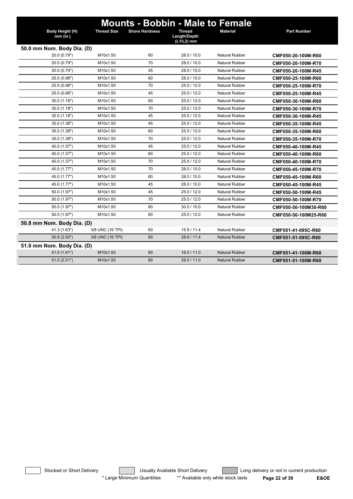| Body Height (H)<br>mm (in.) | <b>Thread Size</b> | <b>Shore Hardness</b> | <b>Thread</b><br>Length/Depth<br>(L1/L2) mm | <b>Mounts - Bobbin - Male to Female</b><br><b>Material</b> | <b>Part Number</b>   |
|-----------------------------|--------------------|-----------------------|---------------------------------------------|------------------------------------------------------------|----------------------|
| 50.0 mm Nom. Body Dia. (D)  |                    |                       |                                             |                                                            |                      |
| 20.0 (0.79")                | M10x1.50           | 60                    | 28.0 / 10.0                                 | <b>Natural Rubber</b>                                      | CMF050-20-100M-R60   |
| 20.0 (0.79")                | M10x1.50           | 70                    | 28.0 / 10.0                                 | <b>Natural Rubber</b>                                      | CMF050-20-100M-R70   |
| 20.0 (0.79")                | M10x1.50           | 45                    | 28.0 / 10.0                                 | <b>Natural Rubber</b>                                      | CMF050-20-100M-R45   |
| 25.0 (0.98")                | M10x1.50           | 60                    | 28.0 / 10.0                                 | Natural Rubber                                             | CMF050-25-100M-R60   |
| 25.0 (0.98")                | M10x1.50           | 70                    | 25.0 / 12.0                                 | Natural Rubber                                             | CMF050-25-100M-R70   |
| 25.0 (0.98")                | M10x1.50           | 45                    | 25.0 / 12.0                                 | <b>Natural Rubber</b>                                      | CMF050-25-100M-R45   |
| 30.0 (1.18")                | M10x1.50           | 60                    | 25.0/12.0                                   | Natural Rubber                                             | CMF050-30-100M-R60   |
| 30.0(1.18")                 | M10x1.50           | 70                    | 25.0 / 12.0                                 | <b>Natural Rubber</b>                                      | CMF050-30-100M-R70   |
| 30.0(1.18")                 | M10x1.50           | 45                    | 25.0 / 12.0                                 | <b>Natural Rubber</b>                                      | CMF050-30-100M-R45   |
| 35.0 (1.38")                | M10x1.50           | 45                    | 25.0 / 12.0                                 | Natural Rubber                                             | CMF050-35-100M-R45   |
| 35.0 (1.38")                | M10x1.50           | 60                    | 25.0 / 12.0                                 | <b>Natural Rubber</b>                                      | CMF050-35-100M-R60   |
| 35.0 (1.38")                | M10x1.50           | 70                    | 25.0 / 12.0                                 | <b>Natural Rubber</b>                                      | CMF050-35-100M-R70   |
| 40.0 (1.57")                | M10x1.50           | 45                    | 25.0/12.0                                   | Natural Rubber                                             | CMF050-40-100M-R45   |
| 40.0 (1.57")                | M10x1.50           | 60                    | 25.0 / 12.0                                 | Natural Rubber                                             | CMF050-40-100M-R60   |
| 40.0 (1.57")                | M10x1.50           | 70                    | 25.0 / 12.0                                 | <b>Natural Rubber</b>                                      | CMF050-40-100M-R70   |
| 45.0 (1.77")                | M10x1.50           | 70                    | 28.0 / 10.0                                 | <b>Natural Rubber</b>                                      | CMF050-45-100M-R70   |
| 45.0 (1.77")                | M10x1.50           | 60                    | 28.0 / 10.0                                 | <b>Natural Rubber</b>                                      | CMF050-45-100M-R60   |
| 45.0 (1.77")                | M10x1.50           | 45                    | 28.0 / 10.0                                 | <b>Natural Rubber</b>                                      | CMF050-45-100M-R45   |
| 50.0 (1.97")                | M10x1.50           | 45                    | 25.0 / 12.0                                 | <b>Natural Rubber</b>                                      | CMF050-50-100M-R45   |
| 50.0 (1.97")                | M10x1.50           | 70                    | 25.0 / 12.0                                 | <b>Natural Rubber</b>                                      | CMF050-50-100M-R70   |
| 50.0 (1.97")                | M10x1.50           | 60                    | 30.0 / 10.0                                 | <b>Natural Rubber</b>                                      | CMF050-50-100M30-R60 |
| 50.0 (1.97")                | M10x1.50           | 60                    | 25.0 / 12.0                                 | <b>Natural Rubber</b>                                      | CMF050-50-100M25-R60 |
| 50.8 mm Nom. Body Dia. (D)  |                    |                       |                                             |                                                            |                      |
| 41.3 (1.63")                | 3/8 UNC (16 TPI)   | 60                    | 15.9/11.4                                   | <b>Natural Rubber</b>                                      | CMF051-41-095C-R60   |
| 50.8 (2.00")                | 3/8 UNC (16 TPI)   | 60                    | 28.6 / 11.4                                 | <b>Natural Rubber</b>                                      | CMF051-51-095C-R60   |
| 51.0 mm Nom. Body Dia. (D)  |                    |                       |                                             |                                                            |                      |
| 41.0 (1.61")                | M10x1.50           | 60                    | 16.0 / 11.0                                 | Natural Rubber                                             | CMF051-41-100M-R60   |
| 51.0(2.01")                 | M10x1.50           | 60                    | 29.0 / 11.0                                 | Natural Rubber                                             | CMF051-51-100M-R60   |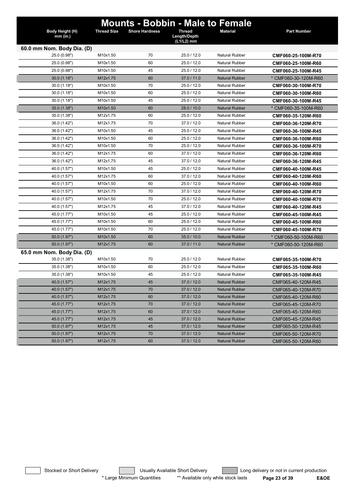|                             |                    | <b>Mounts - Bobbin - Male to Female</b> |                                             |                       |                      |
|-----------------------------|--------------------|-----------------------------------------|---------------------------------------------|-----------------------|----------------------|
| Body Height (H)<br>mm (in.) | <b>Thread Size</b> | <b>Shore Hardness</b>                   | <b>Thread</b><br>Length/Depth<br>(L1/L2) mm | <b>Material</b>       | <b>Part Number</b>   |
| 60.0 mm Nom. Body Dia. (D)  |                    |                                         |                                             |                       |                      |
| 25.0 (0.98")                | M10x1.50           | 70                                      | 25.0 / 12.0                                 | <b>Natural Rubber</b> | CMF060-25-100M-R70   |
| 25.0 (0.98")                | M10x1.50           | 60                                      | 25.0 / 12.0                                 | <b>Natural Rubber</b> | CMF060-25-100M-R60   |
| 25.0 (0.98")                | M10x1.50           | 45                                      | 25.0 / 12.0                                 | <b>Natural Rubber</b> | CMF060-25-100M-R45   |
| 30.0(1.18")                 | M12x1.75           | 60                                      | 37.0 / 11.0                                 | <b>Natural Rubber</b> | * CMF060-30-120M-R60 |
| 30.0(1.18")                 | M10x1.50           | 70                                      | 25.0 / 12.0                                 | <b>Natural Rubber</b> | CMF060-30-100M-R70   |
| 30.0 (1.18")                | M10x1.50           | 60                                      | 25.0 / 12.0                                 | <b>Natural Rubber</b> | CMF060-30-100M-R60   |
| 30.0(1.18")                 | M10x1.50           | 45                                      | 25.0 / 12.0                                 | <b>Natural Rubber</b> | CMF060-30-100M-R45   |
| 35.0 (1.38")                | M10x1.50           | 60                                      | 28.0 / 10.0                                 | <b>Natural Rubber</b> | * CMF060-35-100M-R60 |
| 35.0 (1.38")                | M12x1.75           | 60                                      | 25.0 / 12.0                                 | <b>Natural Rubber</b> | CMF060-35-120M-R60   |
| 36.0 (1.42")                | M12x1.75           | 70                                      | 37.0 / 12.0                                 | <b>Natural Rubber</b> | CMF060-36-120M-R70   |
| 36.0 (1.42")                | M10x1.50           | 45                                      | 25.0 / 12.0                                 | <b>Natural Rubber</b> | CMF060-36-100M-R45   |
| 36.0 (1.42")                | M10x1.50           | 60                                      | 25.0 / 12.0                                 | <b>Natural Rubber</b> | CMF060-36-100M-R60   |
| 36.0 (1.42")                | M10x1.50           | 70                                      | 25.0 / 12.0                                 | <b>Natural Rubber</b> | CMF060-36-100M-R70   |
| 36.0 (1.42")                | M12x1.75           | 60                                      | 37.0 / 12.0                                 | <b>Natural Rubber</b> | CMF060-36-120M-R60   |
| 36.0 (1.42")                | M12x1.75           | 45                                      | 37.0 / 12.0                                 | Natural Rubber        | CMF060-36-120M-R45   |
| 40.0 (1.57")                | M10x1.50           | 45                                      | 25.0 / 12.0                                 | <b>Natural Rubber</b> | CMF060-40-100M-R45   |
| 40.0 (1.57")                | M12x1.75           | 60                                      | 37.0 / 12.0                                 | Natural Rubber        | CMF060-40-120M-R60   |
| 40.0 (1.57")                | M10x1.50           | 60                                      | 25.0 / 12.0                                 | <b>Natural Rubber</b> | CMF060-40-100M-R60   |
| 40.0 (1.57")                | M12x1.75           | 70                                      | 37.0 / 12.0                                 | <b>Natural Rubber</b> | CMF060-40-120M-R70   |
| 40.0 (1.57")                | M10x1.50           | 70                                      | 25.0 / 12.0                                 | <b>Natural Rubber</b> | CMF060-40-100M-R70   |
| 40.0 (1.57")                | M12x1.75           | 45                                      | 37.0 / 12.0                                 | <b>Natural Rubber</b> | CMF060-40-120M-R45   |
| 45.0 (1.77")                | M10x1.50           | 45                                      | 25.0 / 12.0                                 | <b>Natural Rubber</b> | CMF060-45-100M-R45   |
| 45.0 (1.77")                | M10x1.50           | 60                                      | 25.0 / 12.0                                 | <b>Natural Rubber</b> | CMF060-45-100M-R60   |
| 45.0 (1.77")                | M10x1.50           | 70                                      | 25.0 / 12.0                                 | <b>Natural Rubber</b> | CMF060-45-100M-R70   |
| 50.0 (1.97")                | M10x1.50           | 60                                      | 35.0 / 10.0                                 | <b>Natural Rubber</b> | * CMF060-50-100M-R60 |
| 50.0 (1.97")                | M12x1.75           | 60                                      | 37.0 / 11.0                                 | <b>Natural Rubber</b> | * CMF060-50-120M-R60 |
| 65.0 mm Nom. Body Dia. (D)  |                    |                                         |                                             |                       |                      |
| 35.0 (1.38")                | M10x1.50           | 70                                      | 25.0 / 12.0                                 | <b>Natural Rubber</b> | CMF065-35-100M-R70   |
| 35.0 (1.38")                | M10x1.50           | 60                                      | 25.0 / 12.0                                 | <b>Natural Rubber</b> | CMF065-35-100M-R60   |
| 35.0 (1.38")                | M10x1.50           | 45                                      | 25.0 / 12.0                                 | <b>Natural Rubber</b> | CMF065-35-100M-R45   |
| 40.0 (1.57")                | M12x1.75           | 45                                      | 37.0 / 12.0                                 | <b>Natural Rubber</b> | CMF065-40-120M-R45   |
| 40.0 (1.57")                | M12x1.75           | 70                                      | 37.0 / 12.0                                 | <b>Natural Rubber</b> | CMF065-40-120M-R70   |
| 40.0 (1.57")                | M12x1.75           | 60                                      | 37.0 / 12.0                                 | <b>Natural Rubber</b> | CMF065-40-120M-R60   |
| 45.0 (1.77")                | M12x1.75           | 70                                      | 37.0 / 12.0                                 | <b>Natural Rubber</b> | CMF065-45-120M-R70   |
| 45.0 (1.77")                | M12x1.75           | 60                                      | 37.0 / 12.0                                 | <b>Natural Rubber</b> | CMF065-45-120M-R60   |
| 45.0 (1.77")                | M12x1.75           | 45                                      | 37.0 / 12.0                                 | <b>Natural Rubber</b> | CMF065-45-120M-R45   |
| 50.0 (1.97")                | M12x1.75           | 45                                      | 37.0 / 12.0                                 | <b>Natural Rubber</b> | CMF065-50-120M-R45   |
| 50.0 (1.97")                | M12x1.75           | 70                                      | 37.0 / 12.0                                 | <b>Natural Rubber</b> | CMF065-50-120M-R70   |
| 50.0 (1.97")                | M12x1.75           | 60                                      | 37.0 / 12.0                                 | <b>Natural Rubber</b> | CMF065-50-120M-R60   |

Stocked or Short Delivery **Long Constructs** Usually Available Short Delivery **Long delivery or not in current production** \* Large Minimum Quantities \*\* Available only while stock lasts **Page 23 of 39 E&OE**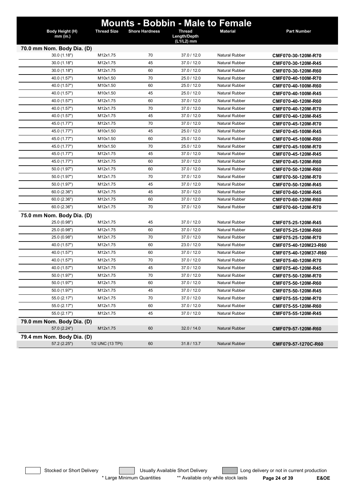|                             |                    |                       |                                             | <b>Mounts - Bobbin - Male to Female</b> |                      |
|-----------------------------|--------------------|-----------------------|---------------------------------------------|-----------------------------------------|----------------------|
| Body Height (H)<br>mm (in.) | <b>Thread Size</b> | <b>Shore Hardness</b> | <b>Thread</b><br>Length/Depth<br>(L1/L2) mm | <b>Material</b>                         | Part Number          |
| 70.0 mm Nom. Body Dia. (D)  |                    |                       |                                             |                                         |                      |
| 30.0(1.18")                 | M12x1.75           | 70                    | 37.0 / 12.0                                 | <b>Natural Rubber</b>                   | CMF070-30-120M-R70   |
| 30.0 (1.18")                | M12x1.75           | 45                    | 37.0 / 12.0                                 | <b>Natural Rubber</b>                   | CMF070-30-120M-R45   |
| 30.0 (1.18")                | M12x1.75           | 60                    | 37.0 / 12.0                                 | <b>Natural Rubber</b>                   | CMF070-30-120M-R60   |
| 40.0 (1.57")                | M10x1.50           | 70                    | 25.0 / 12.0                                 | <b>Natural Rubber</b>                   | CMF070-40-100M-R70   |
| 40.0 (1.57")                | M10x1.50           | 60                    | 25.0 / 12.0                                 | <b>Natural Rubber</b>                   | CMF070-40-100M-R60   |
| 40.0 (1.57")                | M10x1.50           | 45                    | 25.0 / 12.0                                 | Natural Rubber                          | CMF070-40-100M-R45   |
| 40.0 (1.57")                | M12x1.75           | 60                    | 37.0 / 12.0                                 | <b>Natural Rubber</b>                   | CMF070-40-120M-R60   |
| 40.0 (1.57")                | M12x1.75           | 70                    | 37.0 / 12.0                                 | <b>Natural Rubber</b>                   | CMF070-40-120M-R70   |
| 40.0 (1.57")                | M12x1.75           | 45                    | 37.0 / 12.0                                 | <b>Natural Rubber</b>                   | CMF070-40-120M-R45   |
| 45.0 (1.77")                | M12x1.75           | 70                    | 37.0 / 12.0                                 | <b>Natural Rubber</b>                   | CMF070-45-120M-R70   |
| 45.0 (1.77")                | M10x1.50           | 45                    | 25.0 / 12.0                                 | <b>Natural Rubber</b>                   | CMF070-45-100M-R45   |
| 45.0 (1.77")                | M10x1.50           | 60                    | 25.0 / 12.0                                 | Natural Rubber                          | CMF070-45-100M-R60   |
| 45.0 (1.77")                | M10x1.50           | 70                    | 25.0 / 12.0                                 | <b>Natural Rubber</b>                   | CMF070-45-100M-R70   |
| 45.0 (1.77")                | M12x1.75           | 45                    | 37.0 / 12.0                                 | <b>Natural Rubber</b>                   | CMF070-45-120M-R45   |
| 45.0 (1.77")                | M12x1.75           | 60                    | 37.0 / 12.0                                 | <b>Natural Rubber</b>                   | CMF070-45-120M-R60   |
| 50.0 (1.97")                | M12x1.75           | 60                    | 37.0 / 12.0                                 | <b>Natural Rubber</b>                   | CMF070-50-120M-R60   |
| 50.0 (1.97")                | M12x1.75           | 70                    | 37.0 / 12.0                                 | <b>Natural Rubber</b>                   | CMF070-50-120M-R70   |
| 50.0 (1.97")                | M12x1.75           | 45                    | 37.0 / 12.0                                 | <b>Natural Rubber</b>                   | CMF070-50-120M-R45   |
| 60.0(2.36")                 | M12x1.75           | 45                    | 37.0 / 12.0                                 | <b>Natural Rubber</b>                   | CMF070-60-120M-R45   |
| 60.0(2.36")                 | M12x1.75           | 60                    | 37.0 / 12.0                                 | <b>Natural Rubber</b>                   | CMF070-60-120M-R60   |
| 60.0(2.36")                 | M12x1.75           | 70                    | 37.0 / 12.0                                 | <b>Natural Rubber</b>                   | CMF070-60-120M-R70   |
| 75.0 mm Nom. Body Dia. (D)  |                    |                       |                                             |                                         |                      |
| 25.0 (0.98")                | M12x1.75           | 45                    | 37.0 / 12.0                                 | <b>Natural Rubber</b>                   | CMF075-25-120M-R45   |
| 25.0 (0.98")                | M12x1.75           | 60                    | 37.0 / 12.0                                 | <b>Natural Rubber</b>                   | CMF075-25-120M-R60   |
| 25.0 (0.98")                | M12x1.75           | 70                    | 37.0 / 12.0                                 | <b>Natural Rubber</b>                   | CMF075-25-120M-R70   |
| 40.0 (1.57")                | M12x1.75           | 60                    | 23.0 / 12.0                                 | <b>Natural Rubber</b>                   | CMF075-40-120M23-R60 |
| 40.0 (1.57")                | M12x1.75           | 60                    | 37.0 / 12.0                                 | Natural Rubber                          | CMF075-40-120M37-R60 |
| 40.0 (1.57")                | M12x1.75           | 70                    | 37.0 / 12.0                                 | <b>Natural Rubber</b>                   | CMF075-40-120M-R70   |
| 40.0 (1.57")                | M12x1.75           | 45                    | 37.0 / 12.0                                 | <b>Natural Rubber</b>                   | CMF075-40-120M-R45   |
| 50.0 (1.97")                | M12x1.75           | 70                    | 37.0 / 12.0                                 | <b>Natural Rubber</b>                   | CMF075-50-120M-R70   |
| 50.0 (1.97")                | M12x1.75           | 60                    | 37.0 / 12.0                                 | <b>Natural Rubber</b>                   | CMF075-50-120M-R60   |
| 50.0 (1.97")                | M12x1.75           | 45                    | 37.0 / 12.0                                 | <b>Natural Rubber</b>                   | CMF075-50-120M-R45   |
| 55.0 (2.17")                | M12x1.75           | 70                    | 37.0 / 12.0                                 | <b>Natural Rubber</b>                   | CMF075-55-120M-R70   |
| 55.0 (2.17")                | M12x1.75           | 60                    | 37.0 / 12.0                                 | <b>Natural Rubber</b>                   | CMF075-55-120M-R60   |
| 55.0 (2.17")                | M12x1.75           | 45                    | 37.0 / 12.0                                 | <b>Natural Rubber</b>                   | CMF075-55-120M-R45   |
| 79.0 mm Nom. Body Dia. (D)  |                    |                       |                                             |                                         |                      |
| 57.0 (2.24")                | M12x1.75           | 60                    | 32.0 / 14.0                                 | Natural Rubber                          | CMF079-57-120M-R60   |
| 79.4 mm Nom. Body Dia. (D)  |                    |                       |                                             |                                         |                      |
| 57.2 (2.25")                | 1/2 UNC (13 TPI)   | 60                    | 31.8 / 13.7                                 | Natural Rubber                          | CMF079-57-1270C-R60  |

Stocked or Short Delivery **Contains the Usually Available Short Delivery Containery** Long delivery or not in current production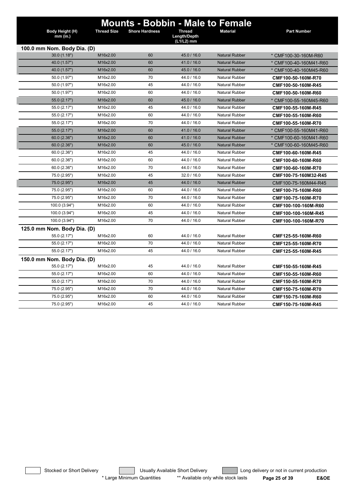|                               | <b>Thread Size</b> | <b>Mounts - Bobbin - Male to Female</b> | <b>Thread</b>              | <b>Material</b>       | <b>Part Number</b>     |
|-------------------------------|--------------------|-----------------------------------------|----------------------------|-----------------------|------------------------|
| Body Height (H)<br>$mm$ (in.) |                    | <b>Shore Hardness</b>                   | Length/Depth<br>(L1/L2) mm |                       |                        |
| 100.0 mm Nom. Body Dia. (D)   |                    |                                         |                            |                       |                        |
| 30.0(1.18")                   | M16x2.00           | 60                                      | 45.0 / 16.0                | <b>Natural Rubber</b> | * CMF100-30-160M-R60   |
| 40.0 (1.57")                  | M16x2.00           | 60                                      | 41.0 / 16.0                | <b>Natural Rubber</b> | * CMF100-40-160M41-R60 |
| 40.0 (1.57")                  | M16x2.00           | 60                                      | 45.0 / 16.0                | <b>Natural Rubber</b> | * CMF100-40-160M45-R60 |
| 50.0 (1.97")                  | M16x2.00           | 70                                      | 44.0 / 16.0                | <b>Natural Rubber</b> | CMF100-50-160M-R70     |
| 50.0 (1.97")                  | M16x2.00           | 45                                      | 44.0 / 16.0                | <b>Natural Rubber</b> | CMF100-50-160M-R45     |
| 50.0 (1.97")                  | M16x2.00           | 60                                      | 44.0 / 16.0                | <b>Natural Rubber</b> | CMF100-50-160M-R60     |
| 55.0 (2.17")                  | M16x2.00           | 60                                      | 45.0 / 16.0                | <b>Natural Rubber</b> | * CMF100-55-160M45-R60 |
| 55.0 (2.17")                  | M16x2.00           | 45                                      | 44.0 / 16.0                | <b>Natural Rubber</b> | CMF100-55-160M-R45     |
| 55.0 (2.17")                  | M16x2.00           | 60                                      | 44.0 / 16.0                | <b>Natural Rubber</b> | CMF100-55-160M-R60     |
| 55.0 (2.17")                  | M16x2.00           | 70                                      | 44.0 / 16.0                | <b>Natural Rubber</b> | CMF100-55-160M-R70     |
| 55.0 (2.17")                  | M16x2.00           | 60                                      | 41.0 / 16.0                | <b>Natural Rubber</b> | * CMF100-55-160M41-R60 |
| 60.0(2.36")                   | M16x2.00           | 60                                      | 41.0 / 16.0                | <b>Natural Rubber</b> | * CMF100-60-160M41-R60 |
| 60.0(2.36")                   | M16x2.00           | 60                                      | 45.0 / 16.0                | <b>Natural Rubber</b> | * CMF100-60-160M45-R60 |
| 60.0(2.36")                   | M16x2.00           | 45                                      | 44.0 / 16.0                | <b>Natural Rubber</b> | CMF100-60-160M-R45     |
| 60.0(2.36")                   | M16x2.00           | 60                                      | 44.0 / 16.0                | <b>Natural Rubber</b> | CMF100-60-160M-R60     |
| 60.0 (2.36")                  | M16x2.00           | 70                                      | 44.0 / 16.0                | <b>Natural Rubber</b> | CMF100-60-160M-R70     |
| 75.0 (2.95")                  | M16x2.00           | 45                                      | 32.0 / 16.0                | <b>Natural Rubber</b> | CMF100-75-160M32-R45   |
| 75.0 (2.95")                  | M16x2.00           | 45                                      | 44.0 / 16.0                | <b>Natural Rubber</b> | CMF100-75-160M44-R45   |
| 75.0 (2.95")                  | M16x2.00           | 60                                      | 44.0 / 16.0                | <b>Natural Rubber</b> | CMF100-75-160M-R60     |
| 75.0 (2.95")                  | M16x2.00           | 70                                      | 44.0 / 16.0                | <b>Natural Rubber</b> | CMF100-75-160M-R70     |
| 100.0 (3.94")                 | M16x2.00           | 60                                      | 44.0 / 16.0                | <b>Natural Rubber</b> | CMF100-100-160M-R60    |
| 100.0 (3.94")                 | M16x2.00           | 45                                      | 44.0 / 16.0                | <b>Natural Rubber</b> | CMF100-100-160M-R45    |
| 100.0 (3.94")                 | M16x2.00           | 70                                      | 44.0 / 16.0                | <b>Natural Rubber</b> | CMF100-100-160M-R70    |
| 125.0 mm Nom. Body Dia. (D)   |                    |                                         |                            |                       |                        |
| 55.0 (2.17")                  | M16x2.00           | 60                                      | 44.0 / 16.0                | <b>Natural Rubber</b> | CMF125-55-160M-R60     |
| 55.0 (2.17")                  | M16x2.00           | 70                                      | 44.0 / 16.0                | <b>Natural Rubber</b> | CMF125-55-160M-R70     |
| 55.0 (2.17")                  | M16x2.00           | 45                                      | 44.0 / 16.0                | <b>Natural Rubber</b> | CMF125-55-160M-R45     |
| 150.0 mm Nom. Body Dia. (D)   |                    |                                         |                            |                       |                        |
| 55.0 (2.17")                  | M16x2.00           | 45                                      | 44.0 / 16.0                | <b>Natural Rubber</b> | CMF150-55-160M-R45     |
| 55.0 (2.17")                  | M16x2.00           | 60                                      | 44.0 / 16.0                | <b>Natural Rubber</b> | CMF150-55-160M-R60     |
| 55.0 (2.17")                  | M16x2.00           | 70                                      | 44.0 / 16.0                | <b>Natural Rubber</b> | CMF150-55-160M-R70     |
| 75.0 (2.95")                  | M16x2.00           | 70                                      | 44.0 / 16.0                | <b>Natural Rubber</b> | CMF150-75-160M-R70     |
| 75.0 (2.95")                  | M16x2.00           | 60                                      | 44.0 / 16.0                | <b>Natural Rubber</b> | CMF150-75-160M-R60     |
| 75.0 (2.95")                  | M16x2.00           | 45                                      | 44.0 / 16.0                | <b>Natural Rubber</b> | CMF150-75-160M-R45     |
|                               |                    |                                         |                            |                       |                        |

Stocked or Short Delivery **Contains the Usually Available Short Delivery Containery** Long delivery or not in current production \* Large Minimum Quantities \*\* Available only while stock lasts Page 25 of 39 E&OE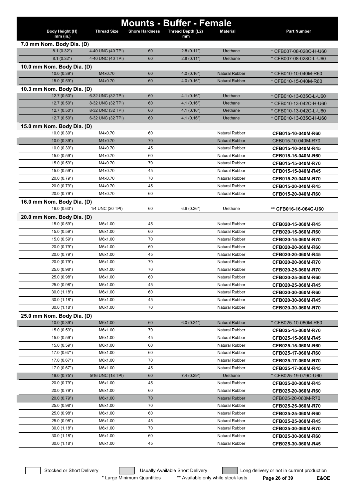| <b>Mounts - Buffer - Female</b> |                    |                       |                         |                       |                        |  |  |
|---------------------------------|--------------------|-----------------------|-------------------------|-----------------------|------------------------|--|--|
| Body Height (H)<br>$mm$ (in.)   | <b>Thread Size</b> | <b>Shore Hardness</b> | Thread Depth (L2)<br>mm | <b>Material</b>       | <b>Part Number</b>     |  |  |
| 7.0 mm Nom. Body Dia. (D)       |                    |                       |                         |                       |                        |  |  |
| 8.1(0.32")                      | 4-40 UNC (40 TPI)  | 60                    | 2.8(0.11")              | Urethane              | * CFB007-08-028C-H-U60 |  |  |
| 8.1(0.32")                      | 4-40 UNC (40 TPI)  | 60                    | 2.8(0.11")              | Urethane              | * CFB007-08-028C-L-U60 |  |  |
| 10.0 mm Nom. Body Dia. (D)      |                    |                       |                         |                       |                        |  |  |
| 10.0(0.39")                     | M4x0.70            | 60                    | 4.0(0.16")              | <b>Natural Rubber</b> | * CFB010-10-040M-R60   |  |  |
| 15.0(0.59")                     | M4x0.70            | 60                    | 4.0(0.16")              | <b>Natural Rubber</b> | * CFB010-15-040M-R60   |  |  |
| 10.3 mm Nom. Body Dia. (D)      |                    |                       |                         |                       |                        |  |  |
| 12.7 (0.50")                    | 6-32 UNC (32 TPI)  | 60                    | 4.1(0.16")              | Urethane              | * CFB010-13-035C-L-U60 |  |  |
| 12.7 (0.50")                    | 8-32 UNC (32 TPI)  | 60                    | 4.1(0.16")              | Urethane              | * CFB010-13-042C-H-U60 |  |  |
| 12.7(0.50")                     | 8-32 UNC (32 TPI)  | 60                    | 4.1(0.16")              | Urethane              | * CFB010-13-042C-L-U60 |  |  |
| 12.7(0.50")                     | 6-32 UNC (32 TPI)  | 60                    | 4.1(0.16")              | Urethane              | * CFB010-13-035C-H-U60 |  |  |
| 15.0 mm Nom. Body Dia. (D)      |                    |                       |                         |                       |                        |  |  |
| 10.0 (0.39")                    | M4x0.70            | 60                    |                         | <b>Natural Rubber</b> | CFB015-10-040M-R60     |  |  |
| 10.0 (0.39")                    | M4x0.70            | 70                    |                         | <b>Natural Rubber</b> | CFB015-10-040M-R70     |  |  |
| 10.0 (0.39")                    | M4x0.70            | 45                    |                         | <b>Natural Rubber</b> | CFB015-10-040M-R45     |  |  |
| 15.0 (0.59")                    | M4x0.70            | 60                    |                         | <b>Natural Rubber</b> | CFB015-15-040M-R60     |  |  |
| 15.0 (0.59")                    | M4x0.70            | 70                    |                         | Natural Rubber        | CFB015-15-040M-R70     |  |  |
| 15.0 (0.59")                    | M4x0.70            | 45                    |                         | <b>Natural Rubber</b> | CFB015-15-040M-R45     |  |  |
| 20.0 (0.79")                    | M4x0.70            | 70                    |                         | <b>Natural Rubber</b> | CFB015-20-040M-R70     |  |  |
| 20.0 (0.79")                    | M4x0.70            | 45                    |                         | <b>Natural Rubber</b> | CFB015-20-040M-R45     |  |  |
| 20.0 (0.79")                    | M4x0.70            | 60                    |                         | <b>Natural Rubber</b> | CFB015-20-040M-R60     |  |  |
| 16.0 mm Nom. Body Dia. (D)      |                    |                       |                         |                       |                        |  |  |
| 16.0(0.63")                     | 1/4 UNC (20 TPI)   | 60                    | 6.6(0.26")              | Urethane              | ** CFB016-16-064C-U60  |  |  |
| 20.0 mm Nom. Body Dia. (D)      |                    |                       |                         |                       |                        |  |  |
| 15.0 (0.59")                    | M6x1.00            | 45                    |                         | <b>Natural Rubber</b> | CFB020-15-060M-R45     |  |  |
| 15.0 (0.59")                    | M6x1.00            | 60                    |                         | <b>Natural Rubber</b> | CFB020-15-060M-R60     |  |  |
| 15.0 (0.59")                    | M6x1.00            | 70                    |                         | <b>Natural Rubber</b> | CFB020-15-060M-R70     |  |  |
| 20.0 (0.79")                    | M6x1.00            | 60                    |                         | Natural Rubber        | CFB020-20-060M-R60     |  |  |
| 20.0 (0.79")                    | M6x1.00            | 45                    |                         | <b>Natural Rubber</b> | CFB020-20-060M-R45     |  |  |
| 20.0 (0.79")                    | M6x1.00            | 70                    |                         | <b>Natural Rubber</b> | CFB020-20-060M-R70     |  |  |
| 25.0 (0.98")                    | M6x1.00            | 70                    |                         | Natural Rubber        | CFB020-25-060M-R70     |  |  |
| 25.0 (0.98")                    | M6x1.00            | 60                    |                         | <b>Natural Rubber</b> | CFB020-25-060M-R60     |  |  |
| 25.0 (0.98")                    | M6x1.00            | 45                    |                         | <b>Natural Rubber</b> | CFB020-25-060M-R45     |  |  |
| 30.0(1.18")                     | M6x1.00            | 60                    |                         | <b>Natural Rubber</b> | CFB020-30-060M-R60     |  |  |
| 30.0(1.18")                     | M6x1.00            | 45                    |                         | <b>Natural Rubber</b> | CFB020-30-060M-R45     |  |  |
| 30.0(1.18")                     | M6x1.00            | 70                    |                         | Natural Rubber        | CFB020-30-060M-R70     |  |  |
| 25.0 mm Nom. Body Dia. (D)      |                    |                       |                         |                       |                        |  |  |
| 10.0(0.39")                     | M6x1.00            | 60                    | 6.0(0.24")              | <b>Natural Rubber</b> | * CFB025-10-060M-R60   |  |  |
| 15.0 (0.59")                    | M6x1.00            | 70                    |                         | <b>Natural Rubber</b> | CFB025-15-060M-R70     |  |  |
| 15.0 (0.59")                    | M6x1.00            | 45                    |                         | Natural Rubber        | CFB025-15-060M-R45     |  |  |
| 15.0 (0.59")                    | M6x1.00            | 60                    |                         | <b>Natural Rubber</b> | CFB025-15-060M-R60     |  |  |
| 17.0(0.67")                     | M6x1.00            | 60                    |                         | <b>Natural Rubber</b> | CFB025-17-060M-R60     |  |  |
| 17.0 (0.67")                    | M6x1.00            | 70                    |                         | <b>Natural Rubber</b> | CFB025-17-060M-R70     |  |  |
| 17.0 (0.67")                    | M6x1.00            | 45                    |                         | <b>Natural Rubber</b> | CFB025-17-060M-R45     |  |  |
| 19.0(0.75")                     | 5/16 UNC (18 TPI)  | 60                    | 7.4(0.29")              | Urethane              | * CFB025-19-079C-U60   |  |  |
| 20.0 (0.79")                    | M6x1.00            | 45                    |                         | Natural Rubber        | CFB025-20-060M-R45     |  |  |
| 20.0 (0.79")                    | M6x1.00            | 60                    |                         | <b>Natural Rubber</b> | CFB025-20-060M-R60     |  |  |
| 20.0 (0.79")                    | M6x1.00            | 70                    |                         | <b>Natural Rubber</b> | CFB025-20-060M-R70     |  |  |
| 25.0 (0.98")                    | M6x1.00            | 70                    |                         | Natural Rubber        | CFB025-25-060M-R70     |  |  |
| 25.0 (0.98")                    | M6x1.00            | 60                    |                         | <b>Natural Rubber</b> | CFB025-25-060M-R60     |  |  |
| 25.0 (0.98")                    | M6x1.00            | 45                    |                         | <b>Natural Rubber</b> | CFB025-25-060M-R45     |  |  |
| 30.0(1.18")                     | M6x1.00            | 70                    |                         | <b>Natural Rubber</b> | CFB025-30-060M-R70     |  |  |
| 30.0(1.18")                     | M6x1.00            | 60                    |                         | <b>Natural Rubber</b> | CFB025-30-060M-R60     |  |  |
| 30.0(1.18")                     | M6x1.00            | 45                    |                         | Natural Rubber        | CFB025-30-060M-R45     |  |  |

Stocked or Short Delivery **The Contract Contract Contract Contract** Long delivery or not in current production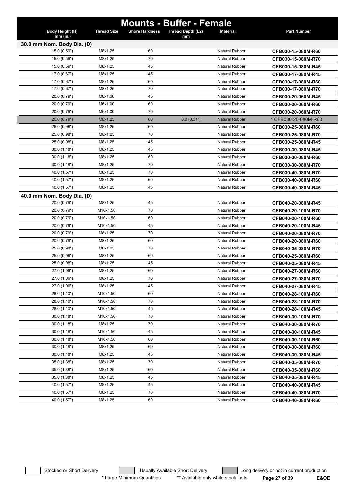|                             |                    |                       | <b>Mounts - Buffer - Female</b> |                       |                      |
|-----------------------------|--------------------|-----------------------|---------------------------------|-----------------------|----------------------|
| Body Height (H)<br>mm (in.) | <b>Thread Size</b> | <b>Shore Hardness</b> | Thread Depth (L2)<br>mm         | <b>Material</b>       | <b>Part Number</b>   |
| 30.0 mm Nom. Body Dia. (D)  |                    |                       |                                 |                       |                      |
| 15.0 (0.59")                | M8x1.25            | 60                    |                                 | <b>Natural Rubber</b> | CFB030-15-080M-R60   |
| 15.0 (0.59")                | M8x1.25            | 70                    |                                 | Natural Rubber        | CFB030-15-080M-R70   |
| 15.0 (0.59")                | M8x1.25            | 45                    |                                 | <b>Natural Rubber</b> | CFB030-15-080M-R45   |
| 17.0 (0.67")                | M8x1.25            | 45                    |                                 | Natural Rubber        | CFB030-17-080M-R45   |
| 17.0 (0.67")                | M8x1.25            | 60                    |                                 | <b>Natural Rubber</b> | CFB030-17-080M-R60   |
| 17.0 (0.67")                | M8x1.25            | 70                    |                                 | Natural Rubber        | CFB030-17-080M-R70   |
| 20.0 (0.79")                | M6x1.00            | 45                    |                                 | <b>Natural Rubber</b> | CFB030-20-060M-R45   |
| 20.0 (0.79")                | M6x1.00            | 60                    |                                 | <b>Natural Rubber</b> | CFB030-20-060M-R60   |
| 20.0 (0.79")                | M6x1.00            | 70                    |                                 | <b>Natural Rubber</b> | CFB030-20-060M-R70   |
| 20.0 (0.79")                | M8x1.25            | 60                    | 8.0(0.31")                      | <b>Natural Rubber</b> | * CFB030-20-080M-R60 |
| 25.0 (0.98")                | M8x1.25            | 60                    |                                 | <b>Natural Rubber</b> | CFB030-25-080M-R60   |
| 25.0 (0.98")                | M8x1.25            | 70                    |                                 | Natural Rubber        | CFB030-25-080M-R70   |
| 25.0 (0.98")                | M8x1.25            | 45                    |                                 | <b>Natural Rubber</b> | CFB030-25-080M-R45   |
| 30.0(1.18")                 | M8x1.25            | 45                    |                                 | <b>Natural Rubber</b> | CFB030-30-080M-R45   |
| 30.0(1.18")                 | M8x1.25            | 60                    |                                 | <b>Natural Rubber</b> | CFB030-30-080M-R60   |
| 30.0(1.18")                 | M8x1.25            | 70                    |                                 | <b>Natural Rubber</b> | CFB030-30-080M-R70   |
| 40.0 (1.57")                | M8x1.25            | 70                    |                                 | <b>Natural Rubber</b> | CFB030-40-080M-R70   |
| 40.0 (1.57")                | M8x1.25            | 60                    |                                 | <b>Natural Rubber</b> | CFB030-40-080M-R60   |
| 40.0 (1.57")                | M8x1.25            | 45                    |                                 | <b>Natural Rubber</b> | CFB030-40-080M-R45   |
| 40.0 mm Nom. Body Dia. (D)  |                    |                       |                                 |                       |                      |
| 20.0 (0.79")                | M8x1.25            | 45                    |                                 | <b>Natural Rubber</b> | CFB040-20-080M-R45   |
| 20.0 (0.79")                | M10x1.50           | 70                    |                                 | <b>Natural Rubber</b> | CFB040-20-100M-R70   |
| 20.0 (0.79")                | M10x1.50           | 60                    |                                 | <b>Natural Rubber</b> | CFB040-20-100M-R60   |
| 20.0 (0.79")                | M10x1.50           | 45                    |                                 | <b>Natural Rubber</b> | CFB040-20-100M-R45   |
| 20.0 (0.79")                | M8x1.25            | 70                    |                                 | <b>Natural Rubber</b> | CFB040-20-080M-R70   |
| 20.0 (0.79")                | M8x1.25            | 60                    |                                 | <b>Natural Rubber</b> | CFB040-20-080M-R60   |
| 25.0 (0.98")                | M8x1.25            | 70                    |                                 | <b>Natural Rubber</b> | CFB040-25-080M-R70   |
| 25.0 (0.98")                | M8x1.25            | 60                    |                                 | <b>Natural Rubber</b> | CFB040-25-080M-R60   |
| 25.0 (0.98")                | M8x1.25            | 45                    |                                 | <b>Natural Rubber</b> | CFB040-25-080M-R45   |
| 27.0 (1.06")                | M8x1.25            | 60                    |                                 | <b>Natural Rubber</b> | CFB040-27-080M-R60   |
| 27.0 (1.06")                | M8x1.25            | 70                    |                                 | Natural Rubber        | CFB040-27-080M-R70   |
| 27.0 (1.06")                | M8x1.25            | 45                    |                                 | Natural Rubber        | CFB040-27-080M-R45   |
| 28.0 (1.10")                | M10x1.50           | 60                    |                                 | Natural Rubber        | CFB040-28-100M-R60   |
| 28.0 (1.10")                | M10x1.50           | 70                    |                                 | <b>Natural Rubber</b> | CFB040-28-100M-R70   |
| 28.0 (1.10")                | M10x1.50           | 45                    |                                 | <b>Natural Rubber</b> | CFB040-28-100M-R45   |
| 30.0(1.18")                 | M10x1.50           | 70                    |                                 | <b>Natural Rubber</b> | CFB040-30-100M-R70   |
| 30.0(1.18")                 | M8x1.25            | 70                    |                                 | <b>Natural Rubber</b> | CFB040-30-080M-R70   |
| 30.0(1.18")                 | M10x1.50           | 45                    |                                 | <b>Natural Rubber</b> | CFB040-30-100M-R45   |
| 30.0(1.18")                 | M10x1.50           | 60                    |                                 | Natural Rubber        | CFB040-30-100M-R60   |
| 30.0(1.18")                 | M8x1.25            | 60                    |                                 | <b>Natural Rubber</b> | CFB040-30-080M-R60   |
| 30.0(1.18")                 | M8x1.25            | 45                    |                                 | <b>Natural Rubber</b> | CFB040-30-080M-R45   |
| 35.0 (1.38")                | M8x1.25            | 70                    |                                 | <b>Natural Rubber</b> | CFB040-35-080M-R70   |
| 35.0 (1.38")                | M8x1.25            | 60                    |                                 | <b>Natural Rubber</b> | CFB040-35-080M-R60   |
| 35.0 (1.38")                | M8x1.25            | 45                    |                                 | <b>Natural Rubber</b> | CFB040-35-080M-R45   |
| 40.0 (1.57")                | M8x1.25            | 45                    |                                 | Natural Rubber        | CFB040-40-080M-R45   |
| 40.0 (1.57")                | M8x1.25            | 70                    |                                 | Natural Rubber        | CFB040-40-080M-R70   |
| 40.0 (1.57")                | M8x1.25            | 60                    |                                 | Natural Rubber        | CFB040-40-080M-R60   |
|                             |                    |                       |                                 |                       |                      |

Stocked or Short Delivery **Contains the Usually Available Short Delivery Containery** Long delivery or not in current production \* Large Minimum Quantities \*\* Available only while stock lasts **Page 27 of 39 E&OE**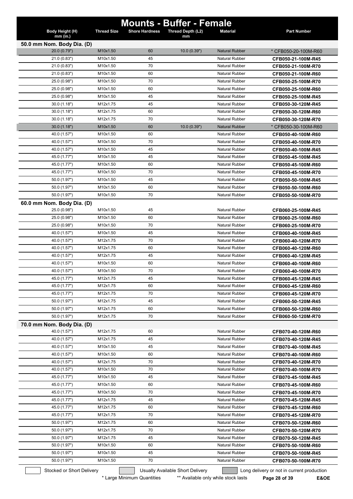|                                            |                    | <b>Mounts - Buffer - Female</b>  |                   |                       |                                            |
|--------------------------------------------|--------------------|----------------------------------|-------------------|-----------------------|--------------------------------------------|
| Body Height (H)                            | <b>Thread Size</b> | <b>Shore Hardness</b>            | Thread Depth (L2) | <b>Material</b>       | <b>Part Number</b>                         |
| $mm$ (in.)                                 |                    |                                  | mm                |                       |                                            |
| 50.0 mm Nom. Body Dia. (D)<br>20.0 (0.79") | M10x1.50           | 60                               | 10.0(0.39")       | <b>Natural Rubber</b> | * CFB050-20-100M-R60                       |
| 21.0 (0.83")                               | M10x1.50           | 45                               |                   | <b>Natural Rubber</b> | CFB050-21-100M-R45                         |
| 21.0(0.83")                                | M10x1.50           | 70                               |                   | <b>Natural Rubber</b> | CFB050-21-100M-R70                         |
| 21.0(0.83")                                | M10x1.50           | 60                               |                   | <b>Natural Rubber</b> | CFB050-21-100M-R60                         |
| 25.0 (0.98")                               | M10x1.50           | 70                               |                   | <b>Natural Rubber</b> | CFB050-25-100M-R70                         |
| 25.0 (0.98")                               | M10x1.50           | 60                               |                   | <b>Natural Rubber</b> | CFB050-25-100M-R60                         |
| 25.0 (0.98")                               | M10x1.50           | 45                               |                   | <b>Natural Rubber</b> | CFB050-25-100M-R45                         |
| 30.0(1.18")                                | M12x1.75           | 45                               |                   | <b>Natural Rubber</b> | CFB050-30-120M-R45                         |
| 30.0(1.18")                                | M12x1.75           | 60                               |                   | <b>Natural Rubber</b> | CFB050-30-120M-R60                         |
| 30.0(1.18")                                | M12x1.75           | 70                               |                   | <b>Natural Rubber</b> | CFB050-30-120M-R70                         |
| 30.0(1.18")                                | M10x1.50           | 60                               | 10.0(0.39")       | <b>Natural Rubber</b> | * CFB050-30-100M-R60                       |
| 40.0 (1.57")                               | M10x1.50           | 60                               |                   | <b>Natural Rubber</b> | CFB050-40-100M-R60                         |
| 40.0 (1.57")                               | M10x1.50           | 70                               |                   | Natural Rubber        | CFB050-40-100M-R70                         |
| 40.0 (1.57")                               | M10x1.50           | 45                               |                   | <b>Natural Rubber</b> | CFB050-40-100M-R45                         |
| 45.0 (1.77")                               | M10x1.50           | 45                               |                   | <b>Natural Rubber</b> | CFB050-45-100M-R45                         |
| 45.0 (1.77")                               | M10x1.50           | 60                               |                   | <b>Natural Rubber</b> | CFB050-45-100M-R60                         |
| 45.0 (1.77")                               | M10x1.50           | 70                               |                   | <b>Natural Rubber</b> | CFB050-45-100M-R70                         |
| 50.0 (1.97")                               | M10x1.50           | 45                               |                   | <b>Natural Rubber</b> |                                            |
|                                            | M10x1.50           | 60                               |                   | <b>Natural Rubber</b> | CFB050-50-100M-R45                         |
| 50.0 (1.97")                               |                    |                                  |                   |                       | CFB050-50-100M-R60                         |
| 50.0 (1.97")                               | M10x1.50           | 70                               |                   | <b>Natural Rubber</b> | CFB050-50-100M-R70                         |
| 60.0 mm Nom. Body Dia. (D)                 |                    |                                  |                   |                       |                                            |
| 25.0 (0.98")                               | M10x1.50           | 45                               |                   | <b>Natural Rubber</b> | CFB060-25-100M-R45                         |
| 25.0 (0.98")                               | M10x1.50           | 60                               |                   | <b>Natural Rubber</b> | CFB060-25-100M-R60                         |
| 25.0 (0.98")                               | M10x1.50           | 70                               |                   | <b>Natural Rubber</b> | CFB060-25-100M-R70                         |
| 40.0 (1.57")                               | M10x1.50           | 45                               |                   | <b>Natural Rubber</b> | CFB060-40-100M-R45                         |
| 40.0 (1.57")                               | M12x1.75           | 70                               |                   | <b>Natural Rubber</b> | CFB060-40-120M-R70                         |
| 40.0 (1.57")                               | M12x1.75           | 60                               |                   | <b>Natural Rubber</b> | CFB060-40-120M-R60                         |
| 40.0 (1.57")                               | M12x1.75           | 45                               |                   | <b>Natural Rubber</b> | CFB060-40-120M-R45                         |
| 40.0 (1.57")                               | M10x1.50           | 60                               |                   | <b>Natural Rubber</b> | CFB060-40-100M-R60                         |
| 40.0 (1.57")                               | M10x1.50           | 70                               |                   | <b>Natural Rubber</b> | CFB060-40-100M-R70                         |
| 45.0 (1.77")                               | M12x1.75           | 45                               |                   | <b>Natural Rubber</b> | CFB060-45-120M-R45                         |
| 45.0 (1.77")                               | M12x1.75           | 60                               |                   | Natural Rubber        | CFB060-45-120M-R60                         |
| 45.0 (1.77")                               | M12x1.75           | 70                               |                   | <b>Natural Rubber</b> | CFB060-45-120M-R70                         |
| 50.0 (1.97")                               | M12x1.75           | 45                               |                   | Natural Rubber        | CFB060-50-120M-R45                         |
| 50.0 (1.97")                               | M12x1.75           | 60                               |                   | Natural Rubber        | CFB060-50-120M-R60                         |
| 50.0 (1.97")                               | M12x1.75           | 70                               |                   | Natural Rubber        | CFB060-50-120M-R70                         |
| 70.0 mm Nom. Body Dia. (D)                 |                    |                                  |                   |                       |                                            |
| 40.0 (1.57")                               | M12x1.75           | 60                               |                   | Natural Rubber        | CFB070-40-120M-R60                         |
| 40.0 (1.57")                               | M12x1.75           | 45                               |                   | <b>Natural Rubber</b> | CFB070-40-120M-R45                         |
| 40.0 (1.57")                               | M10x1.50           | 45                               |                   | <b>Natural Rubber</b> | CFB070-40-100M-R45                         |
| 40.0 (1.57")                               | M10x1.50           | 60                               |                   | <b>Natural Rubber</b> | CFB070-40-100M-R60                         |
| 40.0 (1.57")                               | M12x1.75           | 70                               |                   | Natural Rubber        | CFB070-40-120M-R70                         |
| 40.0 (1.57")                               | M10x1.50           | 70                               |                   | Natural Rubber        | CFB070-40-100M-R70                         |
| 45.0 (1.77")                               | M10x1.50           | 45                               |                   | <b>Natural Rubber</b> | CFB070-45-100M-R45                         |
| 45.0 (1.77")                               | M10x1.50           | 60                               |                   | <b>Natural Rubber</b> | CFB070-45-100M-R60                         |
| 45.0 (1.77")                               | M10x1.50           | 70                               |                   | <b>Natural Rubber</b> | CFB070-45-100M-R70                         |
| 45.0 (1.77")                               | M12x1.75           | 45                               |                   | Natural Rubber        | CFB070-45-120M-R45                         |
| 45.0 (1.77")                               | M12x1.75           | 60                               |                   | <b>Natural Rubber</b> | CFB070-45-120M-R60                         |
| 45.0 (1.77")                               | M12x1.75           | 70                               |                   | Natural Rubber        | CFB070-45-120M-R70                         |
| 50.0 (1.97")                               | M12x1.75           | 60                               |                   | Natural Rubber        | CFB070-50-120M-R60                         |
| 50.0 (1.97")                               | M12x1.75           | 70                               |                   | <b>Natural Rubber</b> | CFB070-50-120M-R70                         |
| 50.0 (1.97")                               | M12x1.75           | 45                               |                   | Natural Rubber        | CFB070-50-120M-R45                         |
| 50.0 (1.97")                               | M10x1.50           | 60                               |                   | <b>Natural Rubber</b> | CFB070-50-100M-R60                         |
| 50.0 (1.97")                               | M10x1.50           | 45                               |                   | <b>Natural Rubber</b> | CFB070-50-100M-R45                         |
| 50.0 (1.97")                               | M10x1.50           | 70                               |                   | <b>Natural Rubber</b> | CFB070-50-100M-R70                         |
| Stocked or Short Delivery                  |                    | Usually Available Short Delivery |                   |                       | Long delivery or not in current production |
|                                            |                    |                                  |                   |                       |                                            |

\* Large Minimum Quantities \*\* Available only while stock lasts \*\* Page 28 of 39 **E&OE**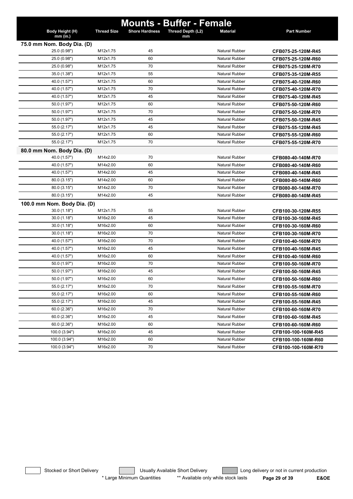| Body Height (H)<br><b>Thread Size</b><br>Thread Depth (L2)<br><b>Part Number</b><br><b>Shore Hardness</b><br><b>Material</b><br>mm (in.)<br>mm<br>75.0 mm Nom. Body Dia. (D)<br>25.0 (0.98")<br>M12x1.75<br>45<br><b>Natural Rubber</b><br>CFB075-25-120M-R45<br>25.0 (0.98")<br>M12x1.75<br>60<br><b>Natural Rubber</b><br>CFB075-25-120M-R60<br>M12x1.75<br>25.0 (0.98")<br>70<br><b>Natural Rubber</b><br>CFB075-25-120M-R70<br>35.0 (1.38")<br>M12x1.75<br>55<br><b>Natural Rubber</b><br>CFB075-35-120M-R55<br>40.0 (1.57")<br>M12x1.75<br><b>Natural Rubber</b><br>60<br>CFB075-40-120M-R60<br>40.0 (1.57")<br>M12x1.75<br>70<br><b>Natural Rubber</b><br>CFB075-40-120M-R70<br>40.0 (1.57")<br>M12x1.75<br>45<br><b>Natural Rubber</b><br>CFB075-40-120M-R45<br>50.0 (1.97")<br>M12x1.75<br>60<br><b>Natural Rubber</b><br>CFB075-50-120M-R60<br>50.0 (1.97")<br>M12x1.75<br>70<br><b>Natural Rubber</b><br>CFB075-50-120M-R70<br>50.0 (1.97")<br>M12x1.75<br>45<br><b>Natural Rubber</b><br>CFB075-50-120M-R45<br>55.0 (2.17")<br>M12x1.75<br>45<br><b>Natural Rubber</b><br>CFB075-55-120M-R45<br>55.0 (2.17")<br>M12x1.75<br>60<br><b>Natural Rubber</b><br>CFB075-55-120M-R60<br>55.0 (2.17")<br>M12x1.75<br>70<br><b>Natural Rubber</b><br>CFB075-55-120M-R70<br>80.0 mm Nom. Body Dia. (D)<br>40.0 (1.57")<br>M14x2.00<br>70<br><b>Natural Rubber</b><br>CFB080-40-140M-R70<br>40.0 (1.57")<br>M14x2.00<br>60<br><b>Natural Rubber</b><br>CFB080-40-140M-R60<br>40.0 (1.57")<br>M14x2.00<br>45<br><b>Natural Rubber</b><br>CFB080-40-140M-R45<br>80.0 (3.15")<br>M14x2.00<br><b>Natural Rubber</b><br>60<br>CFB080-80-140M-R60<br>80.0 (3.15")<br>M14x2.00<br>70<br><b>Natural Rubber</b><br>CFB080-80-140M-R70<br>80.0 (3.15")<br>M14x2.00<br>45<br><b>Natural Rubber</b><br>CFB080-80-140M-R45<br>100.0 mm Nom. Body Dia. (D)<br>30.0(1.18")<br>M12x1.75<br>55<br><b>Natural Rubber</b><br>CFB100-30-120M-R55<br>45<br>30.0(1.18")<br>M16x2.00<br><b>Natural Rubber</b><br>CFB100-30-160M-R45<br>30.0(1.18")<br>M16x2.00<br>60<br><b>Natural Rubber</b><br>CFB100-30-160M-R60<br>30.0(1.18")<br>M16x2.00<br>70<br><b>Natural Rubber</b><br>CFB100-30-160M-R70<br>70<br>40.0 (1.57")<br>M16x2.00<br><b>Natural Rubber</b><br>CFB100-40-160M-R70<br><b>Natural Rubber</b><br>40.0 (1.57")<br>M16x2.00<br>45<br>CFB100-40-160M-R45<br>40.0 (1.57")<br>M16x2.00<br>60<br><b>Natural Rubber</b><br>CFB100-40-160M-R60<br>50.0 (1.97")<br>M16x2.00<br>70<br><b>Natural Rubber</b><br>CFB100-50-160M-R70<br>50.0 (1.97")<br>M16x2.00<br>45<br>Natural Rubber<br>CFB100-50-160M-R45<br>50.0 (1.97")<br>M16x2.00<br>60<br>Natural Rubber<br>CFB100-50-160M-R60<br>55.0 (2.17")<br>M16x2.00<br>70<br>Natural Rubber<br>CFB100-55-160M-R70<br>55.0 (2.17")<br>M16x2.00<br>60<br>Natural Rubber<br>CFB100-55-160M-R60<br>55.0 (2.17")<br>M16x2.00<br>45<br>Natural Rubber<br>CFB100-55-160M-R45<br>60.0(2.36")<br>M16x2.00<br>70<br><b>Natural Rubber</b><br>CFB100-60-160M-R70<br>60.0(2.36")<br>M16x2.00<br>45<br><b>Natural Rubber</b><br>CFB100-60-160M-R45<br>60.0(2.36")<br>M16x2.00<br>60<br><b>Natural Rubber</b><br>CFB100-60-160M-R60<br>100.0 (3.94")<br>M16x2.00<br>45<br>Natural Rubber<br>CFB100-100-160M-R45<br>100.0 (3.94")<br>M16x2.00<br>60<br>Natural Rubber<br>CFB100-100-160M-R60<br>100.0 (3.94")<br>M16x2.00<br>70<br>Natural Rubber<br>CFB100-100-160M-R70 |  | <b>Mounts - Buffer - Female</b> |  |
|----------------------------------------------------------------------------------------------------------------------------------------------------------------------------------------------------------------------------------------------------------------------------------------------------------------------------------------------------------------------------------------------------------------------------------------------------------------------------------------------------------------------------------------------------------------------------------------------------------------------------------------------------------------------------------------------------------------------------------------------------------------------------------------------------------------------------------------------------------------------------------------------------------------------------------------------------------------------------------------------------------------------------------------------------------------------------------------------------------------------------------------------------------------------------------------------------------------------------------------------------------------------------------------------------------------------------------------------------------------------------------------------------------------------------------------------------------------------------------------------------------------------------------------------------------------------------------------------------------------------------------------------------------------------------------------------------------------------------------------------------------------------------------------------------------------------------------------------------------------------------------------------------------------------------------------------------------------------------------------------------------------------------------------------------------------------------------------------------------------------------------------------------------------------------------------------------------------------------------------------------------------------------------------------------------------------------------------------------------------------------------------------------------------------------------------------------------------------------------------------------------------------------------------------------------------------------------------------------------------------------------------------------------------------------------------------------------------------------------------------------------------------------------------------------------------------------------------------------------------------------------------------------------------------------------------------------------------------------------------------------------------------------------------------------------------------------------------------------------------------------------------------------------------------------------------------------------------------------------------------------------------------------------------------------------------------------------------------------------------------------------------|--|---------------------------------|--|
|                                                                                                                                                                                                                                                                                                                                                                                                                                                                                                                                                                                                                                                                                                                                                                                                                                                                                                                                                                                                                                                                                                                                                                                                                                                                                                                                                                                                                                                                                                                                                                                                                                                                                                                                                                                                                                                                                                                                                                                                                                                                                                                                                                                                                                                                                                                                                                                                                                                                                                                                                                                                                                                                                                                                                                                                                                                                                                                                                                                                                                                                                                                                                                                                                                                                                                                                                                                        |  |                                 |  |
|                                                                                                                                                                                                                                                                                                                                                                                                                                                                                                                                                                                                                                                                                                                                                                                                                                                                                                                                                                                                                                                                                                                                                                                                                                                                                                                                                                                                                                                                                                                                                                                                                                                                                                                                                                                                                                                                                                                                                                                                                                                                                                                                                                                                                                                                                                                                                                                                                                                                                                                                                                                                                                                                                                                                                                                                                                                                                                                                                                                                                                                                                                                                                                                                                                                                                                                                                                                        |  |                                 |  |
|                                                                                                                                                                                                                                                                                                                                                                                                                                                                                                                                                                                                                                                                                                                                                                                                                                                                                                                                                                                                                                                                                                                                                                                                                                                                                                                                                                                                                                                                                                                                                                                                                                                                                                                                                                                                                                                                                                                                                                                                                                                                                                                                                                                                                                                                                                                                                                                                                                                                                                                                                                                                                                                                                                                                                                                                                                                                                                                                                                                                                                                                                                                                                                                                                                                                                                                                                                                        |  |                                 |  |
|                                                                                                                                                                                                                                                                                                                                                                                                                                                                                                                                                                                                                                                                                                                                                                                                                                                                                                                                                                                                                                                                                                                                                                                                                                                                                                                                                                                                                                                                                                                                                                                                                                                                                                                                                                                                                                                                                                                                                                                                                                                                                                                                                                                                                                                                                                                                                                                                                                                                                                                                                                                                                                                                                                                                                                                                                                                                                                                                                                                                                                                                                                                                                                                                                                                                                                                                                                                        |  |                                 |  |
|                                                                                                                                                                                                                                                                                                                                                                                                                                                                                                                                                                                                                                                                                                                                                                                                                                                                                                                                                                                                                                                                                                                                                                                                                                                                                                                                                                                                                                                                                                                                                                                                                                                                                                                                                                                                                                                                                                                                                                                                                                                                                                                                                                                                                                                                                                                                                                                                                                                                                                                                                                                                                                                                                                                                                                                                                                                                                                                                                                                                                                                                                                                                                                                                                                                                                                                                                                                        |  |                                 |  |
|                                                                                                                                                                                                                                                                                                                                                                                                                                                                                                                                                                                                                                                                                                                                                                                                                                                                                                                                                                                                                                                                                                                                                                                                                                                                                                                                                                                                                                                                                                                                                                                                                                                                                                                                                                                                                                                                                                                                                                                                                                                                                                                                                                                                                                                                                                                                                                                                                                                                                                                                                                                                                                                                                                                                                                                                                                                                                                                                                                                                                                                                                                                                                                                                                                                                                                                                                                                        |  |                                 |  |
|                                                                                                                                                                                                                                                                                                                                                                                                                                                                                                                                                                                                                                                                                                                                                                                                                                                                                                                                                                                                                                                                                                                                                                                                                                                                                                                                                                                                                                                                                                                                                                                                                                                                                                                                                                                                                                                                                                                                                                                                                                                                                                                                                                                                                                                                                                                                                                                                                                                                                                                                                                                                                                                                                                                                                                                                                                                                                                                                                                                                                                                                                                                                                                                                                                                                                                                                                                                        |  |                                 |  |
|                                                                                                                                                                                                                                                                                                                                                                                                                                                                                                                                                                                                                                                                                                                                                                                                                                                                                                                                                                                                                                                                                                                                                                                                                                                                                                                                                                                                                                                                                                                                                                                                                                                                                                                                                                                                                                                                                                                                                                                                                                                                                                                                                                                                                                                                                                                                                                                                                                                                                                                                                                                                                                                                                                                                                                                                                                                                                                                                                                                                                                                                                                                                                                                                                                                                                                                                                                                        |  |                                 |  |
|                                                                                                                                                                                                                                                                                                                                                                                                                                                                                                                                                                                                                                                                                                                                                                                                                                                                                                                                                                                                                                                                                                                                                                                                                                                                                                                                                                                                                                                                                                                                                                                                                                                                                                                                                                                                                                                                                                                                                                                                                                                                                                                                                                                                                                                                                                                                                                                                                                                                                                                                                                                                                                                                                                                                                                                                                                                                                                                                                                                                                                                                                                                                                                                                                                                                                                                                                                                        |  |                                 |  |
|                                                                                                                                                                                                                                                                                                                                                                                                                                                                                                                                                                                                                                                                                                                                                                                                                                                                                                                                                                                                                                                                                                                                                                                                                                                                                                                                                                                                                                                                                                                                                                                                                                                                                                                                                                                                                                                                                                                                                                                                                                                                                                                                                                                                                                                                                                                                                                                                                                                                                                                                                                                                                                                                                                                                                                                                                                                                                                                                                                                                                                                                                                                                                                                                                                                                                                                                                                                        |  |                                 |  |
|                                                                                                                                                                                                                                                                                                                                                                                                                                                                                                                                                                                                                                                                                                                                                                                                                                                                                                                                                                                                                                                                                                                                                                                                                                                                                                                                                                                                                                                                                                                                                                                                                                                                                                                                                                                                                                                                                                                                                                                                                                                                                                                                                                                                                                                                                                                                                                                                                                                                                                                                                                                                                                                                                                                                                                                                                                                                                                                                                                                                                                                                                                                                                                                                                                                                                                                                                                                        |  |                                 |  |
|                                                                                                                                                                                                                                                                                                                                                                                                                                                                                                                                                                                                                                                                                                                                                                                                                                                                                                                                                                                                                                                                                                                                                                                                                                                                                                                                                                                                                                                                                                                                                                                                                                                                                                                                                                                                                                                                                                                                                                                                                                                                                                                                                                                                                                                                                                                                                                                                                                                                                                                                                                                                                                                                                                                                                                                                                                                                                                                                                                                                                                                                                                                                                                                                                                                                                                                                                                                        |  |                                 |  |
|                                                                                                                                                                                                                                                                                                                                                                                                                                                                                                                                                                                                                                                                                                                                                                                                                                                                                                                                                                                                                                                                                                                                                                                                                                                                                                                                                                                                                                                                                                                                                                                                                                                                                                                                                                                                                                                                                                                                                                                                                                                                                                                                                                                                                                                                                                                                                                                                                                                                                                                                                                                                                                                                                                                                                                                                                                                                                                                                                                                                                                                                                                                                                                                                                                                                                                                                                                                        |  |                                 |  |
|                                                                                                                                                                                                                                                                                                                                                                                                                                                                                                                                                                                                                                                                                                                                                                                                                                                                                                                                                                                                                                                                                                                                                                                                                                                                                                                                                                                                                                                                                                                                                                                                                                                                                                                                                                                                                                                                                                                                                                                                                                                                                                                                                                                                                                                                                                                                                                                                                                                                                                                                                                                                                                                                                                                                                                                                                                                                                                                                                                                                                                                                                                                                                                                                                                                                                                                                                                                        |  |                                 |  |
|                                                                                                                                                                                                                                                                                                                                                                                                                                                                                                                                                                                                                                                                                                                                                                                                                                                                                                                                                                                                                                                                                                                                                                                                                                                                                                                                                                                                                                                                                                                                                                                                                                                                                                                                                                                                                                                                                                                                                                                                                                                                                                                                                                                                                                                                                                                                                                                                                                                                                                                                                                                                                                                                                                                                                                                                                                                                                                                                                                                                                                                                                                                                                                                                                                                                                                                                                                                        |  |                                 |  |
|                                                                                                                                                                                                                                                                                                                                                                                                                                                                                                                                                                                                                                                                                                                                                                                                                                                                                                                                                                                                                                                                                                                                                                                                                                                                                                                                                                                                                                                                                                                                                                                                                                                                                                                                                                                                                                                                                                                                                                                                                                                                                                                                                                                                                                                                                                                                                                                                                                                                                                                                                                                                                                                                                                                                                                                                                                                                                                                                                                                                                                                                                                                                                                                                                                                                                                                                                                                        |  |                                 |  |
|                                                                                                                                                                                                                                                                                                                                                                                                                                                                                                                                                                                                                                                                                                                                                                                                                                                                                                                                                                                                                                                                                                                                                                                                                                                                                                                                                                                                                                                                                                                                                                                                                                                                                                                                                                                                                                                                                                                                                                                                                                                                                                                                                                                                                                                                                                                                                                                                                                                                                                                                                                                                                                                                                                                                                                                                                                                                                                                                                                                                                                                                                                                                                                                                                                                                                                                                                                                        |  |                                 |  |
|                                                                                                                                                                                                                                                                                                                                                                                                                                                                                                                                                                                                                                                                                                                                                                                                                                                                                                                                                                                                                                                                                                                                                                                                                                                                                                                                                                                                                                                                                                                                                                                                                                                                                                                                                                                                                                                                                                                                                                                                                                                                                                                                                                                                                                                                                                                                                                                                                                                                                                                                                                                                                                                                                                                                                                                                                                                                                                                                                                                                                                                                                                                                                                                                                                                                                                                                                                                        |  |                                 |  |
|                                                                                                                                                                                                                                                                                                                                                                                                                                                                                                                                                                                                                                                                                                                                                                                                                                                                                                                                                                                                                                                                                                                                                                                                                                                                                                                                                                                                                                                                                                                                                                                                                                                                                                                                                                                                                                                                                                                                                                                                                                                                                                                                                                                                                                                                                                                                                                                                                                                                                                                                                                                                                                                                                                                                                                                                                                                                                                                                                                                                                                                                                                                                                                                                                                                                                                                                                                                        |  |                                 |  |
|                                                                                                                                                                                                                                                                                                                                                                                                                                                                                                                                                                                                                                                                                                                                                                                                                                                                                                                                                                                                                                                                                                                                                                                                                                                                                                                                                                                                                                                                                                                                                                                                                                                                                                                                                                                                                                                                                                                                                                                                                                                                                                                                                                                                                                                                                                                                                                                                                                                                                                                                                                                                                                                                                                                                                                                                                                                                                                                                                                                                                                                                                                                                                                                                                                                                                                                                                                                        |  |                                 |  |
|                                                                                                                                                                                                                                                                                                                                                                                                                                                                                                                                                                                                                                                                                                                                                                                                                                                                                                                                                                                                                                                                                                                                                                                                                                                                                                                                                                                                                                                                                                                                                                                                                                                                                                                                                                                                                                                                                                                                                                                                                                                                                                                                                                                                                                                                                                                                                                                                                                                                                                                                                                                                                                                                                                                                                                                                                                                                                                                                                                                                                                                                                                                                                                                                                                                                                                                                                                                        |  |                                 |  |
|                                                                                                                                                                                                                                                                                                                                                                                                                                                                                                                                                                                                                                                                                                                                                                                                                                                                                                                                                                                                                                                                                                                                                                                                                                                                                                                                                                                                                                                                                                                                                                                                                                                                                                                                                                                                                                                                                                                                                                                                                                                                                                                                                                                                                                                                                                                                                                                                                                                                                                                                                                                                                                                                                                                                                                                                                                                                                                                                                                                                                                                                                                                                                                                                                                                                                                                                                                                        |  |                                 |  |
|                                                                                                                                                                                                                                                                                                                                                                                                                                                                                                                                                                                                                                                                                                                                                                                                                                                                                                                                                                                                                                                                                                                                                                                                                                                                                                                                                                                                                                                                                                                                                                                                                                                                                                                                                                                                                                                                                                                                                                                                                                                                                                                                                                                                                                                                                                                                                                                                                                                                                                                                                                                                                                                                                                                                                                                                                                                                                                                                                                                                                                                                                                                                                                                                                                                                                                                                                                                        |  |                                 |  |
|                                                                                                                                                                                                                                                                                                                                                                                                                                                                                                                                                                                                                                                                                                                                                                                                                                                                                                                                                                                                                                                                                                                                                                                                                                                                                                                                                                                                                                                                                                                                                                                                                                                                                                                                                                                                                                                                                                                                                                                                                                                                                                                                                                                                                                                                                                                                                                                                                                                                                                                                                                                                                                                                                                                                                                                                                                                                                                                                                                                                                                                                                                                                                                                                                                                                                                                                                                                        |  |                                 |  |
|                                                                                                                                                                                                                                                                                                                                                                                                                                                                                                                                                                                                                                                                                                                                                                                                                                                                                                                                                                                                                                                                                                                                                                                                                                                                                                                                                                                                                                                                                                                                                                                                                                                                                                                                                                                                                                                                                                                                                                                                                                                                                                                                                                                                                                                                                                                                                                                                                                                                                                                                                                                                                                                                                                                                                                                                                                                                                                                                                                                                                                                                                                                                                                                                                                                                                                                                                                                        |  |                                 |  |
|                                                                                                                                                                                                                                                                                                                                                                                                                                                                                                                                                                                                                                                                                                                                                                                                                                                                                                                                                                                                                                                                                                                                                                                                                                                                                                                                                                                                                                                                                                                                                                                                                                                                                                                                                                                                                                                                                                                                                                                                                                                                                                                                                                                                                                                                                                                                                                                                                                                                                                                                                                                                                                                                                                                                                                                                                                                                                                                                                                                                                                                                                                                                                                                                                                                                                                                                                                                        |  |                                 |  |
|                                                                                                                                                                                                                                                                                                                                                                                                                                                                                                                                                                                                                                                                                                                                                                                                                                                                                                                                                                                                                                                                                                                                                                                                                                                                                                                                                                                                                                                                                                                                                                                                                                                                                                                                                                                                                                                                                                                                                                                                                                                                                                                                                                                                                                                                                                                                                                                                                                                                                                                                                                                                                                                                                                                                                                                                                                                                                                                                                                                                                                                                                                                                                                                                                                                                                                                                                                                        |  |                                 |  |
|                                                                                                                                                                                                                                                                                                                                                                                                                                                                                                                                                                                                                                                                                                                                                                                                                                                                                                                                                                                                                                                                                                                                                                                                                                                                                                                                                                                                                                                                                                                                                                                                                                                                                                                                                                                                                                                                                                                                                                                                                                                                                                                                                                                                                                                                                                                                                                                                                                                                                                                                                                                                                                                                                                                                                                                                                                                                                                                                                                                                                                                                                                                                                                                                                                                                                                                                                                                        |  |                                 |  |
|                                                                                                                                                                                                                                                                                                                                                                                                                                                                                                                                                                                                                                                                                                                                                                                                                                                                                                                                                                                                                                                                                                                                                                                                                                                                                                                                                                                                                                                                                                                                                                                                                                                                                                                                                                                                                                                                                                                                                                                                                                                                                                                                                                                                                                                                                                                                                                                                                                                                                                                                                                                                                                                                                                                                                                                                                                                                                                                                                                                                                                                                                                                                                                                                                                                                                                                                                                                        |  |                                 |  |
|                                                                                                                                                                                                                                                                                                                                                                                                                                                                                                                                                                                                                                                                                                                                                                                                                                                                                                                                                                                                                                                                                                                                                                                                                                                                                                                                                                                                                                                                                                                                                                                                                                                                                                                                                                                                                                                                                                                                                                                                                                                                                                                                                                                                                                                                                                                                                                                                                                                                                                                                                                                                                                                                                                                                                                                                                                                                                                                                                                                                                                                                                                                                                                                                                                                                                                                                                                                        |  |                                 |  |
|                                                                                                                                                                                                                                                                                                                                                                                                                                                                                                                                                                                                                                                                                                                                                                                                                                                                                                                                                                                                                                                                                                                                                                                                                                                                                                                                                                                                                                                                                                                                                                                                                                                                                                                                                                                                                                                                                                                                                                                                                                                                                                                                                                                                                                                                                                                                                                                                                                                                                                                                                                                                                                                                                                                                                                                                                                                                                                                                                                                                                                                                                                                                                                                                                                                                                                                                                                                        |  |                                 |  |
|                                                                                                                                                                                                                                                                                                                                                                                                                                                                                                                                                                                                                                                                                                                                                                                                                                                                                                                                                                                                                                                                                                                                                                                                                                                                                                                                                                                                                                                                                                                                                                                                                                                                                                                                                                                                                                                                                                                                                                                                                                                                                                                                                                                                                                                                                                                                                                                                                                                                                                                                                                                                                                                                                                                                                                                                                                                                                                                                                                                                                                                                                                                                                                                                                                                                                                                                                                                        |  |                                 |  |
|                                                                                                                                                                                                                                                                                                                                                                                                                                                                                                                                                                                                                                                                                                                                                                                                                                                                                                                                                                                                                                                                                                                                                                                                                                                                                                                                                                                                                                                                                                                                                                                                                                                                                                                                                                                                                                                                                                                                                                                                                                                                                                                                                                                                                                                                                                                                                                                                                                                                                                                                                                                                                                                                                                                                                                                                                                                                                                                                                                                                                                                                                                                                                                                                                                                                                                                                                                                        |  |                                 |  |
|                                                                                                                                                                                                                                                                                                                                                                                                                                                                                                                                                                                                                                                                                                                                                                                                                                                                                                                                                                                                                                                                                                                                                                                                                                                                                                                                                                                                                                                                                                                                                                                                                                                                                                                                                                                                                                                                                                                                                                                                                                                                                                                                                                                                                                                                                                                                                                                                                                                                                                                                                                                                                                                                                                                                                                                                                                                                                                                                                                                                                                                                                                                                                                                                                                                                                                                                                                                        |  |                                 |  |
|                                                                                                                                                                                                                                                                                                                                                                                                                                                                                                                                                                                                                                                                                                                                                                                                                                                                                                                                                                                                                                                                                                                                                                                                                                                                                                                                                                                                                                                                                                                                                                                                                                                                                                                                                                                                                                                                                                                                                                                                                                                                                                                                                                                                                                                                                                                                                                                                                                                                                                                                                                                                                                                                                                                                                                                                                                                                                                                                                                                                                                                                                                                                                                                                                                                                                                                                                                                        |  |                                 |  |
|                                                                                                                                                                                                                                                                                                                                                                                                                                                                                                                                                                                                                                                                                                                                                                                                                                                                                                                                                                                                                                                                                                                                                                                                                                                                                                                                                                                                                                                                                                                                                                                                                                                                                                                                                                                                                                                                                                                                                                                                                                                                                                                                                                                                                                                                                                                                                                                                                                                                                                                                                                                                                                                                                                                                                                                                                                                                                                                                                                                                                                                                                                                                                                                                                                                                                                                                                                                        |  |                                 |  |
|                                                                                                                                                                                                                                                                                                                                                                                                                                                                                                                                                                                                                                                                                                                                                                                                                                                                                                                                                                                                                                                                                                                                                                                                                                                                                                                                                                                                                                                                                                                                                                                                                                                                                                                                                                                                                                                                                                                                                                                                                                                                                                                                                                                                                                                                                                                                                                                                                                                                                                                                                                                                                                                                                                                                                                                                                                                                                                                                                                                                                                                                                                                                                                                                                                                                                                                                                                                        |  |                                 |  |
|                                                                                                                                                                                                                                                                                                                                                                                                                                                                                                                                                                                                                                                                                                                                                                                                                                                                                                                                                                                                                                                                                                                                                                                                                                                                                                                                                                                                                                                                                                                                                                                                                                                                                                                                                                                                                                                                                                                                                                                                                                                                                                                                                                                                                                                                                                                                                                                                                                                                                                                                                                                                                                                                                                                                                                                                                                                                                                                                                                                                                                                                                                                                                                                                                                                                                                                                                                                        |  |                                 |  |
|                                                                                                                                                                                                                                                                                                                                                                                                                                                                                                                                                                                                                                                                                                                                                                                                                                                                                                                                                                                                                                                                                                                                                                                                                                                                                                                                                                                                                                                                                                                                                                                                                                                                                                                                                                                                                                                                                                                                                                                                                                                                                                                                                                                                                                                                                                                                                                                                                                                                                                                                                                                                                                                                                                                                                                                                                                                                                                                                                                                                                                                                                                                                                                                                                                                                                                                                                                                        |  |                                 |  |
|                                                                                                                                                                                                                                                                                                                                                                                                                                                                                                                                                                                                                                                                                                                                                                                                                                                                                                                                                                                                                                                                                                                                                                                                                                                                                                                                                                                                                                                                                                                                                                                                                                                                                                                                                                                                                                                                                                                                                                                                                                                                                                                                                                                                                                                                                                                                                                                                                                                                                                                                                                                                                                                                                                                                                                                                                                                                                                                                                                                                                                                                                                                                                                                                                                                                                                                                                                                        |  |                                 |  |
|                                                                                                                                                                                                                                                                                                                                                                                                                                                                                                                                                                                                                                                                                                                                                                                                                                                                                                                                                                                                                                                                                                                                                                                                                                                                                                                                                                                                                                                                                                                                                                                                                                                                                                                                                                                                                                                                                                                                                                                                                                                                                                                                                                                                                                                                                                                                                                                                                                                                                                                                                                                                                                                                                                                                                                                                                                                                                                                                                                                                                                                                                                                                                                                                                                                                                                                                                                                        |  |                                 |  |
|                                                                                                                                                                                                                                                                                                                                                                                                                                                                                                                                                                                                                                                                                                                                                                                                                                                                                                                                                                                                                                                                                                                                                                                                                                                                                                                                                                                                                                                                                                                                                                                                                                                                                                                                                                                                                                                                                                                                                                                                                                                                                                                                                                                                                                                                                                                                                                                                                                                                                                                                                                                                                                                                                                                                                                                                                                                                                                                                                                                                                                                                                                                                                                                                                                                                                                                                                                                        |  |                                 |  |
|                                                                                                                                                                                                                                                                                                                                                                                                                                                                                                                                                                                                                                                                                                                                                                                                                                                                                                                                                                                                                                                                                                                                                                                                                                                                                                                                                                                                                                                                                                                                                                                                                                                                                                                                                                                                                                                                                                                                                                                                                                                                                                                                                                                                                                                                                                                                                                                                                                                                                                                                                                                                                                                                                                                                                                                                                                                                                                                                                                                                                                                                                                                                                                                                                                                                                                                                                                                        |  |                                 |  |

Stocked or Short Delivery **Contains the Usually Available Short Delivery Containery** Long delivery or not in current production \* Large Minimum Quantities \*\* Available only while stock lasts **Page 29 of 39 E&OE**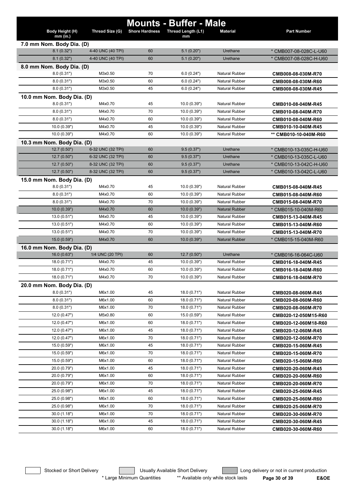|                             |                   |                       | <b>Mounts - Buffer - Male</b> |                       |                        |
|-----------------------------|-------------------|-----------------------|-------------------------------|-----------------------|------------------------|
| Body Height (H)<br>mm (in.) | Thread Size (G)   | <b>Shore Hardness</b> | Thread Length (L1)<br>mm      | <b>Material</b>       | <b>Part Number</b>     |
| 7.0 mm Nom. Body Dia. (D)   |                   |                       |                               |                       |                        |
| 8.1(0.32")                  | 4-40 UNC (40 TPI) | 60                    | 5.1(0.20")                    | Urethane              | * CMB007-08-028C-L-U60 |
| 8.1(0.32")                  | 4-40 UNC (40 TPI) | 60                    | 5.1(0.20")                    | Urethane              | * CMB007-08-028C-H-U60 |
| 8.0 mm Nom. Body Dia. (D)   |                   |                       |                               |                       |                        |
| 8.0(0.31")                  | M3x0.50           | 70                    | 6.0(0.24")                    | Natural Rubber        | CMB008-08-030M-R70     |
| 8.0(0.31")                  | M3x0.50           | 60                    | 6.0(0.24")                    | Natural Rubber        | CMB008-08-030M-R60     |
| 8.0(0.31")                  | M3x0.50           | 45                    | 6.0(0.24")                    | Natural Rubber        | CMB008-08-030M-R45     |
| 10.0 mm Nom. Body Dia. (D)  |                   |                       |                               |                       |                        |
| 8.0(0.31")                  | M4x0.70           | 45                    | 10.0(0.39")                   | <b>Natural Rubber</b> | CMB010-08-040M-R45     |
| 8.0(0.31")                  | M4x0.70           | 70                    | 10.0(0.39")                   | <b>Natural Rubber</b> | CMB010-08-040M-R70     |
| 8.0(0.31")                  | M4x0.70           | 60                    | 10.0 (0.39")                  | <b>Natural Rubber</b> | CMB010-08-040M-R60     |
| 10.0 (0.39")                | M4x0.70           | 45                    | 10.0 (0.39")                  | Natural Rubber        | CMB010-10-040M-R45     |
| 10.0(0.39")                 | M4x0.70           | 60                    | 10.0 (0.39")                  | <b>Natural Rubber</b> | ** CMB010-10-040M-R60  |
| 10.3 mm Nom. Body Dia. (D)  |                   |                       |                               |                       |                        |
| 12.7 (0.50")                | 6-32 UNC (32 TPI) | 60                    | 9.5(0.37")                    | Urethane              | * CMB010-13-035C-H-U60 |
| 12.7(0.50")                 | 6-32 UNC (32 TPI) | 60                    | 9.5(0.37")                    | Urethane              | * CMB010-13-035C-L-U60 |
| 12.7(0.50")                 | 8-32 UNC (32 TPI) | 60                    | 9.5(0.37")                    | Urethane              | * CMB010-13-042C-H-U60 |
| 12.7(0.50")                 | 8-32 UNC (32 TPI) | 60                    | 9.5(0.37")                    | Urethane              | * CMB010-13-042C-L-U60 |
| 15.0 mm Nom. Body Dia. (D)  |                   |                       |                               |                       |                        |
| 8.0(0.31")                  | M4x0.70           | 45                    | 10.0 (0.39")                  | <b>Natural Rubber</b> | CMB015-08-040M-R45     |
| 8.0(0.31")                  | M4x0.70           | 60                    | 10.0 (0.39")                  | Natural Rubber        | CMB015-08-040M-R60     |
| 8.0(0.31")                  | M4x0.70           | 70                    | 10.0 (0.39")                  | Natural Rubber        | CMB015-08-040M-R70     |
| 10.0(0.39")                 | M4x0.70           | 60                    | 10.0(0.39")                   | <b>Natural Rubber</b> | * CMB015-10-040M-R60   |
| 13.0(0.51")                 | M4x0.70           | 45                    | 10.0 (0.39")                  | <b>Natural Rubber</b> | CMB015-13-040M-R45     |
| 13.0(0.51")                 | M4x0.70           | 60                    | 10.0 (0.39")                  | <b>Natural Rubber</b> | CMB015-13-040M-R60     |
| 13.0(0.51")                 | M4x0.70           | 70                    | 10.0 (0.39")                  | <b>Natural Rubber</b> | CMB015-13-040M-R70     |
| 15.0(0.59")                 | M4x0.70           | 60                    | 10.0(0.39")                   | <b>Natural Rubber</b> | * CMB015-15-040M-R60   |
| 16.0 mm Nom. Body Dia. (D)  |                   |                       |                               |                       |                        |
| 16.0(0.63")                 | 1/4 UNC (20 TPI)  | 60                    | 12.7(0.50")                   | Urethane              | * CMB016-16-064C-U60   |
| 18.0 (0.71")                | M4x0.70           | 45                    | 10.0(0.39")                   | Natural Rubber        | CMB016-18-040M-R45     |
| 18.0 (0.71")                | M4x0.70           | 60                    | 10.0(0.39")                   | <b>Natural Rubber</b> | CMB016-18-040M-R60     |
| 18.0 (0.71")                | M4x0.70           | 70                    | 10.0 (0.39")                  | <b>Natural Rubber</b> | CMB016-18-040M-R70     |
| 20.0 mm Nom. Body Dia. (D)  |                   |                       |                               |                       |                        |
| 8.0(0.31")                  | M6x1.00           | 45                    | 18.0 (0.71")                  | <b>Natural Rubber</b> | CMB020-08-060M-R45     |
| 8.0(0.31")                  | M6x1.00           | 60                    | 18.0(0.71")                   | <b>Natural Rubber</b> | CMB020-08-060M-R60     |
| 8.0(0.31")                  | M6x1.00           | 70                    | 18.0(0.71")                   | Natural Rubber        | CMB020-08-060M-R70     |
| 12.0(0.47")                 | M5x0.80           | 60                    | 15.0 (0.59")                  | Natural Rubber        | CMB020-12-050M15-R60   |
| 12.0(0.47")                 | M6x1.00           | 60                    | 18.0(0.71")                   | Natural Rubber        | CMB020-12-060M18-R60   |
| 12.0(0.47")                 | M6x1.00           | 45                    | 18.0(0.71")                   | Natural Rubber        | CMB020-12-060M-R45     |
| 12.0(0.47")                 | M6x1.00           | 70                    | 18.0(0.71")                   | Natural Rubber        | CMB020-12-060M-R70     |
| 15.0 (0.59")                | M6x1.00           | 45                    | 18.0 (0.71")                  | Natural Rubber        | CMB020-15-060M-R45     |
| 15.0 (0.59")                | M6x1.00           | 70                    | 18.0(0.71")                   | <b>Natural Rubber</b> | CMB020-15-060M-R70     |
| 15.0 (0.59")                | M6x1.00           | 60                    | 18.0(0.71")                   | Natural Rubber        | CMB020-15-060M-R60     |
| 20.0 (0.79")                | M6x1.00           | 45                    | 18.0(0.71")                   | Natural Rubber        | CMB020-20-060M-R45     |
| 20.0 (0.79")                | M6x1.00           | 60                    | 18.0(0.71")                   | Natural Rubber        | CMB020-20-060M-R60     |
| 20.0 (0.79")                | M6x1.00           | 70                    | 18.0(0.71")                   | Natural Rubber        | CMB020-20-060M-R70     |
| 25.0 (0.98")                | M6x1.00           | 45                    | 18.0(0.71")                   | Natural Rubber        | CMB020-25-060M-R45     |
| 25.0 (0.98")                | M6x1.00           | 60                    | 18.0(0.71")                   | Natural Rubber        | CMB020-25-060M-R60     |
| 25.0 (0.98")                | M6x1.00           | 70                    | 18.0(0.71")                   | Natural Rubber        | CMB020-25-060M-R70     |
| 30.0(1.18")                 | M6x1.00           | 70                    | 18.0(0.71")                   | <b>Natural Rubber</b> | CMB020-30-060M-R70     |
| 30.0(1.18")                 | M6x1.00           | 45                    | 18.0(0.71")                   | Natural Rubber        | CMB020-30-060M-R45     |
| 30.0(1.18")                 | M6x1.00           | 60                    | 18.0(0.71")                   | Natural Rubber        | CMB020-30-060M-R60     |

\* Large Minimum Quantities \*\* Available only while stock lasts **Page 30 of 39 E&OE**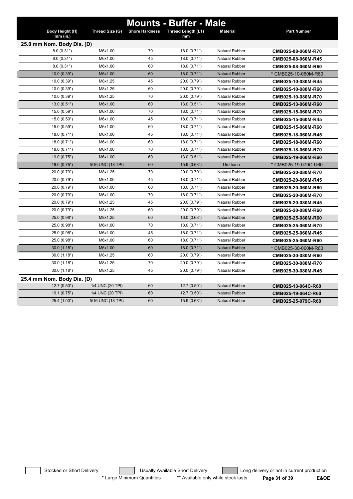|                            |                   |                       | <b>Mounts - Buffer - Male</b> |                       |                      |
|----------------------------|-------------------|-----------------------|-------------------------------|-----------------------|----------------------|
| Body Height (H)            | Thread Size (G)   | <b>Shore Hardness</b> | Thread Length (L1)            | <b>Material</b>       | <b>Part Number</b>   |
| $mm$ (in.)                 |                   |                       | mm                            |                       |                      |
| 25.0 mm Nom. Body Dia. (D) |                   |                       |                               |                       |                      |
| 8.0(0.31")                 | M6x1.00           | 70                    | 18.0(0.71")                   | <b>Natural Rubber</b> | CMB025-08-060M-R70   |
| 8.0(0.31")                 | M6x1.00           | 45                    | 18.0 (0.71")                  | Natural Rubber        | CMB025-08-060M-R45   |
| 8.0(0.31")                 | M6x1.00           | 60                    | 18.0 (0.71")                  | <b>Natural Rubber</b> | CMB025-08-060M-R60   |
| 10.0(0.39")                | M6x1.00           | 60                    | 18.0(0.71")                   | <b>Natural Rubber</b> | * CMB025-10-060M-R60 |
| 10.0(0.39")                | M8x1.25           | 45                    | 20.0 (0.79")                  | <b>Natural Rubber</b> | CMB025-10-080M-R45   |
| 10.0(0.39")                | M8x1.25           | 60                    | 20.0 (0.79")                  | <b>Natural Rubber</b> | CMB025-10-080M-R60   |
| 10.0 (0.39")               | M8x1.25           | 70                    | 20.0 (0.79")                  | <b>Natural Rubber</b> | CMB025-10-080M-R70   |
| 13.0(0.51")                | M6x1.00           | 60                    | 13.0(0.51")                   | <b>Natural Rubber</b> | CMB025-13-060M-R60   |
| 15.0 (0.59")               | M6x1.00           | 70                    | 18.0 (0.71")                  | <b>Natural Rubber</b> | CMB025-15-060M-R70   |
| 15.0 (0.59")               | M6x1.00           | 45                    | 18.0 (0.71")                  | <b>Natural Rubber</b> | CMB025-15-060M-R45   |
| 15.0 (0.59")               | M6x1.00           | 60                    | 18.0 (0.71")                  | <b>Natural Rubber</b> | CMB025-15-060M-R60   |
| 18.0 (0.71")               | M6x1.00           | 45                    | 18.0 (0.71")                  | <b>Natural Rubber</b> | CMB025-18-060M-R45   |
| 18.0 (0.71")               | M6x1.00           | 60                    | 18.0 (0.71")                  | <b>Natural Rubber</b> | CMB025-18-060M-R60   |
| 18.0 (0.71")               | M6x1.00           | 70                    | 18.0 (0.71")                  | <b>Natural Rubber</b> | CMB025-18-060M-R70   |
| 19.0(0.75")                | M6x1.00           | 60                    | 13.0(0.51")                   | <b>Natural Rubber</b> | CMB025-19-060M-R60   |
| 19.0 (0.75")               | 5/16 UNC (18 TPI) | 60                    | 15.9 (0.63")                  | Urethane              | * CMB025-19-079C-U60 |
| 20.0 (0.79")               | M8x1.25           | 70                    | 20.0 (0.79")                  | <b>Natural Rubber</b> | CMB025-20-080M-R70   |
| 20.0 (0.79")               | M6x1.00           | 45                    | 18.0 (0.71")                  | <b>Natural Rubber</b> | CMB025-20-060M-R45   |
| 20.0 (0.79")               | M6x1.00           | 60                    | 18.0 (0.71")                  | <b>Natural Rubber</b> | CMB025-20-060M-R60   |
| 20.0 (0.79")               | M6x1.00           | 70                    | 18.0 (0.71")                  | <b>Natural Rubber</b> | CMB025-20-060M-R70   |
| 20.0 (0.79")               | M8x1.25           | 45                    | 20.0 (0.79")                  | <b>Natural Rubber</b> | CMB025-20-080M-R45   |
| 20.0 (0.79")               | M8x1.25           | 60                    | 20.0 (0.79")                  | <b>Natural Rubber</b> | CMB025-20-080M-R60   |
| 25.0 (0.98")               | M8x1.25           | 60                    | 16.0(0.63")                   | <b>Natural Rubber</b> | CMB025-25-080M-R60   |
| 25.0 (0.98")               | M6x1.00           | 70                    | 18.0 (0.71")                  | <b>Natural Rubber</b> | CMB025-25-060M-R70   |
| 25.0 (0.98")               | M6x1.00           | 45                    | 18.0 (0.71")                  | <b>Natural Rubber</b> | CMB025-25-060M-R45   |
| 25.0 (0.98")               | M6x1.00           | 60                    | 18.0(0.71")                   | <b>Natural Rubber</b> | CMB025-25-060M-R60   |
| 30.0(1.18")                | M6x1.00           | 60                    | 18.0 (0.71")                  | <b>Natural Rubber</b> | * CMB025-30-060M-R60 |
| 30.0(1.18")                | M8x1.25           | 60                    | 20.0 (0.79")                  | <b>Natural Rubber</b> | CMB025-30-080M-R60   |
| 30.0(1.18")                | M8x1.25           | 70                    | 20.0 (0.79")                  | <b>Natural Rubber</b> | CMB025-30-080M-R70   |
| 30.0(1.18")                | M8x1.25           | 45                    | 20.0 (0.79")                  | <b>Natural Rubber</b> | CMB025-30-080M-R45   |
| 25.4 mm Nom. Body Dia. (D) |                   |                       |                               |                       |                      |
| 12.7(0.50")                | 1/4 UNC (20 TPI)  | 60                    | 12.7(0.50")                   | <b>Natural Rubber</b> | CMB025-13-064C-R60   |
| 19.1(0.75")                | 1/4 UNC (20 TPI)  | 60                    | 12.7(0.50")                   | <b>Natural Rubber</b> | CMB025-19-064C-R60   |
| 25.4 (1.00")               | 5/16 UNC (18 TPI) | 60                    | 15.9(0.63")                   | <b>Natural Rubber</b> | CMB025-25-079C-R60   |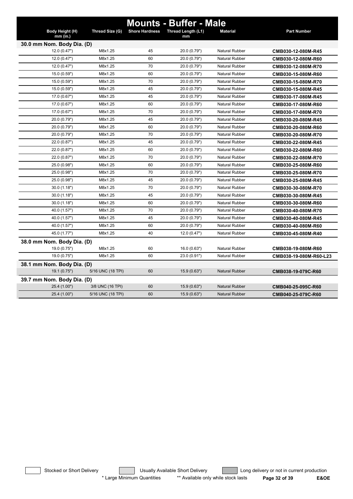|                             |                   |                       | <b>Mounts - Buffer - Male</b> |                       |                        |  |  |
|-----------------------------|-------------------|-----------------------|-------------------------------|-----------------------|------------------------|--|--|
| Body Height (H)<br>mm (in.) | Thread Size (G)   | <b>Shore Hardness</b> | Thread Length (L1)<br>mm      | <b>Material</b>       | <b>Part Number</b>     |  |  |
| 30.0 mm Nom. Body Dia. (D)  |                   |                       |                               |                       |                        |  |  |
| 12.0 (0.47")                | M8x1.25           | 45                    | 20.0 (0.79")                  | <b>Natural Rubber</b> | CMB030-12-080M-R45     |  |  |
| 12.0(0.47")                 | M8x1.25           | 60                    | 20.0 (0.79")                  | <b>Natural Rubber</b> | CMB030-12-080M-R60     |  |  |
| 12.0(0.47")                 | M8x1.25           | 70                    | 20.0 (0.79")                  | <b>Natural Rubber</b> | CMB030-12-080M-R70     |  |  |
| 15.0 (0.59")                | M8x1.25           | 60                    | 20.0 (0.79")                  | <b>Natural Rubber</b> | CMB030-15-080M-R60     |  |  |
| 15.0 (0.59")                | M8x1.25           | 70                    | 20.0 (0.79")                  | <b>Natural Rubber</b> | CMB030-15-080M-R70     |  |  |
| 15.0 (0.59")                | M8x1.25           | 45                    | 20.0 (0.79")                  | <b>Natural Rubber</b> | CMB030-15-080M-R45     |  |  |
| 17.0 (0.67")                | M8x1.25           | 45                    | 20.0 (0.79")                  | <b>Natural Rubber</b> | CMB030-17-080M-R45     |  |  |
| 17.0 (0.67")                | M8x1.25           | 60                    | 20.0 (0.79")                  | <b>Natural Rubber</b> | CMB030-17-080M-R60     |  |  |
| 17.0 (0.67")                | M8x1.25           | 70                    | 20.0 (0.79")                  | <b>Natural Rubber</b> | CMB030-17-080M-R70     |  |  |
| 20.0 (0.79")                | M8x1.25           | 45                    | 20.0 (0.79")                  | <b>Natural Rubber</b> | CMB030-20-080M-R45     |  |  |
| 20.0 (0.79")                | M8x1.25           | 60                    | 20.0 (0.79")                  | <b>Natural Rubber</b> | CMB030-20-080M-R60     |  |  |
| 20.0 (0.79")                | M8x1.25           | 70                    | 20.0 (0.79")                  | <b>Natural Rubber</b> | CMB030-20-080M-R70     |  |  |
| 22.0 (0.87")                | M8x1.25           | 45                    | 20.0 (0.79")                  | <b>Natural Rubber</b> | CMB030-22-080M-R45     |  |  |
| 22.0 (0.87")                | M8x1.25           | 60                    | 20.0 (0.79")                  | <b>Natural Rubber</b> | CMB030-22-080M-R60     |  |  |
| 22.0 (0.87")                | M8x1.25           | 70                    | 20.0 (0.79")                  | <b>Natural Rubber</b> | CMB030-22-080M-R70     |  |  |
| 25.0 (0.98")                | M8x1.25           | 60                    | 20.0 (0.79")                  | <b>Natural Rubber</b> | CMB030-25-080M-R60     |  |  |
| 25.0 (0.98")                | M8x1.25           | 70                    | 20.0 (0.79")                  | <b>Natural Rubber</b> | CMB030-25-080M-R70     |  |  |
| 25.0 (0.98")                | M8x1.25           | 45                    | 20.0 (0.79")                  | <b>Natural Rubber</b> | CMB030-25-080M-R45     |  |  |
| 30.0(1.18")                 | M8x1.25           | 70                    | 20.0 (0.79")                  | <b>Natural Rubber</b> | CMB030-30-080M-R70     |  |  |
| 30.0(1.18")                 | M8x1.25           | 45                    | 20.0 (0.79")                  | <b>Natural Rubber</b> | CMB030-30-080M-R45     |  |  |
| 30.0(1.18")                 | M8x1.25           | 60                    | 20.0 (0.79")                  | <b>Natural Rubber</b> | CMB030-30-080M-R60     |  |  |
| 40.0 (1.57")                | M8x1.25           | 70                    | 20.0 (0.79")                  | <b>Natural Rubber</b> | CMB030-40-080M-R70     |  |  |
| 40.0 (1.57")                | M8x1.25           | 45                    | 20.0 (0.79")                  | <b>Natural Rubber</b> | CMB030-40-080M-R45     |  |  |
| 40.0 (1.57")                | M8x1.25           | 60                    | 20.0 (0.79")                  | <b>Natural Rubber</b> | CMB030-40-080M-R60     |  |  |
| 45.0 (1.77")                | M8x1.25           | 40                    | 12.0 (0.47")                  | <b>Natural Rubber</b> | CMB030-45-080M-R40     |  |  |
| 38.0 mm Nom. Body Dia. (D)  |                   |                       |                               |                       |                        |  |  |
| 19.0 (0.75")                | M8x1.25           | 60                    | 16.0 (0.63")                  | <b>Natural Rubber</b> | CMB038-19-080M-R60     |  |  |
| 19.0 (0.75")                | M8x1.25           | 60                    | 23.0 (0.91")                  | <b>Natural Rubber</b> | CMB038-19-080M-R60-L23 |  |  |
| 38.1 mm Nom. Body Dia. (D)  |                   |                       |                               |                       |                        |  |  |
| 19.1 (0.75")                | 5/16 UNC (18 TPI) | 60                    | 15.9 (0.63")                  | <b>Natural Rubber</b> | CMB038-19-079C-R60     |  |  |
| 39.7 mm Nom. Body Dia. (D)  |                   |                       |                               |                       |                        |  |  |
| 25.4 (1.00")                | 3/8 UNC (16 TPI)  | 60                    | 15.9 (0.63")                  | <b>Natural Rubber</b> | CMB040-25-095C-R60     |  |  |
| 25.4 (1.00")                | 5/16 UNC (18 TPI) | 60                    | 15.9 (0.63")                  | <b>Natural Rubber</b> | CMB040-25-079C-R60     |  |  |

Stocked or Short Delivery **Contract Contract Contract Usually Available Short Delivery Contract Long delivery or not in current production** \* Large Minimum Quantities \*\* Available only while stock lasts **Page 32 of 39 E&OE**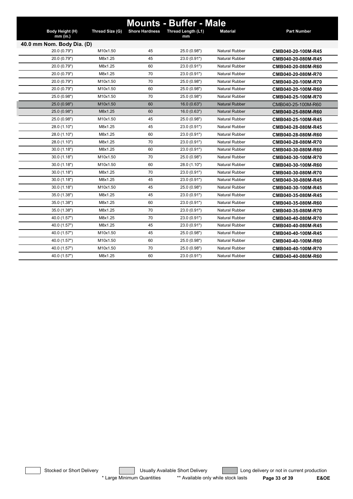|                             |                 |                       | <b>Mounts - Buffer - Male</b> |                       |                    |
|-----------------------------|-----------------|-----------------------|-------------------------------|-----------------------|--------------------|
| Body Height (H)<br>mm (in.) | Thread Size (G) | <b>Shore Hardness</b> | Thread Length (L1)<br>mm      | <b>Material</b>       | <b>Part Number</b> |
| 40.0 mm Nom. Body Dia. (D)  |                 |                       |                               |                       |                    |
| 20.0 (0.79")                | M10x1.50        | 45                    | 25.0 (0.98")                  | <b>Natural Rubber</b> | CMB040-20-100M-R45 |
| 20.0 (0.79")                | M8x1.25         | 45                    | 23.0 (0.91")                  | <b>Natural Rubber</b> | CMB040-20-080M-R45 |
| 20.0 (0.79")                | M8x1.25         | 60                    | 23.0 (0.91")                  | <b>Natural Rubber</b> | CMB040-20-080M-R60 |
| 20.0 (0.79")                | M8x1.25         | 70                    | 23.0 (0.91")                  | <b>Natural Rubber</b> | CMB040-20-080M-R70 |
| 20.0 (0.79")                | M10x1.50        | 70                    | 25.0 (0.98")                  | <b>Natural Rubber</b> | CMB040-20-100M-R70 |
| 20.0 (0.79")                | M10x1.50        | 60                    | 25.0 (0.98")                  | <b>Natural Rubber</b> | CMB040-20-100M-R60 |
| 25.0 (0.98")                | M10x1.50        | 70                    | 25.0 (0.98")                  | <b>Natural Rubber</b> | CMB040-25-100M-R70 |
| 25.0 (0.98")                | M10x1.50        | 60                    | 16.0(0.63")                   | <b>Natural Rubber</b> | CMB040-25-100M-R60 |
| 25.0 (0.98")                | M8x1.25         | 60                    | 16.0 (0.63")                  | <b>Natural Rubber</b> | CMB040-25-080M-R60 |
| 25.0 (0.98")                | M10x1.50        | 45                    | 25.0 (0.98")                  | <b>Natural Rubber</b> | CMB040-25-100M-R45 |
| 28.0 (1.10")                | M8x1.25         | 45                    | 23.0 (0.91")                  | <b>Natural Rubber</b> | CMB040-28-080M-R45 |
| 28.0 (1.10")                | M8x1.25         | 60                    | 23.0 (0.91")                  | Natural Rubber        | CMB040-28-080M-R60 |
| 28.0 (1.10")                | M8x1.25         | 70                    | 23.0 (0.91")                  | Natural Rubber        | CMB040-28-080M-R70 |
| 30.0(1.18")                 | M8x1.25         | 60                    | 23.0 (0.91")                  | <b>Natural Rubber</b> | CMB040-30-080M-R60 |
| 30.0(1.18")                 | M10x1.50        | 70                    | 25.0 (0.98")                  | Natural Rubber        | CMB040-30-100M-R70 |
| 30.0(1.18")                 | M10x1.50        | 60                    | 28.0 (1.10")                  | Natural Rubber        | CMB040-30-100M-R60 |
| 30.0(1.18")                 | M8x1.25         | 70                    | 23.0 (0.91")                  | <b>Natural Rubber</b> | CMB040-30-080M-R70 |
| 30.0(1.18")                 | M8x1.25         | 45                    | 23.0 (0.91")                  | <b>Natural Rubber</b> | CMB040-30-080M-R45 |
| 30.0(1.18")                 | M10x1.50        | 45                    | 25.0 (0.98")                  | Natural Rubber        | CMB040-30-100M-R45 |
| 35.0 (1.38")                | M8x1.25         | 45                    | 23.0 (0.91")                  | <b>Natural Rubber</b> | CMB040-35-080M-R45 |
| 35.0 (1.38")                | M8x1.25         | 60                    | 23.0 (0.91")                  | Natural Rubber        | CMB040-35-080M-R60 |
| 35.0 (1.38")                | M8x1.25         | 70                    | 23.0 (0.91")                  | <b>Natural Rubber</b> | CMB040-35-080M-R70 |
| 40.0 (1.57")                | M8x1.25         | 70                    | 23.0 (0.91")                  | <b>Natural Rubber</b> | CMB040-40-080M-R70 |
| 40.0 (1.57")                | M8x1.25         | 45                    | 23.0 (0.91")                  | <b>Natural Rubber</b> | CMB040-40-080M-R45 |
| 40.0 (1.57")                | M10x1.50        | 45                    | 25.0 (0.98")                  | <b>Natural Rubber</b> | CMB040-40-100M-R45 |
| 40.0 (1.57")                | M10x1.50        | 60                    | 25.0 (0.98")                  | <b>Natural Rubber</b> | CMB040-40-100M-R60 |
| 40.0 (1.57")                | M10x1.50        | 70                    | 25.0 (0.98")                  | <b>Natural Rubber</b> | CMB040-40-100M-R70 |
| 40.0 (1.57")                | M8x1.25         | 60                    | 23.0 (0.91")                  | <b>Natural Rubber</b> | CMB040-40-080M-R60 |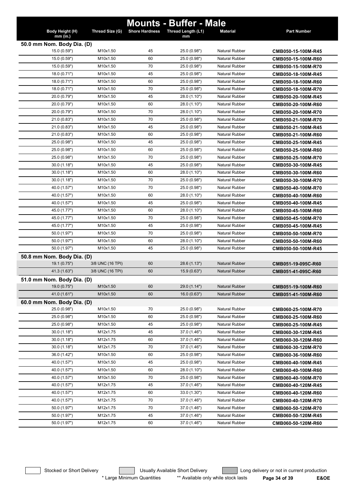|                              |                      |                       | <b>Mounts - Buffer - Male</b> |                                                |                                          |
|------------------------------|----------------------|-----------------------|-------------------------------|------------------------------------------------|------------------------------------------|
| Body Height (H)<br>mm (in.)  | Thread Size (G)      | <b>Shore Hardness</b> | Thread Length (L1)            | <b>Material</b>                                | <b>Part Number</b>                       |
| 50.0 mm Nom. Body Dia. (D)   |                      |                       | mm                            |                                                |                                          |
| 15.0 (0.59")                 | M10x1.50             | 45                    | 25.0 (0.98")                  | Natural Rubber                                 | CMB050-15-100M-R45                       |
| 15.0 (0.59")                 | M10x1.50             | 60                    | 25.0 (0.98")                  | <b>Natural Rubber</b>                          | CMB050-15-100M-R60                       |
| 15.0 (0.59")                 | M10x1.50             | 70                    | 25.0 (0.98")                  | <b>Natural Rubber</b>                          | CMB050-15-100M-R70                       |
| 18.0 (0.71")                 | M10x1.50             | 45                    | 25.0 (0.98")                  | <b>Natural Rubber</b>                          | CMB050-18-100M-R45                       |
| 18.0 (0.71")                 | M10x1.50             | 60                    | 25.0 (0.98")                  | <b>Natural Rubber</b>                          | CMB050-18-100M-R60                       |
| 18.0 (0.71")                 | M10x1.50             | 70                    | 25.0 (0.98")                  | <b>Natural Rubber</b>                          | CMB050-18-100M-R70                       |
| 20.0 (0.79")                 | M10x1.50             | 45                    | 28.0 (1.10")                  | <b>Natural Rubber</b>                          | CMB050-20-100M-R45                       |
| 20.0 (0.79")                 | M10x1.50             | 60                    | 28.0 (1.10")                  | <b>Natural Rubber</b>                          | CMB050-20-100M-R60                       |
| 20.0 (0.79")                 | M10x1.50             | 70                    | 28.0 (1.10")                  | <b>Natural Rubber</b>                          | CMB050-20-100M-R70                       |
| 21.0 (0.83")                 | M10x1.50             | 70                    | 25.0 (0.98")                  | <b>Natural Rubber</b>                          | CMB050-21-100M-R70                       |
| 21.0 (0.83")                 | M10x1.50             | 45                    | 25.0 (0.98")                  | <b>Natural Rubber</b>                          | CMB050-21-100M-R45                       |
| 21.0(0.83")                  | M10x1.50             | 60                    | 25.0 (0.98")                  | <b>Natural Rubber</b>                          | CMB050-21-100M-R60                       |
| 25.0 (0.98")                 | M10x1.50             | 45                    | 25.0 (0.98")                  | <b>Natural Rubber</b>                          | CMB050-25-100M-R45                       |
| 25.0 (0.98")                 | M10x1.50             | 60                    | 25.0 (0.98")                  | <b>Natural Rubber</b>                          | CMB050-25-100M-R60                       |
| 25.0 (0.98")                 | M10x1.50             | 70                    | 25.0 (0.98")                  | <b>Natural Rubber</b>                          | CMB050-25-100M-R70                       |
| 30.0(1.18")                  | M10x1.50             | 45                    | 25.0 (0.98")                  | <b>Natural Rubber</b>                          | CMB050-30-100M-R45                       |
| 30.0(1.18")                  | M10x1.50             | 60                    | 28.0 (1.10")                  | <b>Natural Rubber</b>                          | CMB050-30-100M-R60                       |
| 30.0(1.18")                  | M10x1.50             | 70                    | 25.0 (0.98")                  | <b>Natural Rubber</b>                          | CMB050-30-100M-R70                       |
| 40.0 (1.57")                 | M10x1.50             | 70                    | 25.0 (0.98")                  | <b>Natural Rubber</b>                          | CMB050-40-100M-R70                       |
| 40.0 (1.57")                 | M10x1.50             | 60                    | 28.0 (1.10")                  | <b>Natural Rubber</b>                          | CMB050-40-100M-R60                       |
| 40.0 (1.57")                 | M10x1.50             | 45                    | 25.0 (0.98")                  | <b>Natural Rubber</b>                          | CMB050-40-100M-R45                       |
| 45.0 (1.77")                 | M10x1.50             | 60                    | 28.0 (1.10")                  | <b>Natural Rubber</b>                          | CMB050-45-100M-R60                       |
| 45.0 (1.77")                 | M10x1.50             | 70                    | 25.0 (0.98")                  | <b>Natural Rubber</b>                          | CMB050-45-100M-R70                       |
| 45.0 (1.77")                 | M10x1.50             | 45                    | 25.0 (0.98")                  | <b>Natural Rubber</b>                          | CMB050-45-100M-R45                       |
| 50.0 (1.97")                 | M10x1.50             | 70                    | 25.0 (0.98")                  | <b>Natural Rubber</b>                          | CMB050-50-100M-R70                       |
| 50.0 (1.97")                 | M10x1.50             | 60                    | 28.0 (1.10")                  | <b>Natural Rubber</b>                          | CMB050-50-100M-R60                       |
| 50.0 (1.97")                 | M10x1.50             | 45                    | 25.0 (0.98")                  | <b>Natural Rubber</b>                          | CMB050-50-100M-R45                       |
| 50.8 mm Nom. Body Dia. (D)   |                      |                       |                               |                                                |                                          |
| 19.1(0.75")                  | 3/8 UNC (16 TPI)     | 60                    | 28.6 (1.13")                  | <b>Natural Rubber</b>                          | CMB051-19-095C-R60                       |
| 41.3 (1.63")                 | 3/8 UNC (16 TPI)     | 60                    | 15.9 (0.63")                  | <b>Natural Rubber</b>                          | CMB051-41-095C-R60                       |
| 51.0 mm Nom. Body Dia. (D)   |                      |                       |                               |                                                |                                          |
| 19.0(0.75")                  | M10x1.50             | 60                    | 29.0 (1.14")                  | <b>Natural Rubber</b>                          | CMB051-19-100M-R60                       |
| 41.0 (1.61")                 | M10x1.50             | 60                    | 16.0(0.63")                   | <b>Natural Rubber</b>                          | CMB051-41-100M-R60                       |
| 60.0 mm Nom. Body Dia. (D)   |                      |                       |                               |                                                |                                          |
| 25.0 (0.98")                 | M10x1.50             | 70                    | 25.0 (0.98")                  | Natural Rubber                                 | CMB060-25-100M-R70                       |
| 25.0 (0.98")                 | M10x1.50             | 60                    | 25.0 (0.98")                  | <b>Natural Rubber</b>                          | CMB060-25-100M-R60                       |
| 25.0 (0.98")                 | M10x1.50             | 45                    | 25.0 (0.98")                  | Natural Rubber                                 | CMB060-25-100M-R45                       |
| 30.0 (1.18")                 | M12x1.75             | 45                    | 37.0 (1.46")                  | Natural Rubber                                 | CMB060-30-120M-R45                       |
| 30.0(1.18")                  | M12x1.75             | 60                    | 37.0 (1.46")                  | Natural Rubber                                 | CMB060-30-120M-R60                       |
| 30.0(1.18")                  | M12x1.75             | 70                    | 37.0 (1.46")                  | Natural Rubber                                 | CMB060-30-120M-R70                       |
| 36.0 (1.42")                 | M10x1.50             | 60                    | 25.0 (0.98")                  | Natural Rubber                                 | CMB060-36-100M-R60                       |
| 40.0 (1.57")                 | M10x1.50             | 45                    | 25.0 (0.98")                  | <b>Natural Rubber</b><br><b>Natural Rubber</b> | CMB060-40-100M-R45                       |
| 40.0 (1.57")                 | M10x1.50             | 60<br>70              | 28.0 (1.10")                  |                                                | CMB060-40-100M-R60                       |
| 40.0 (1.57")                 | M10x1.50<br>M12x1.75 | 45                    | 25.0 (0.98")                  | <b>Natural Rubber</b><br>Natural Rubber        | CMB060-40-100M-R70                       |
| 40.0 (1.57")                 |                      | 60                    | 37.0 (1.46")                  | Natural Rubber                                 | CMB060-40-120M-R45                       |
| 40.0 (1.57")                 | M12x1.75<br>M12x1.75 | 70                    | 33.0 (1.30")                  | Natural Rubber                                 | CMB060-40-120M-R60                       |
| 40.0 (1.57")<br>50.0 (1.97") | M12x1.75             | 70                    | 37.0 (1.46")<br>37.0 (1.46")  | Natural Rubber                                 | CMB060-40-120M-R70                       |
| 50.0 (1.97")                 | M12x1.75             | 45                    | 37.0 (1.46")                  | Natural Rubber                                 | CMB060-50-120M-R70                       |
| 50.0 (1.97")                 | M12x1.75             | 60                    | 37.0 (1.46")                  | <b>Natural Rubber</b>                          | CMB060-50-120M-R45<br>CMB060-50-120M-R60 |
|                              |                      |                       |                               |                                                |                                          |

\* Large Minimum Quantities \*\* Available only while stock lasts **Page 34 of 39 E&OE** 

Stocked or Short Delivery **Contains the Usually Available Short Delivery Containery** Long delivery or not in current production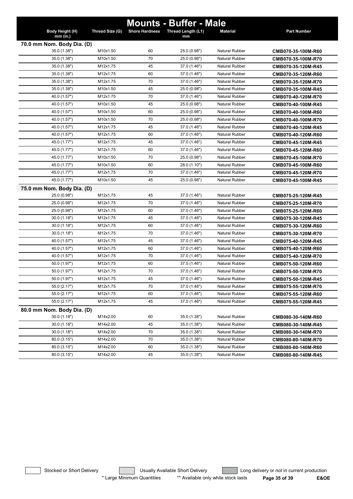|                            |                 |                       | <b>Mounts - Buffer - Male</b> |                       |                    |
|----------------------------|-----------------|-----------------------|-------------------------------|-----------------------|--------------------|
| Body Height (H)            | Thread Size (G) | <b>Shore Hardness</b> | Thread Length (L1)            | <b>Material</b>       | <b>Part Number</b> |
| mm (in.)                   |                 |                       | mm                            |                       |                    |
| 70.0 mm Nom. Body Dia. (D) |                 |                       |                               |                       |                    |
| 35.0 (1.38")               | M10x1.50        | 60                    | 25.0 (0.98")                  | <b>Natural Rubber</b> | CMB070-35-100M-R60 |
| 35.0 (1.38")               | M10x1.50        | 70                    | 25.0 (0.98")                  | <b>Natural Rubber</b> | CMB070-35-100M-R70 |
| 35.0 (1.38")               | M12x1.75        | 45                    | 37.0 (1.46")                  | <b>Natural Rubber</b> | CMB070-35-120M-R45 |
| 35.0 (1.38")               | M12x1.75        | 60                    | 37.0 (1.46")                  | Natural Rubber        | CMB070-35-120M-R60 |
| 35.0 (1.38")               | M12x1.75        | 70                    | 37.0 (1.46")                  | <b>Natural Rubber</b> | CMB070-35-120M-R70 |
| 35.0 (1.38")               | M10x1.50        | 45                    | 25.0 (0.98")                  | <b>Natural Rubber</b> | CMB070-35-100M-R45 |
| 40.0 (1.57")               | M12x1.75        | 70                    | 37.0 (1.46")                  | Natural Rubber        | CMB070-40-120M-R70 |
| 40.0 (1.57")               | M10x1.50        | 45                    | 25.0 (0.98")                  | <b>Natural Rubber</b> | CMB070-40-100M-R45 |
| 40.0 (1.57")               | M10x1.50        | 60                    | 25.0 (0.98")                  | <b>Natural Rubber</b> | CMB070-40-100M-R60 |
| 40.0 (1.57")               | M10x1.50        | 70                    | 25.0 (0.98")                  | <b>Natural Rubber</b> | CMB070-40-100M-R70 |
| 40.0 (1.57")               | M12x1.75        | 45                    | 37.0 (1.46")                  | <b>Natural Rubber</b> | CMB070-40-120M-R45 |
| 40.0 (1.57")               | M12x1.75        | 60                    | 37.0 (1.46")                  | Natural Rubber        | CMB070-40-120M-R60 |
| 45.0 (1.77")               | M12x1.75        | 45                    | 37.0 (1.46")                  | Natural Rubber        | CMB070-45-120M-R45 |
| 45.0 (1.77")               | M12x1.75        | 60                    | 37.0 (1.46")                  | Natural Rubber        | CMB070-45-120M-R60 |
| 45.0 (1.77")               | M10x1.50        | 70                    | 25.0 (0.98")                  | <b>Natural Rubber</b> | CMB070-45-100M-R70 |
| 45.0 (1.77")               | M10x1.50        | 60                    | 28.0 (1.10")                  | <b>Natural Rubber</b> | CMB070-45-100M-R60 |
| 45.0 (1.77")               | M12x1.75        | 70                    | 37.0 (1.46")                  | <b>Natural Rubber</b> | CMB070-45-120M-R70 |
| 45.0 (1.77")               | M10x1.50        | 45                    | 25.0 (0.98")                  | <b>Natural Rubber</b> | CMB070-45-100M-R45 |
| 75.0 mm Nom. Body Dia. (D) |                 |                       |                               |                       |                    |
| 25.0 (0.98")               | M12x1.75        | 45                    | 37.0 (1.46")                  | <b>Natural Rubber</b> | CMB075-25-120M-R45 |
| 25.0 (0.98")               | M12x1.75        | 70                    | 37.0 (1.46")                  | <b>Natural Rubber</b> | CMB075-25-120M-R70 |
| 25.0 (0.98")               | M12x1.75        | 60                    | 37.0 (1.46")                  | <b>Natural Rubber</b> | CMB075-25-120M-R60 |
| 30.0(1.18")                | M12x1.75        | 45                    | 37.0 (1.46")                  | <b>Natural Rubber</b> | CMB075-30-120M-R45 |
| 30.0(1.18")                | M12x1.75        | 60                    | 37.0 (1.46")                  | <b>Natural Rubber</b> | CMB075-30-120M-R60 |
| 30.0(1.18")                | M12x1.75        | 70                    | 37.0 (1.46")                  | Natural Rubber        | CMB075-30-120M-R70 |
| 40.0 (1.57")               | M12x1.75        | 45                    | 37.0 (1.46")                  | Natural Rubber        | CMB075-40-120M-R45 |
| 40.0 (1.57")               | M12x1.75        | 60                    | 37.0 (1.46")                  | Natural Rubber        | CMB075-40-120M-R60 |
| 40.0 (1.57")               | M12x1.75        | 70                    | 37.0 (1.46")                  | <b>Natural Rubber</b> | CMB075-40-120M-R70 |
| 50.0 (1.97")               | M12x1.75        | 60                    | 37.0 (1.46")                  | <b>Natural Rubber</b> | CMB075-50-120M-R60 |
| 50.0 (1.97")               | M12x1.75        | 70                    | 37.0 (1.46")                  | <b>Natural Rubber</b> | CMB075-50-120M-R70 |
| 50.0 (1.97")               | M12x1.75        | 45                    | 37.0 (1.46")                  | Natural Rubber        | CMB075-50-120M-R45 |
| 55.0 (2.17")               | M12x1.75        | 70                    | 37.0 (1.46")                  | Natural Rubber        | CMB075-55-120M-R70 |
| 55.0 (2.17")               | M12x1.75        | 60                    | 37.0 (1.46")                  | Natural Rubber        | CMB075-55-120M-R60 |
| 55.0 (2.17")               | M12x1.75        | 45                    | 37.0 (1.46")                  | Natural Rubber        | CMB075-55-120M-R45 |
| 80.0 mm Nom. Body Dia. (D) |                 |                       |                               |                       |                    |
| 30.0(1.18")                | M14x2.00        | 60                    | 35.0 (1.38")                  | <b>Natural Rubber</b> | CMB080-30-140M-R60 |
| 30.0 (1.18")               | M14x2.00        | 45                    | 35.0 (1.38")                  | <b>Natural Rubber</b> | CMB080-30-140M-R45 |
| 30.0(1.18")                | M14x2.00        | 70                    | 35.0 (1.38")                  | Natural Rubber        | CMB080-30-140M-R70 |
| 80.0 (3.15")               | M14x2.00        | 70                    | 35.0 (1.38")                  | Natural Rubber        | CMB080-80-140M-R70 |
| 80.0 (3.15")               | M14x2.00        | 60                    | 35.0 (1.38")                  | Natural Rubber        | CMB080-80-140M-R60 |
| 80.0 (3.15")               | M14x2.00        | 45                    | 35.0 (1.38")                  | <b>Natural Rubber</b> | CMB080-80-140M-R45 |

Stocked or Short Delivery **The Contract Contract Contract Contract** Long delivery or not in current production \* Large Minimum Quantities \*\* Available only while stock lasts **Page 35 of 39 E&OE**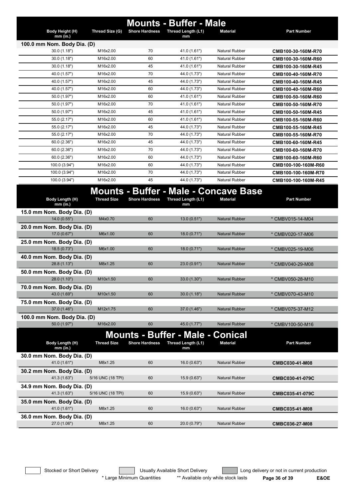|                                             |                    |                       | <b>Mounts - Buffer - Male</b>                                            |                       |                     |
|---------------------------------------------|--------------------|-----------------------|--------------------------------------------------------------------------|-----------------------|---------------------|
| Body Height (H)<br>$mm$ (in.)               | Thread Size (G)    | <b>Shore Hardness</b> | Thread Length (L1)<br>mm                                                 | <b>Material</b>       | <b>Part Number</b>  |
| 100.0 mm Nom. Body Dia. (D)                 |                    |                       |                                                                          |                       |                     |
| 30.0 (1.18")                                | M16x2.00           | 70                    | 41.0 (1.61")                                                             | <b>Natural Rubber</b> | CMB100-30-160M-R70  |
| 30.0(1.18")                                 | M16x2.00           | 60                    | 41.0 (1.61")                                                             | <b>Natural Rubber</b> | CMB100-30-160M-R60  |
| 30.0(1.18")                                 | M16x2.00           | 45                    | 41.0 (1.61")                                                             | <b>Natural Rubber</b> | CMB100-30-160M-R45  |
| 40.0 (1.57")                                | M16x2.00           | 70                    | 44.0 (1.73")                                                             | <b>Natural Rubber</b> | CMB100-40-160M-R70  |
| 40.0 (1.57")                                | M16x2.00           | 45                    | 44.0 (1.73")                                                             | <b>Natural Rubber</b> | CMB100-40-160M-R45  |
| 40.0 (1.57")                                | M16x2.00           | 60                    | 44.0 (1.73")                                                             | <b>Natural Rubber</b> | CMB100-40-160M-R60  |
| 50.0 (1.97")                                | M16x2.00           | 60                    | 41.0 (1.61")                                                             | <b>Natural Rubber</b> | CMB100-50-160M-R60  |
| 50.0 (1.97")                                | M16x2.00           | 70                    | 41.0 (1.61")                                                             | <b>Natural Rubber</b> | CMB100-50-160M-R70  |
| 50.0 (1.97")                                | M16x2.00           | 45                    | 41.0 (1.61")                                                             | <b>Natural Rubber</b> | CMB100-50-160M-R45  |
| 55.0 (2.17")                                | M16x2.00           | 60                    | 41.0 (1.61")                                                             | <b>Natural Rubber</b> | CMB100-55-160M-R60  |
| 55.0 (2.17")                                | M16x2.00           | 45                    | 44.0 (1.73")                                                             | <b>Natural Rubber</b> | CMB100-55-160M-R45  |
| 55.0 (2.17")                                | M16x2.00           | 70                    | 44.0 (1.73")                                                             | <b>Natural Rubber</b> | CMB100-55-160M-R70  |
| 60.0 (2.36")                                | M16x2.00           | 45                    | 44.0 (1.73")                                                             | <b>Natural Rubber</b> | CMB100-60-160M-R45  |
| 60.0(2.36")                                 | M16x2.00           | 70                    | 44.0 (1.73")                                                             | <b>Natural Rubber</b> | CMB100-60-160M-R70  |
| 60.0(2.36")                                 | M16x2.00           | 60                    | 44.0 (1.73")                                                             | <b>Natural Rubber</b> | CMB100-60-160M-R60  |
| 100.0 (3.94")                               | M16x2.00           | 60                    | 44.0 (1.73")                                                             | <b>Natural Rubber</b> | CMB100-100-160M-R60 |
| 100.0 (3.94")                               | M16x2.00           | 70                    | 44.0 (1.73")                                                             | <b>Natural Rubber</b> | CMB100-100-160M-R70 |
| 100.0 (3.94")                               | M16x2.00           | 45                    | 44.0 (1.73")                                                             | <b>Natural Rubber</b> | CMB100-100-160M-R45 |
| Body Length (H)<br>$mm$ (in.)               | <b>Thread Size</b> | <b>Shore Hardness</b> | <b>Mounts - Buffer - Male - Concave Base</b><br>Thread Length (L1)<br>mm | <b>Material</b>       | <b>Part Number</b>  |
| 15.0 mm Nom. Body Dia. (D)                  |                    |                       |                                                                          |                       |                     |
| 14.0(0.55")                                 | M4x0.70            | 60                    | 13.0(0.51")                                                              | <b>Natural Rubber</b> | * CMBV015-14-M04    |
| 20.0 mm Nom. Body Dia. (D)                  |                    |                       |                                                                          |                       |                     |
| 17.0 (0.67")                                | M6x1.00            | 60                    | 18.0(0.71")                                                              | <b>Natural Rubber</b> | * CMBV020-17-M06    |
| 25.0 mm Nom. Body Dia. (D)                  |                    |                       |                                                                          |                       |                     |
| 18.5 (0.73")                                | M6x1.00            | 60                    | 18.0(0.71")                                                              | <b>Natural Rubber</b> | * CMBV025-19-M06    |
| 40.0 mm Nom. Body Dia. (D)                  |                    |                       |                                                                          |                       |                     |
| 28.8 (1.13")                                | M8x1.25            | 60                    | 23.0 (0.91")                                                             | <b>Natural Rubber</b> | * CMBV040-29-M08    |
| 50.0 mm Nom. Body Dia. (D)                  |                    |                       |                                                                          |                       |                     |
| 28.0(1.10")                                 | M10x1.50           | 60                    | 33.0 (1.30")                                                             | <b>Natural Rubber</b> | * CMBV050-28-M10    |
| 70.0 mm Nom. Body Dia. (D)                  |                    |                       |                                                                          |                       |                     |
| 43.0 (1.69")                                | M10x1.50           | 60                    | 30.0(1.18")                                                              | <b>Natural Rubber</b> | * CMBV070-43-M10    |
| 75.0 mm Nom. Body Dia. (D)                  |                    |                       |                                                                          |                       |                     |
| 37.0 (1.46")                                | M12x1.75           | 60                    | 37.0 (1.46")                                                             | <b>Natural Rubber</b> | * CMBV075-37-M12    |
| 100.0 mm Nom. Body Dia. (D)<br>50.0 (1.97") | M16x2.00           | 60                    | 45.0 (1.77")                                                             | <b>Natural Rubber</b> | * CMBV100-50-M16    |
|                                             |                    |                       |                                                                          |                       |                     |
|                                             |                    |                       | <b>Mounts - Buffer - Male - Conical</b>                                  |                       |                     |
| Body Length (H)<br>mm (in.)                 | <b>Thread Size</b> | <b>Shore Hardness</b> | Thread Length (L1)<br>mm                                                 | <b>Material</b>       | <b>Part Number</b>  |
| 30.0 mm Nom. Body Dia. (D)                  |                    |                       |                                                                          |                       |                     |
| 41.0 (1.61")                                | M8x1.25            | 60                    | 16.0(0.63")                                                              | <b>Natural Rubber</b> | CMBC030-41-M08      |
| 30.2 mm Nom. Body Dia. (D)                  |                    |                       |                                                                          |                       |                     |
| 41.3 (1.63")                                | 5/16 UNC (18 TPI)  | 60                    | 15.9(0.63")                                                              | <b>Natural Rubber</b> | CMBC030-41-079C     |
| 34.9 mm Nom. Body Dia. (D)<br>41.3 (1.63")  | 5/16 UNC (18 TPI)  | 60                    | 15.9(0.63")                                                              | <b>Natural Rubber</b> |                     |
|                                             |                    |                       |                                                                          |                       | CMBC035-41-079C     |
| 35.0 mm Nom. Body Dia. (D)<br>41.0 (1.61")  | M8x1.25            | 60                    | 16.0(0.63")                                                              | <b>Natural Rubber</b> |                     |
|                                             |                    |                       |                                                                          |                       | CMBC035-41-M08      |
| 36.0 mm Nom. Body Dia. (D)<br>27.0 (1.06")  | M8x1.25            | 60                    | 20.0 (0.79")                                                             | <b>Natural Rubber</b> |                     |
|                                             |                    |                       |                                                                          |                       | CMBC036-27-M08      |

\* Large Minimum Quantities \*\* Available only while stock lasts **Page 36 of 39 E&OE**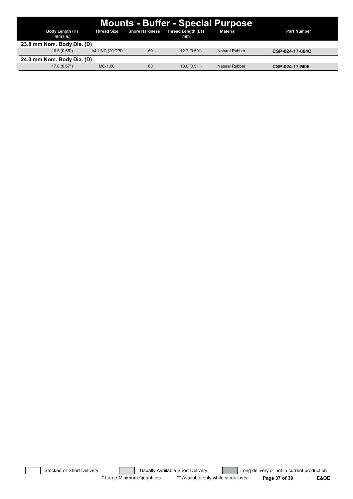| <b>Mounts - Buffer - Special Purpose</b> |                  |                       |                          |                       |                    |  |  |  |  |
|------------------------------------------|------------------|-----------------------|--------------------------|-----------------------|--------------------|--|--|--|--|
| Body Length (H)<br>mm (in.)              | Thread Size      | <b>Shore Hardness</b> | Thread Length (L1)<br>mm | Material              | <b>Part Number</b> |  |  |  |  |
| 23.8 mm Nom. Body Dia. (D)               |                  |                       |                          |                       |                    |  |  |  |  |
| 16.5(0.65")                              | 1/4 UNC (20 TPI) | 60                    | 12.7(0.50")              | Natural Rubber        | CSP-024-17-064C    |  |  |  |  |
| 24.0 mm Nom. Body Dia. (D)               |                  |                       |                          |                       |                    |  |  |  |  |
| 17.0(0.67")                              | M6x1.00          | 60                    | 13.0(0.51")              | <b>Natural Rubber</b> | CSP-024-17-M06     |  |  |  |  |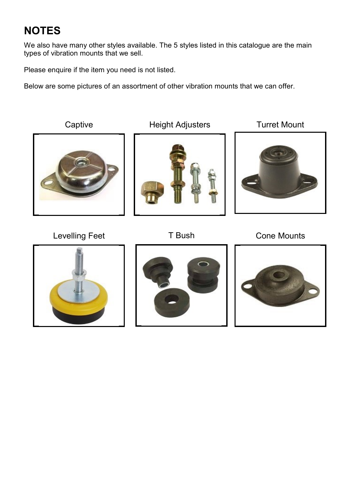## NOTES

We also have many other styles available. The 5 styles listed in this catalogue are the main types of vibration mounts that we sell.

Please enquire if the item you need is not listed.

Below are some pictures of an assortment of other vibration mounts that we can offer.

Captive **Height Adjusters** Turret Mount Levelling Feet T Bush Cone Mounts